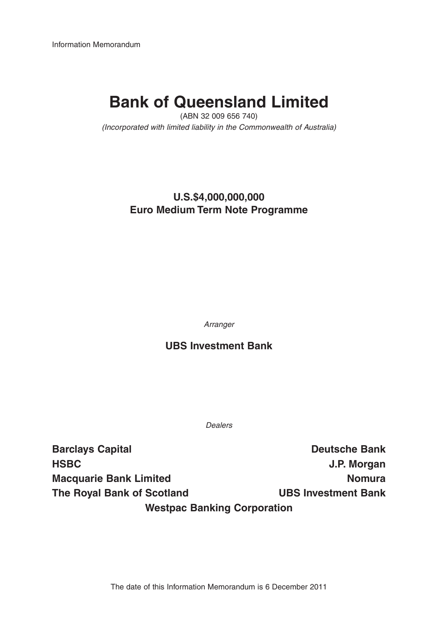Information Memorandum

# **Bank of Queensland Limited**

(ABN 32 009 656 740) (Incorporated with limited liability in the Commonwealth of Australia)

### **U.S.\$4,000,000,000 Euro Medium Term Note Programme**

Arranger

### **UBS Investment Bank**

Dealers

**Barclays Capital Deutsche Bank HSBC J.P. Morgan Macquarie Bank Limited Nomura** Nomura **The Royal Bank of Scotland UBS Investment Bank Westpac Banking Corporation**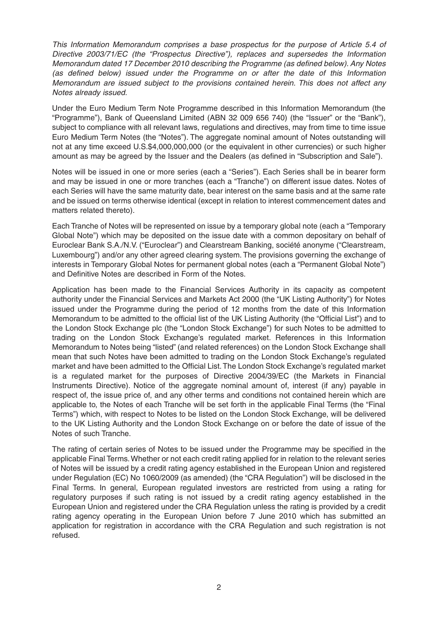This Information Memorandum comprises a base prospectus for the purpose of Article 5.4 of Directive 2003/71/EC (the "Prospectus Directive"), replaces and supersedes the Information Memorandum dated 17 December 2010 describing the Programme (as defined below). Any Notes (as defined below) issued under the Programme on or after the date of this Information Memorandum are issued subject to the provisions contained herein. This does not affect any Notes already issued.

Under the Euro Medium Term Note Programme described in this Information Memorandum (the "Programme"), Bank of Queensland Limited (ABN 32 009 656 740) (the "Issuer" or the "Bank"), subject to compliance with all relevant laws, regulations and directives, may from time to time issue Euro Medium Term Notes (the "Notes"). The aggregate nominal amount of Notes outstanding will not at any time exceed U.S.\$4,000,000,000 (or the equivalent in other currencies) or such higher amount as may be agreed by the Issuer and the Dealers (as defined in "Subscription and Sale").

Notes will be issued in one or more series (each a "Series"). Each Series shall be in bearer form and may be issued in one or more tranches (each a "Tranche") on different issue dates. Notes of each Series will have the same maturity date, bear interest on the same basis and at the same rate and be issued on terms otherwise identical (except in relation to interest commencement dates and matters related thereto).

Each Tranche of Notes will be represented on issue by a temporary global note (each a "Temporary Global Note") which may be deposited on the issue date with a common depositary on behalf of Euroclear Bank S.A./N.V. ("Euroclear") and Clearstream Banking, société anonyme ("Clearstream, Luxembourg") and/or any other agreed clearing system. The provisions governing the exchange of interests in Temporary Global Notes for permanent global notes (each a "Permanent Global Note") and Definitive Notes are described in Form of the Notes.

Application has been made to the Financial Services Authority in its capacity as competent authority under the Financial Services and Markets Act 2000 (the "UK Listing Authority") for Notes issued under the Programme during the period of 12 months from the date of this Information Memorandum to be admitted to the official list of the UK Listing Authority (the "Official List") and to the London Stock Exchange plc (the "London Stock Exchange") for such Notes to be admitted to trading on the London Stock Exchange's regulated market. References in this Information Memorandum to Notes being "listed" (and related references) on the London Stock Exchange shall mean that such Notes have been admitted to trading on the London Stock Exchange's regulated market and have been admitted to the Official List. The London Stock Exchange's regulated market is a regulated market for the purposes of Directive 2004/39/EC (the Markets in Financial Instruments Directive). Notice of the aggregate nominal amount of, interest (if any) payable in respect of, the issue price of, and any other terms and conditions not contained herein which are applicable to, the Notes of each Tranche will be set forth in the applicable Final Terms (the "Final Terms") which, with respect to Notes to be listed on the London Stock Exchange, will be delivered to the UK Listing Authority and the London Stock Exchange on or before the date of issue of the Notes of such Tranche.

The rating of certain series of Notes to be issued under the Programme may be specified in the applicable Final Terms. Whether or not each credit rating applied for in relation to the relevant series of Notes will be issued by a credit rating agency established in the European Union and registered under Regulation (EC) No 1060/2009 (as amended) (the "CRA Regulation") will be disclosed in the Final Terms. In general, European regulated investors are restricted from using a rating for regulatory purposes if such rating is not issued by a credit rating agency established in the European Union and registered under the CRA Regulation unless the rating is provided by a credit rating agency operating in the European Union before 7 June 2010 which has submitted an application for registration in accordance with the CRA Regulation and such registration is not refused.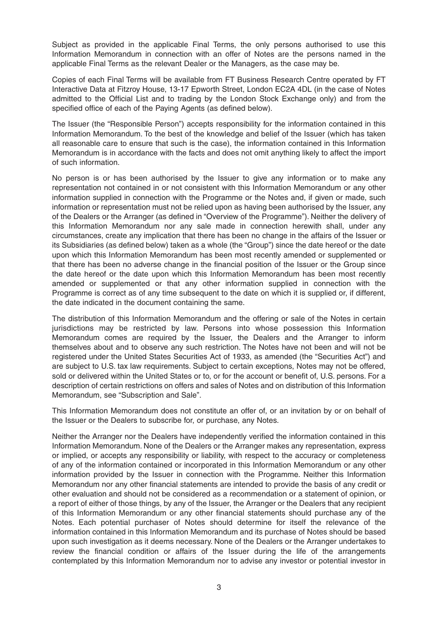Subject as provided in the applicable Final Terms, the only persons authorised to use this Information Memorandum in connection with an offer of Notes are the persons named in the applicable Final Terms as the relevant Dealer or the Managers, as the case may be.

Copies of each Final Terms will be available from FT Business Research Centre operated by FT Interactive Data at Fitzroy House, 13-17 Epworth Street, London EC2A 4DL (in the case of Notes admitted to the Official List and to trading by the London Stock Exchange only) and from the specified office of each of the Paying Agents (as defined below).

The Issuer (the "Responsible Person") accepts responsibility for the information contained in this Information Memorandum. To the best of the knowledge and belief of the Issuer (which has taken all reasonable care to ensure that such is the case), the information contained in this Information Memorandum is in accordance with the facts and does not omit anything likely to affect the import of such information.

No person is or has been authorised by the Issuer to give any information or to make any representation not contained in or not consistent with this Information Memorandum or any other information supplied in connection with the Programme or the Notes and, if given or made, such information or representation must not be relied upon as having been authorised by the Issuer, any of the Dealers or the Arranger (as defined in "Overview of the Programme"). Neither the delivery of this Information Memorandum nor any sale made in connection herewith shall, under any circumstances, create any implication that there has been no change in the affairs of the Issuer or its Subsidiaries (as defined below) taken as a whole (the "Group") since the date hereof or the date upon which this Information Memorandum has been most recently amended or supplemented or that there has been no adverse change in the financial position of the Issuer or the Group since the date hereof or the date upon which this Information Memorandum has been most recently amended or supplemented or that any other information supplied in connection with the Programme is correct as of any time subsequent to the date on which it is supplied or, if different, the date indicated in the document containing the same.

The distribution of this Information Memorandum and the offering or sale of the Notes in certain jurisdictions may be restricted by law. Persons into whose possession this Information Memorandum comes are required by the Issuer, the Dealers and the Arranger to inform themselves about and to observe any such restriction. The Notes have not been and will not be registered under the United States Securities Act of 1933, as amended (the "Securities Act") and are subject to U.S. tax law requirements. Subject to certain exceptions, Notes may not be offered, sold or delivered within the United States or to, or for the account or benefit of, U.S. persons. For a description of certain restrictions on offers and sales of Notes and on distribution of this Information Memorandum, see "Subscription and Sale".

This Information Memorandum does not constitute an offer of, or an invitation by or on behalf of the Issuer or the Dealers to subscribe for, or purchase, any Notes.

Neither the Arranger nor the Dealers have independently verified the information contained in this Information Memorandum. None of the Dealers or the Arranger makes any representation, express or implied, or accepts any responsibility or liability, with respect to the accuracy or completeness of any of the information contained or incorporated in this Information Memorandum or any other information provided by the Issuer in connection with the Programme. Neither this Information Memorandum nor any other financial statements are intended to provide the basis of any credit or other evaluation and should not be considered as a recommendation or a statement of opinion, or a report of either of those things, by any of the Issuer, the Arranger or the Dealers that any recipient of this Information Memorandum or any other financial statements should purchase any of the Notes. Each potential purchaser of Notes should determine for itself the relevance of the information contained in this Information Memorandum and its purchase of Notes should be based upon such investigation as it deems necessary. None of the Dealers or the Arranger undertakes to review the financial condition or affairs of the Issuer during the life of the arrangements contemplated by this Information Memorandum nor to advise any investor or potential investor in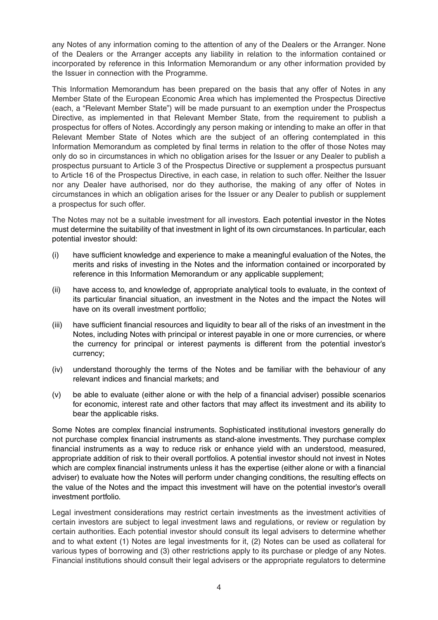any Notes of any information coming to the attention of any of the Dealers or the Arranger. None of the Dealers or the Arranger accepts any liability in relation to the information contained or incorporated by reference in this Information Memorandum or any other information provided by the Issuer in connection with the Programme.

This Information Memorandum has been prepared on the basis that any offer of Notes in any Member State of the European Economic Area which has implemented the Prospectus Directive (each, a "Relevant Member State") will be made pursuant to an exemption under the Prospectus Directive, as implemented in that Relevant Member State, from the requirement to publish a prospectus for offers of Notes. Accordingly any person making or intending to make an offer in that Relevant Member State of Notes which are the subject of an offering contemplated in this Information Memorandum as completed by final terms in relation to the offer of those Notes may only do so in circumstances in which no obligation arises for the Issuer or any Dealer to publish a prospectus pursuant to Article 3 of the Prospectus Directive or supplement a prospectus pursuant to Article 16 of the Prospectus Directive, in each case, in relation to such offer. Neither the Issuer nor any Dealer have authorised, nor do they authorise, the making of any offer of Notes in circumstances in which an obligation arises for the Issuer or any Dealer to publish or supplement a prospectus for such offer.

The Notes may not be a suitable investment for all investors. Each potential investor in the Notes must determine the suitability of that investment in light of its own circumstances. In particular, each potential investor should:

- (i) have sufficient knowledge and experience to make a meaningful evaluation of the Notes, the merits and risks of investing in the Notes and the information contained or incorporated by reference in this Information Memorandum or any applicable supplement;
- (ii) have access to, and knowledge of, appropriate analytical tools to evaluate, in the context of its particular financial situation, an investment in the Notes and the impact the Notes will have on its overall investment portfolio;
- (iii) have sufficient financial resources and liquidity to bear all of the risks of an investment in the Notes, including Notes with principal or interest payable in one or more currencies, or where the currency for principal or interest payments is different from the potential investor's currency;
- (iv) understand thoroughly the terms of the Notes and be familiar with the behaviour of any relevant indices and financial markets; and
- (v) be able to evaluate (either alone or with the help of a financial adviser) possible scenarios for economic, interest rate and other factors that may affect its investment and its ability to bear the applicable risks.

Some Notes are complex financial instruments. Sophisticated institutional investors generally do not purchase complex financial instruments as stand-alone investments. They purchase complex financial instruments as a way to reduce risk or enhance yield with an understood, measured, appropriate addition of risk to their overall portfolios. A potential investor should not invest in Notes which are complex financial instruments unless it has the expertise (either alone or with a financial adviser) to evaluate how the Notes will perform under changing conditions, the resulting effects on the value of the Notes and the impact this investment will have on the potential investor's overall investment portfolio.

Legal investment considerations may restrict certain investments as the investment activities of certain investors are subject to legal investment laws and regulations, or review or regulation by certain authorities. Each potential investor should consult its legal advisers to determine whether and to what extent (1) Notes are legal investments for it, (2) Notes can be used as collateral for various types of borrowing and (3) other restrictions apply to its purchase or pledge of any Notes. Financial institutions should consult their legal advisers or the appropriate regulators to determine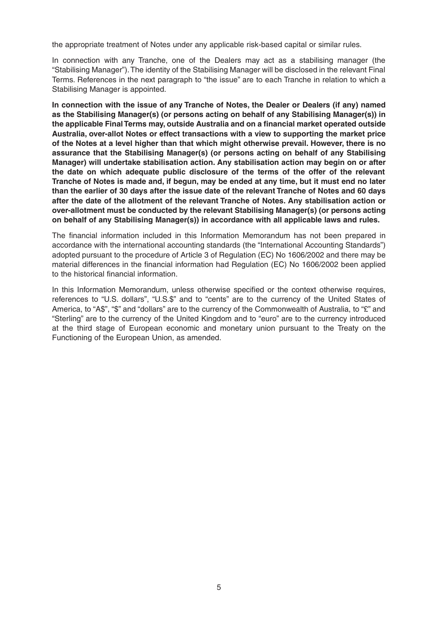the appropriate treatment of Notes under any applicable risk-based capital or similar rules.

In connection with any Tranche, one of the Dealers may act as a stabilising manager (the "Stabilising Manager"). The identity of the Stabilising Manager will be disclosed in the relevant Final Terms. References in the next paragraph to "the issue" are to each Tranche in relation to which a Stabilising Manager is appointed.

**In connection with the issue of any Tranche of Notes, the Dealer or Dealers (if any) named as the Stabilising Manager(s) (or persons acting on behalf of any Stabilising Manager(s)) in the applicable Final Terms may, outside Australia and on a financial market operated outside Australia, over-allot Notes or effect transactions with a view to supporting the market price of the Notes at a level higher than that which might otherwise prevail. However, there is no assurance that the Stabilising Manager(s) (or persons acting on behalf of any Stabilising Manager) will undertake stabilisation action. Any stabilisation action may begin on or after the date on which adequate public disclosure of the terms of the offer of the relevant Tranche of Notes is made and, if begun, may be ended at any time, but it must end no later than the earlier of 30 days after the issue date of the relevant Tranche of Notes and 60 days after the date of the allotment of the relevant Tranche of Notes. Any stabilisation action or over-allotment must be conducted by the relevant Stabilising Manager(s) (or persons acting on behalf of any Stabilising Manager(s)) in accordance with all applicable laws and rules.** 

The financial information included in this Information Memorandum has not been prepared in accordance with the international accounting standards (the "International Accounting Standards") adopted pursuant to the procedure of Article 3 of Regulation (EC) No 1606/2002 and there may be material differences in the financial information had Regulation (EC) No 1606/2002 been applied to the historical financial information.

In this Information Memorandum, unless otherwise specified or the context otherwise requires, references to "U.S. dollars", "U.S.\$" and to "cents" are to the currency of the United States of America, to "A\$", "\$" and "dollars" are to the currency of the Commonwealth of Australia, to "£" and "Sterling" are to the currency of the United Kingdom and to "euro" are to the currency introduced at the third stage of European economic and monetary union pursuant to the Treaty on the Functioning of the European Union, as amended.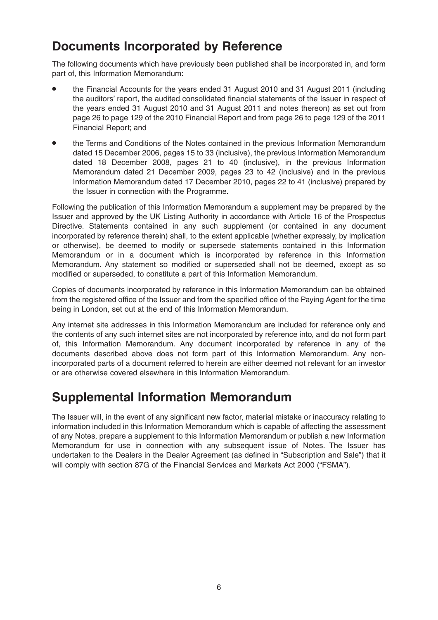### **Documents Incorporated by Reference**

The following documents which have previously been published shall be incorporated in, and form part of, this Information Memorandum:

- the Financial Accounts for the years ended 31 August 2010 and 31 August 2011 (including the auditors' report, the audited consolidated financial statements of the Issuer in respect of the years ended 31 August 2010 and 31 August 2011 and notes thereon) as set out from page 26 to page 129 of the 2010 Financial Report and from page 26 to page 129 of the 2011 Financial Report; and
- the Terms and Conditions of the Notes contained in the previous Information Memorandum dated 15 December 2006, pages 15 to 33 (inclusive), the previous Information Memorandum dated 18 December 2008, pages 21 to 40 (inclusive), in the previous Information Memorandum dated 21 December 2009, pages 23 to 42 (inclusive) and in the previous Information Memorandum dated 17 December 2010, pages 22 to 41 (inclusive) prepared by the Issuer in connection with the Programme.

Following the publication of this Information Memorandum a supplement may be prepared by the Issuer and approved by the UK Listing Authority in accordance with Article 16 of the Prospectus Directive. Statements contained in any such supplement (or contained in any document incorporated by reference therein) shall, to the extent applicable (whether expressly, by implication or otherwise), be deemed to modify or supersede statements contained in this Information Memorandum or in a document which is incorporated by reference in this Information Memorandum. Any statement so modified or superseded shall not be deemed, except as so modified or superseded, to constitute a part of this Information Memorandum.

Copies of documents incorporated by reference in this Information Memorandum can be obtained from the registered office of the Issuer and from the specified office of the Paying Agent for the time being in London, set out at the end of this Information Memorandum.

Any internet site addresses in this Information Memorandum are included for reference only and the contents of any such internet sites are not incorporated by reference into, and do not form part of, this Information Memorandum. Any document incorporated by reference in any of the documents described above does not form part of this Information Memorandum. Any nonincorporated parts of a document referred to herein are either deemed not relevant for an investor or are otherwise covered elsewhere in this Information Memorandum.

### **Supplemental Information Memorandum**

The Issuer will, in the event of any significant new factor, material mistake or inaccuracy relating to information included in this Information Memorandum which is capable of affecting the assessment of any Notes, prepare a supplement to this Information Memorandum or publish a new Information Memorandum for use in connection with any subsequent issue of Notes. The Issuer has undertaken to the Dealers in the Dealer Agreement (as defined in "Subscription and Sale") that it will comply with section 87G of the Financial Services and Markets Act 2000 ("FSMA").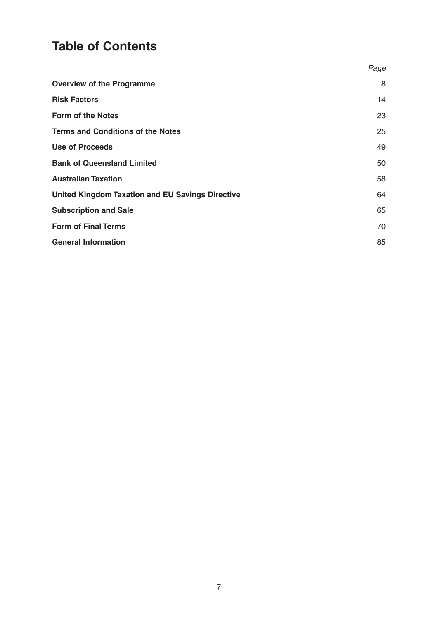## **Table of Contents**

|                                                         | Page |
|---------------------------------------------------------|------|
| <b>Overview of the Programme</b>                        | 8    |
| <b>Risk Factors</b>                                     | 14   |
| <b>Form of the Notes</b>                                | 23   |
| <b>Terms and Conditions of the Notes</b>                | 25   |
| <b>Use of Proceeds</b>                                  | 49   |
| <b>Bank of Queensland Limited</b>                       | 50   |
| <b>Australian Taxation</b>                              | 58   |
| <b>United Kingdom Taxation and EU Savings Directive</b> | 64   |
| <b>Subscription and Sale</b>                            | 65   |
| <b>Form of Final Terms</b>                              | 70   |
| <b>General Information</b>                              | 85   |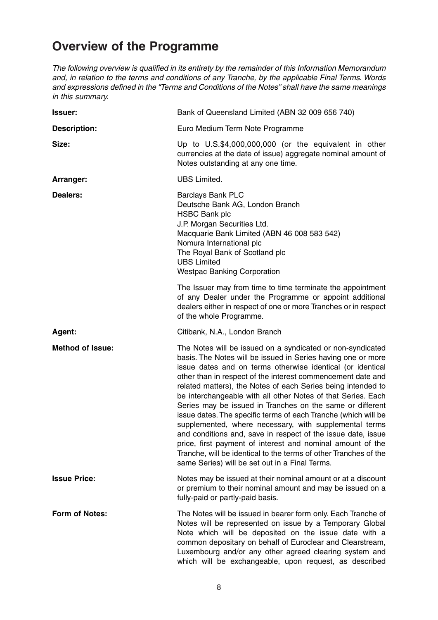## **Overview of the Programme**

The following overview is qualified in its entirety by the remainder of this Information Memorandum and, in relation to the terms and conditions of any Tranche, by the applicable Final Terms. Words and expressions defined in the "Terms and Conditions of the Notes" shall have the same meanings in this summary.

| <b>Issuer:</b>          | Bank of Queensland Limited (ABN 32 009 656 740)                                                                                                                                                                                                                                                                                                                                                                                                                                                                                                                                                                                                                                                                                                                                                                                      |
|-------------------------|--------------------------------------------------------------------------------------------------------------------------------------------------------------------------------------------------------------------------------------------------------------------------------------------------------------------------------------------------------------------------------------------------------------------------------------------------------------------------------------------------------------------------------------------------------------------------------------------------------------------------------------------------------------------------------------------------------------------------------------------------------------------------------------------------------------------------------------|
| <b>Description:</b>     | Euro Medium Term Note Programme                                                                                                                                                                                                                                                                                                                                                                                                                                                                                                                                                                                                                                                                                                                                                                                                      |
| Size:                   | Up to U.S.\$4,000,000,000 (or the equivalent in other<br>currencies at the date of issue) aggregate nominal amount of<br>Notes outstanding at any one time.                                                                                                                                                                                                                                                                                                                                                                                                                                                                                                                                                                                                                                                                          |
| Arranger:               | <b>UBS Limited.</b>                                                                                                                                                                                                                                                                                                                                                                                                                                                                                                                                                                                                                                                                                                                                                                                                                  |
| <b>Dealers:</b>         | <b>Barclays Bank PLC</b><br>Deutsche Bank AG, London Branch<br><b>HSBC Bank plc</b><br>J.P. Morgan Securities Ltd.<br>Macquarie Bank Limited (ABN 46 008 583 542)<br>Nomura International plc<br>The Royal Bank of Scotland plc<br><b>UBS Limited</b><br><b>Westpac Banking Corporation</b>                                                                                                                                                                                                                                                                                                                                                                                                                                                                                                                                          |
|                         | The Issuer may from time to time terminate the appointment<br>of any Dealer under the Programme or appoint additional<br>dealers either in respect of one or more Tranches or in respect<br>of the whole Programme.                                                                                                                                                                                                                                                                                                                                                                                                                                                                                                                                                                                                                  |
| Agent:                  | Citibank, N.A., London Branch                                                                                                                                                                                                                                                                                                                                                                                                                                                                                                                                                                                                                                                                                                                                                                                                        |
| <b>Method of Issue:</b> | The Notes will be issued on a syndicated or non-syndicated<br>basis. The Notes will be issued in Series having one or more<br>issue dates and on terms otherwise identical (or identical<br>other than in respect of the interest commencement date and<br>related matters), the Notes of each Series being intended to<br>be interchangeable with all other Notes of that Series. Each<br>Series may be issued in Tranches on the same or different<br>issue dates. The specific terms of each Tranche (which will be<br>supplemented, where necessary, with supplemental terms<br>and conditions and, save in respect of the issue date, issue<br>price, first payment of interest and nominal amount of the<br>Tranche, will be identical to the terms of other Tranches of the<br>same Series) will be set out in a Final Terms. |
| <b>Issue Price:</b>     | Notes may be issued at their nominal amount or at a discount<br>or premium to their nominal amount and may be issued on a<br>fully-paid or partly-paid basis.                                                                                                                                                                                                                                                                                                                                                                                                                                                                                                                                                                                                                                                                        |
| Form of Notes:          | The Notes will be issued in bearer form only. Each Tranche of<br>Notes will be represented on issue by a Temporary Global<br>Note which will be deposited on the issue date with a<br>common depositary on behalf of Euroclear and Clearstream,<br>Luxembourg and/or any other agreed clearing system and<br>which will be exchangeable, upon request, as described                                                                                                                                                                                                                                                                                                                                                                                                                                                                  |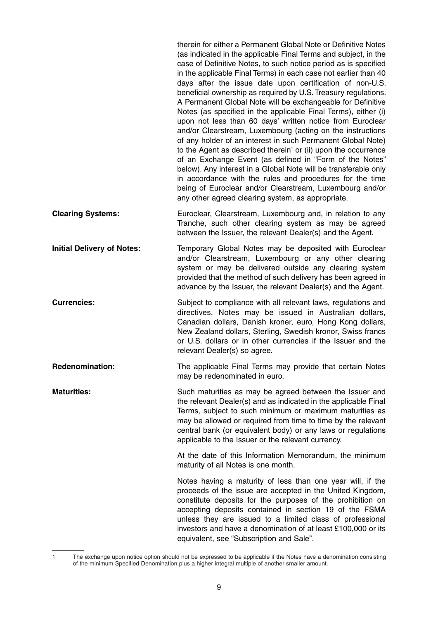|                                   | therein for either a Permanent Global Note or Definitive Notes<br>(as indicated in the applicable Final Terms and subject, in the<br>case of Definitive Notes, to such notice period as is specified<br>in the applicable Final Terms) in each case not earlier than 40<br>days after the issue date upon certification of non-U.S.<br>beneficial ownership as required by U.S. Treasury regulations.<br>A Permanent Global Note will be exchangeable for Definitive<br>Notes (as specified in the applicable Final Terms), either (i)<br>upon not less than 60 days' written notice from Euroclear<br>and/or Clearstream, Luxembourg (acting on the instructions<br>of any holder of an interest in such Permanent Global Note)<br>to the Agent as described therein <sup>1</sup> or (ii) upon the occurrence<br>of an Exchange Event (as defined in "Form of the Notes"<br>below). Any interest in a Global Note will be transferable only<br>in accordance with the rules and procedures for the time<br>being of Euroclear and/or Clearstream, Luxembourg and/or<br>any other agreed clearing system, as appropriate. |
|-----------------------------------|---------------------------------------------------------------------------------------------------------------------------------------------------------------------------------------------------------------------------------------------------------------------------------------------------------------------------------------------------------------------------------------------------------------------------------------------------------------------------------------------------------------------------------------------------------------------------------------------------------------------------------------------------------------------------------------------------------------------------------------------------------------------------------------------------------------------------------------------------------------------------------------------------------------------------------------------------------------------------------------------------------------------------------------------------------------------------------------------------------------------------|
| <b>Clearing Systems:</b>          | Euroclear, Clearstream, Luxembourg and, in relation to any<br>Tranche, such other clearing system as may be agreed<br>between the Issuer, the relevant Dealer(s) and the Agent.                                                                                                                                                                                                                                                                                                                                                                                                                                                                                                                                                                                                                                                                                                                                                                                                                                                                                                                                           |
| <b>Initial Delivery of Notes:</b> | Temporary Global Notes may be deposited with Euroclear<br>and/or Clearstream, Luxembourg or any other clearing<br>system or may be delivered outside any clearing system<br>provided that the method of such delivery has been agreed in<br>advance by the Issuer, the relevant Dealer(s) and the Agent.                                                                                                                                                                                                                                                                                                                                                                                                                                                                                                                                                                                                                                                                                                                                                                                                                  |
| <b>Currencies:</b>                | Subject to compliance with all relevant laws, regulations and<br>directives, Notes may be issued in Australian dollars,<br>Canadian dollars, Danish kroner, euro, Hong Kong dollars,<br>New Zealand dollars, Sterling, Swedish kronor, Swiss francs<br>or U.S. dollars or in other currencies if the Issuer and the<br>relevant Dealer(s) so agree.                                                                                                                                                                                                                                                                                                                                                                                                                                                                                                                                                                                                                                                                                                                                                                       |
| Redenomination:                   | The applicable Final Terms may provide that certain Notes<br>may be redenominated in euro.                                                                                                                                                                                                                                                                                                                                                                                                                                                                                                                                                                                                                                                                                                                                                                                                                                                                                                                                                                                                                                |
| <b>Maturities:</b>                | Such maturities as may be agreed between the Issuer and<br>the relevant Dealer(s) and as indicated in the applicable Final<br>Terms, subject to such minimum or maximum maturities as<br>may be allowed or required from time to time by the relevant<br>central bank (or equivalent body) or any laws or regulations<br>applicable to the Issuer or the relevant currency.                                                                                                                                                                                                                                                                                                                                                                                                                                                                                                                                                                                                                                                                                                                                               |
|                                   | At the date of this Information Memorandum, the minimum<br>maturity of all Notes is one month.                                                                                                                                                                                                                                                                                                                                                                                                                                                                                                                                                                                                                                                                                                                                                                                                                                                                                                                                                                                                                            |
|                                   | Notes having a maturity of less than one year will, if the<br>proceeds of the issue are accepted in the United Kingdom,<br>constitute deposits for the purposes of the prohibition on<br>accepting deposits contained in section 19 of the FSMA<br>unless they are issued to a limited class of professional<br>investors and have a denomination of at least £100,000 or its<br>equivalent, see "Subscription and Sale".                                                                                                                                                                                                                                                                                                                                                                                                                                                                                                                                                                                                                                                                                                 |

<sup>1</sup> The exchange upon notice option should not be expressed to be applicable if the Notes have a denomination consisting of the minimum Specified Denomination plus a higher integral multiple of another smaller amount.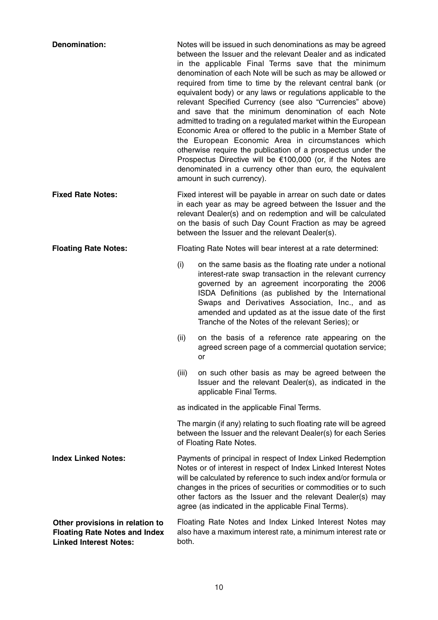| Denomination:                                                                                            |                                                                                                                                                                                                                                                                                                                                                                                        | Notes will be issued in such denominations as may be agreed<br>between the Issuer and the relevant Dealer and as indicated<br>in the applicable Final Terms save that the minimum<br>denomination of each Note will be such as may be allowed or<br>required from time to time by the relevant central bank (or<br>equivalent body) or any laws or regulations applicable to the<br>relevant Specified Currency (see also "Currencies" above)<br>and save that the minimum denomination of each Note<br>admitted to trading on a regulated market within the European<br>Economic Area or offered to the public in a Member State of<br>the European Economic Area in circumstances which<br>otherwise require the publication of a prospectus under the<br>Prospectus Directive will be €100,000 (or, if the Notes are<br>denominated in a currency other than euro, the equivalent<br>amount in such currency). |  |
|----------------------------------------------------------------------------------------------------------|----------------------------------------------------------------------------------------------------------------------------------------------------------------------------------------------------------------------------------------------------------------------------------------------------------------------------------------------------------------------------------------|-------------------------------------------------------------------------------------------------------------------------------------------------------------------------------------------------------------------------------------------------------------------------------------------------------------------------------------------------------------------------------------------------------------------------------------------------------------------------------------------------------------------------------------------------------------------------------------------------------------------------------------------------------------------------------------------------------------------------------------------------------------------------------------------------------------------------------------------------------------------------------------------------------------------|--|
| <b>Fixed Rate Notes:</b>                                                                                 | Fixed interest will be payable in arrear on such date or dates<br>in each year as may be agreed between the Issuer and the<br>relevant Dealer(s) and on redemption and will be calculated<br>on the basis of such Day Count Fraction as may be agreed<br>between the Issuer and the relevant Dealer(s).                                                                                |                                                                                                                                                                                                                                                                                                                                                                                                                                                                                                                                                                                                                                                                                                                                                                                                                                                                                                                   |  |
| <b>Floating Rate Notes:</b>                                                                              | Floating Rate Notes will bear interest at a rate determined:                                                                                                                                                                                                                                                                                                                           |                                                                                                                                                                                                                                                                                                                                                                                                                                                                                                                                                                                                                                                                                                                                                                                                                                                                                                                   |  |
|                                                                                                          | (i)                                                                                                                                                                                                                                                                                                                                                                                    | on the same basis as the floating rate under a notional<br>interest-rate swap transaction in the relevant currency<br>governed by an agreement incorporating the 2006<br>ISDA Definitions (as published by the International<br>Swaps and Derivatives Association, Inc., and as<br>amended and updated as at the issue date of the first<br>Tranche of the Notes of the relevant Series); or                                                                                                                                                                                                                                                                                                                                                                                                                                                                                                                      |  |
|                                                                                                          | (ii)                                                                                                                                                                                                                                                                                                                                                                                   | on the basis of a reference rate appearing on the<br>agreed screen page of a commercial quotation service;<br>or                                                                                                                                                                                                                                                                                                                                                                                                                                                                                                                                                                                                                                                                                                                                                                                                  |  |
|                                                                                                          | (iii)                                                                                                                                                                                                                                                                                                                                                                                  | on such other basis as may be agreed between the<br>Issuer and the relevant Dealer(s), as indicated in the<br>applicable Final Terms.                                                                                                                                                                                                                                                                                                                                                                                                                                                                                                                                                                                                                                                                                                                                                                             |  |
|                                                                                                          | as indicated in the applicable Final Terms.                                                                                                                                                                                                                                                                                                                                            |                                                                                                                                                                                                                                                                                                                                                                                                                                                                                                                                                                                                                                                                                                                                                                                                                                                                                                                   |  |
|                                                                                                          | The margin (if any) relating to such floating rate will be agreed<br>between the Issuer and the relevant Dealer(s) for each Series<br>of Floating Rate Notes.                                                                                                                                                                                                                          |                                                                                                                                                                                                                                                                                                                                                                                                                                                                                                                                                                                                                                                                                                                                                                                                                                                                                                                   |  |
| <b>Index Linked Notes:</b>                                                                               | Payments of principal in respect of Index Linked Redemption<br>Notes or of interest in respect of Index Linked Interest Notes<br>will be calculated by reference to such index and/or formula or<br>changes in the prices of securities or commodities or to such<br>other factors as the Issuer and the relevant Dealer(s) may<br>agree (as indicated in the applicable Final Terms). |                                                                                                                                                                                                                                                                                                                                                                                                                                                                                                                                                                                                                                                                                                                                                                                                                                                                                                                   |  |
| Other provisions in relation to<br><b>Floating Rate Notes and Index</b><br><b>Linked Interest Notes:</b> | Floating Rate Notes and Index Linked Interest Notes may<br>also have a maximum interest rate, a minimum interest rate or<br>both.                                                                                                                                                                                                                                                      |                                                                                                                                                                                                                                                                                                                                                                                                                                                                                                                                                                                                                                                                                                                                                                                                                                                                                                                   |  |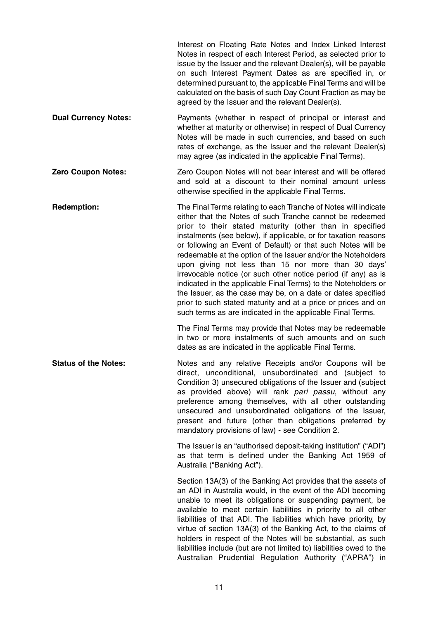|                             | Interest on Floating Rate Notes and Index Linked Interest<br>Notes in respect of each Interest Period, as selected prior to<br>issue by the Issuer and the relevant Dealer(s), will be payable<br>on such Interest Payment Dates as are specified in, or<br>determined pursuant to, the applicable Final Terms and will be<br>calculated on the basis of such Day Count Fraction as may be<br>agreed by the Issuer and the relevant Dealer(s).                                                                                                                                                                                                                                                                                                                                       |
|-----------------------------|--------------------------------------------------------------------------------------------------------------------------------------------------------------------------------------------------------------------------------------------------------------------------------------------------------------------------------------------------------------------------------------------------------------------------------------------------------------------------------------------------------------------------------------------------------------------------------------------------------------------------------------------------------------------------------------------------------------------------------------------------------------------------------------|
| <b>Dual Currency Notes:</b> | Payments (whether in respect of principal or interest and<br>whether at maturity or otherwise) in respect of Dual Currency<br>Notes will be made in such currencies, and based on such<br>rates of exchange, as the Issuer and the relevant Dealer(s)<br>may agree (as indicated in the applicable Final Terms).                                                                                                                                                                                                                                                                                                                                                                                                                                                                     |
| <b>Zero Coupon Notes:</b>   | Zero Coupon Notes will not bear interest and will be offered<br>and sold at a discount to their nominal amount unless<br>otherwise specified in the applicable Final Terms.                                                                                                                                                                                                                                                                                                                                                                                                                                                                                                                                                                                                          |
| <b>Redemption:</b>          | The Final Terms relating to each Tranche of Notes will indicate<br>either that the Notes of such Tranche cannot be redeemed<br>prior to their stated maturity (other than in specified<br>instalments (see below), if applicable, or for taxation reasons<br>or following an Event of Default) or that such Notes will be<br>redeemable at the option of the Issuer and/or the Noteholders<br>upon giving not less than 15 nor more than 30 days'<br>irrevocable notice (or such other notice period (if any) as is<br>indicated in the applicable Final Terms) to the Noteholders or<br>the Issuer, as the case may be, on a date or dates specified<br>prior to such stated maturity and at a price or prices and on<br>such terms as are indicated in the applicable Final Terms. |
|                             | The Final Terms may provide that Notes may be redeemable<br>in two or more instalments of such amounts and on such<br>dates as are indicated in the applicable Final Terms.                                                                                                                                                                                                                                                                                                                                                                                                                                                                                                                                                                                                          |
| <b>Status of the Notes:</b> | Notes and any relative Receipts and/or Coupons will be<br>direct, unconditional, unsubordinated and (subject to<br>Condition 3) unsecured obligations of the Issuer and (subject<br>as provided above) will rank pari passu, without any<br>preference among themselves, with all other outstanding<br>unsecured and unsubordinated obligations of the Issuer,<br>present and future (other than obligations preferred by<br>mandatory provisions of law) - see Condition 2.                                                                                                                                                                                                                                                                                                         |
|                             | The Issuer is an "authorised deposit-taking institution" ("ADI")<br>as that term is defined under the Banking Act 1959 of<br>Australia ("Banking Act").                                                                                                                                                                                                                                                                                                                                                                                                                                                                                                                                                                                                                              |
|                             | Section 13A(3) of the Banking Act provides that the assets of<br>an ADI in Australia would, in the event of the ADI becoming<br>unable to meet its obligations or suspending payment, be<br>available to meet certain liabilities in priority to all other<br>liabilities of that ADI. The liabilities which have priority, by<br>virtue of section 13A(3) of the Banking Act, to the claims of<br>holders in respect of the Notes will be substantial, as such<br>liabilities include (but are not limited to) liabilities owed to the<br>Australian Prudential Regulation Authority ("APRA") in                                                                                                                                                                                    |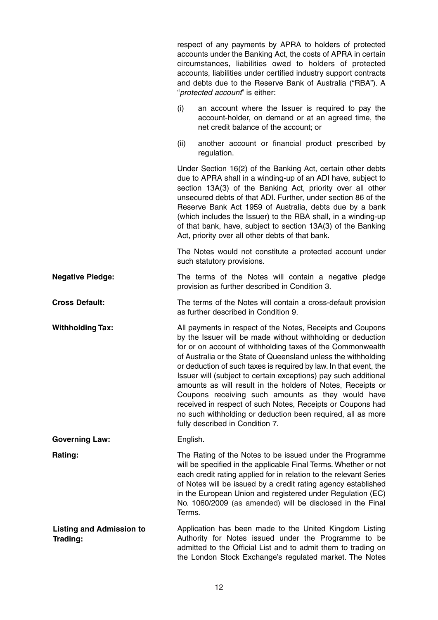|                                             |          | respect of any payments by APRA to holders of protected<br>accounts under the Banking Act, the costs of APRA in certain<br>circumstances, liabilities owed to holders of protected<br>accounts, liabilities under certified industry support contracts<br>and debts due to the Reserve Bank of Australia ("RBA"). A<br>"protected account" is either:                                                                                                                                                                                                                                                                                                                                 |
|---------------------------------------------|----------|---------------------------------------------------------------------------------------------------------------------------------------------------------------------------------------------------------------------------------------------------------------------------------------------------------------------------------------------------------------------------------------------------------------------------------------------------------------------------------------------------------------------------------------------------------------------------------------------------------------------------------------------------------------------------------------|
|                                             | (i)      | an account where the Issuer is required to pay the<br>account-holder, on demand or at an agreed time, the<br>net credit balance of the account; or                                                                                                                                                                                                                                                                                                                                                                                                                                                                                                                                    |
|                                             | (ii)     | another account or financial product prescribed by<br>regulation.                                                                                                                                                                                                                                                                                                                                                                                                                                                                                                                                                                                                                     |
|                                             |          | Under Section 16(2) of the Banking Act, certain other debts<br>due to APRA shall in a winding-up of an ADI have, subject to<br>section 13A(3) of the Banking Act, priority over all other<br>unsecured debts of that ADI. Further, under section 86 of the<br>Reserve Bank Act 1959 of Australia, debts due by a bank<br>(which includes the Issuer) to the RBA shall, in a winding-up<br>of that bank, have, subject to section 13A(3) of the Banking<br>Act, priority over all other debts of that bank.                                                                                                                                                                            |
|                                             |          | The Notes would not constitute a protected account under<br>such statutory provisions.                                                                                                                                                                                                                                                                                                                                                                                                                                                                                                                                                                                                |
| <b>Negative Pledge:</b>                     |          | The terms of the Notes will contain a negative pledge<br>provision as further described in Condition 3.                                                                                                                                                                                                                                                                                                                                                                                                                                                                                                                                                                               |
| <b>Cross Default:</b>                       |          | The terms of the Notes will contain a cross-default provision<br>as further described in Condition 9.                                                                                                                                                                                                                                                                                                                                                                                                                                                                                                                                                                                 |
| <b>Withholding Tax:</b>                     |          | All payments in respect of the Notes, Receipts and Coupons<br>by the Issuer will be made without withholding or deduction<br>for or on account of withholding taxes of the Commonwealth<br>of Australia or the State of Queensland unless the withholding<br>or deduction of such taxes is required by law. In that event, the<br>Issuer will (subject to certain exceptions) pay such additional<br>amounts as will result in the holders of Notes, Receipts or<br>Coupons receiving such amounts as they would have<br>received in respect of such Notes, Receipts or Coupons had<br>no such withholding or deduction been required, all as more<br>fully described in Condition 7. |
| <b>Governing Law:</b>                       | English. |                                                                                                                                                                                                                                                                                                                                                                                                                                                                                                                                                                                                                                                                                       |
| Rating:                                     | Terms.   | The Rating of the Notes to be issued under the Programme<br>will be specified in the applicable Final Terms. Whether or not<br>each credit rating applied for in relation to the relevant Series<br>of Notes will be issued by a credit rating agency established<br>in the European Union and registered under Regulation (EC)<br>No. 1060/2009 (as amended) will be disclosed in the Final                                                                                                                                                                                                                                                                                          |
| <b>Listing and Admission to</b><br>Trading: |          | Application has been made to the United Kingdom Listing<br>Authority for Notes issued under the Programme to be<br>admitted to the Official List and to admit them to trading on<br>the London Stock Exchange's regulated market. The Notes                                                                                                                                                                                                                                                                                                                                                                                                                                           |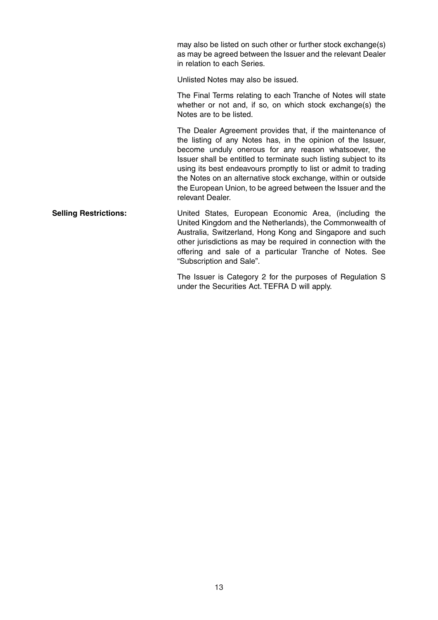may also be listed on such other or further stock exchange(s) as may be agreed between the Issuer and the relevant Dealer in relation to each Series.

Unlisted Notes may also be issued.

The Final Terms relating to each Tranche of Notes will state whether or not and, if so, on which stock exchange(s) the Notes are to be listed.

The Dealer Agreement provides that, if the maintenance of the listing of any Notes has, in the opinion of the Issuer, become unduly onerous for any reason whatsoever, the Issuer shall be entitled to terminate such listing subject to its using its best endeavours promptly to list or admit to trading the Notes on an alternative stock exchange, within or outside the European Union, to be agreed between the Issuer and the relevant Dealer.

**Selling Restrictions:** United States, European Economic Area, (including the United Kingdom and the Netherlands), the Commonwealth of Australia, Switzerland, Hong Kong and Singapore and such other jurisdictions as may be required in connection with the offering and sale of a particular Tranche of Notes. See "Subscription and Sale".

> The Issuer is Category 2 for the purposes of Regulation S under the Securities Act. TEFRA D will apply.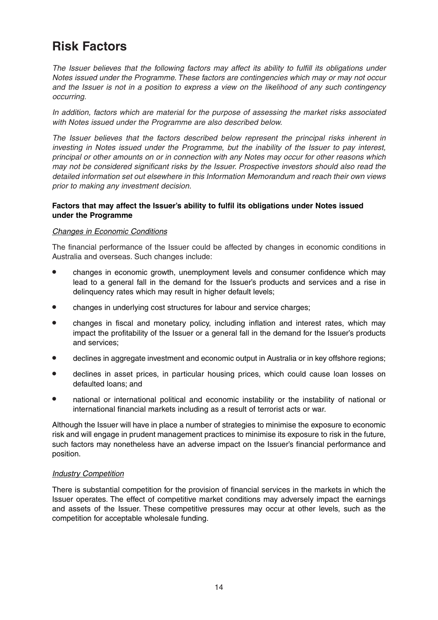### **Risk Factors**

The Issuer believes that the following factors may affect its ability to fulfill its obligations under Notes issued under the Programme. These factors are contingencies which may or may not occur and the Issuer is not in a position to express a view on the likelihood of any such contingency occurring.

In addition, factors which are material for the purpose of assessing the market risks associated with Notes issued under the Programme are also described below.

The Issuer believes that the factors described below represent the principal risks inherent in investing in Notes issued under the Programme, but the inability of the Issuer to pay interest, principal or other amounts on or in connection with any Notes may occur for other reasons which may not be considered significant risks by the Issuer. Prospective investors should also read the detailed information set out elsewhere in this Information Memorandum and reach their own views prior to making any investment decision.

#### **Factors that may affect the Issuer's ability to fulfil its obligations under Notes issued under the Programme**

#### Changes in Economic Conditions

The financial performance of the Issuer could be affected by changes in economic conditions in Australia and overseas. Such changes include:

- changes in economic growth, unemployment levels and consumer confidence which may lead to a general fall in the demand for the Issuer's products and services and a rise in delinquency rates which may result in higher default levels;
- changes in underlying cost structures for labour and service charges;
- changes in fiscal and monetary policy, including inflation and interest rates, which may impact the profitability of the Issuer or a general fall in the demand for the Issuer's products and services;
- declines in aggregate investment and economic output in Australia or in key offshore regions;
- declines in asset prices, in particular housing prices, which could cause loan losses on defaulted loans; and
- national or international political and economic instability or the instability of national or international financial markets including as a result of terrorist acts or war.

Although the Issuer will have in place a number of strategies to minimise the exposure to economic risk and will engage in prudent management practices to minimise its exposure to risk in the future, such factors may nonetheless have an adverse impact on the Issuer's financial performance and position.

#### Industry Competition

There is substantial competition for the provision of financial services in the markets in which the Issuer operates. The effect of competitive market conditions may adversely impact the earnings and assets of the Issuer. These competitive pressures may occur at other levels, such as the competition for acceptable wholesale funding.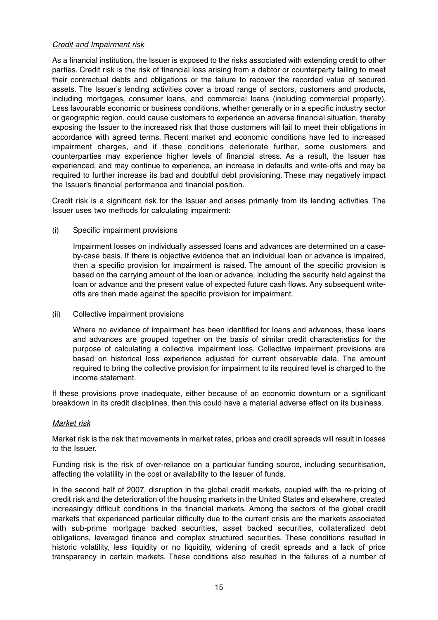#### Credit and Impairment risk

As a financial institution, the Issuer is exposed to the risks associated with extending credit to other parties. Credit risk is the risk of financial loss arising from a debtor or counterparty failing to meet their contractual debts and obligations or the failure to recover the recorded value of secured assets. The Issuer's lending activities cover a broad range of sectors, customers and products, including mortgages, consumer loans, and commercial loans (including commercial property). Less favourable economic or business conditions, whether generally or in a specific industry sector or geographic region, could cause customers to experience an adverse financial situation, thereby exposing the Issuer to the increased risk that those customers will fail to meet their obligations in accordance with agreed terms. Recent market and economic conditions have led to increased impairment charges, and if these conditions deteriorate further, some customers and counterparties may experience higher levels of financial stress. As a result, the Issuer has experienced, and may continue to experience, an increase in defaults and write-offs and may be required to further increase its bad and doubtful debt provisioning. These may negatively impact the Issuer's financial performance and financial position.

Credit risk is a significant risk for the Issuer and arises primarily from its lending activities. The Issuer uses two methods for calculating impairment:

(i) Specific impairment provisions

Impairment losses on individually assessed loans and advances are determined on a caseby-case basis. If there is objective evidence that an individual loan or advance is impaired, then a specific provision for impairment is raised. The amount of the specific provision is based on the carrying amount of the loan or advance, including the security held against the loan or advance and the present value of expected future cash flows. Any subsequent writeoffs are then made against the specific provision for impairment.

(ii) Collective impairment provisions

Where no evidence of impairment has been identified for loans and advances, these loans and advances are grouped together on the basis of similar credit characteristics for the purpose of calculating a collective impairment loss. Collective impairment provisions are based on historical loss experience adjusted for current observable data. The amount required to bring the collective provision for impairment to its required level is charged to the income statement.

If these provisions prove inadequate, either because of an economic downturn or a significant breakdown in its credit disciplines, then this could have a material adverse effect on its business.

#### Market risk

Market risk is the risk that movements in market rates, prices and credit spreads will result in losses to the Issuer.

Funding risk is the risk of over-reliance on a particular funding source, including securitisation, affecting the volatility in the cost or availability to the Issuer of funds.

In the second half of 2007, disruption in the global credit markets, coupled with the re-pricing of credit risk and the deterioration of the housing markets in the United States and elsewhere, created increasingly difficult conditions in the financial markets. Among the sectors of the global credit markets that experienced particular difficulty due to the current crisis are the markets associated with sub-prime mortgage backed securities, asset backed securities, collateralized debt obligations, leveraged finance and complex structured securities. These conditions resulted in historic volatility, less liquidity or no liquidity, widening of credit spreads and a lack of price transparency in certain markets. These conditions also resulted in the failures of a number of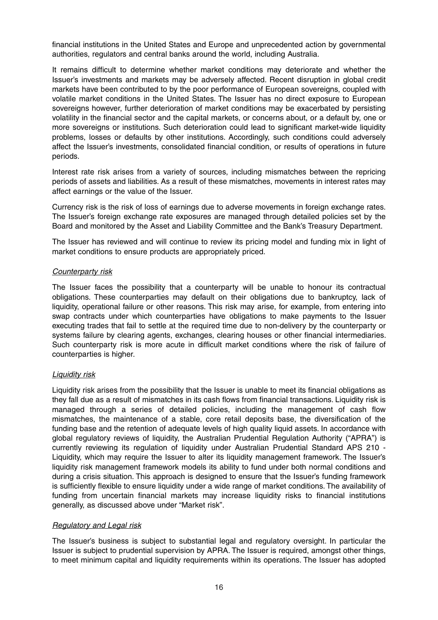financial institutions in the United States and Europe and unprecedented action by governmental authorities, regulators and central banks around the world, including Australia.

It remains difficult to determine whether market conditions may deteriorate and whether the Issuer's investments and markets may be adversely affected. Recent disruption in global credit markets have been contributed to by the poor performance of European sovereigns, coupled with volatile market conditions in the United States. The Issuer has no direct exposure to European sovereigns however, further deterioration of market conditions may be exacerbated by persisting volatility in the financial sector and the capital markets, or concerns about, or a default by, one or more sovereigns or institutions. Such deterioration could lead to significant market-wide liquidity problems, losses or defaults by other institutions. Accordingly, such conditions could adversely affect the Issuer's investments, consolidated financial condition, or results of operations in future periods.

Interest rate risk arises from a variety of sources, including mismatches between the repricing periods of assets and liabilities. As a result of these mismatches, movements in interest rates may affect earnings or the value of the Issuer.

Currency risk is the risk of loss of earnings due to adverse movements in foreign exchange rates. The Issuer's foreign exchange rate exposures are managed through detailed policies set by the Board and monitored by the Asset and Liability Committee and the Bank's Treasury Department.

The Issuer has reviewed and will continue to review its pricing model and funding mix in light of market conditions to ensure products are appropriately priced.

#### Counterparty risk

The Issuer faces the possibility that a counterparty will be unable to honour its contractual obligations. These counterparties may default on their obligations due to bankruptcy, lack of liquidity, operational failure or other reasons. This risk may arise, for example, from entering into swap contracts under which counterparties have obligations to make payments to the Issuer executing trades that fail to settle at the required time due to non-delivery by the counterparty or systems failure by clearing agents, exchanges, clearing houses or other financial intermediaries. Such counterparty risk is more acute in difficult market conditions where the risk of failure of counterparties is higher.

#### Liquidity risk

Liquidity risk arises from the possibility that the Issuer is unable to meet its financial obligations as they fall due as a result of mismatches in its cash flows from financial transactions. Liquidity risk is managed through a series of detailed policies, including the management of cash flow mismatches, the maintenance of a stable, core retail deposits base, the diversification of the funding base and the retention of adequate levels of high quality liquid assets. In accordance with global regulatory reviews of liquidity, the Australian Prudential Regulation Authority ("APRA") is currently reviewing its regulation of liquidity under Australian Prudential Standard APS 210 - Liquidity, which may require the Issuer to alter its liquidity management framework. The Issuer's liquidity risk management framework models its ability to fund under both normal conditions and during a crisis situation. This approach is designed to ensure that the Issuer's funding framework is sufficiently flexible to ensure liquidity under a wide range of market conditions. The availability of funding from uncertain financial markets may increase liquidity risks to financial institutions generally, as discussed above under "Market risk".

#### Regulatory and Legal risk

The Issuer's business is subject to substantial legal and regulatory oversight. In particular the Issuer is subject to prudential supervision by APRA. The Issuer is required, amongst other things, to meet minimum capital and liquidity requirements within its operations. The Issuer has adopted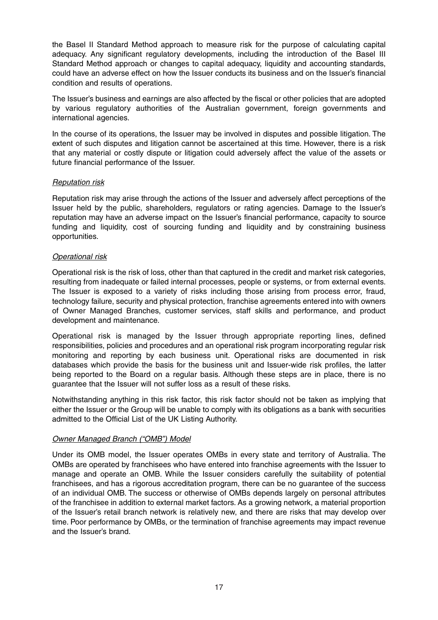the Basel II Standard Method approach to measure risk for the purpose of calculating capital adequacy. Any significant regulatory developments, including the introduction of the Basel III Standard Method approach or changes to capital adequacy, liquidity and accounting standards, could have an adverse effect on how the Issuer conducts its business and on the Issuer's financial condition and results of operations.

The Issuer's business and earnings are also affected by the fiscal or other policies that are adopted by various regulatory authorities of the Australian government, foreign governments and international agencies.

In the course of its operations, the Issuer may be involved in disputes and possible litigation. The extent of such disputes and litigation cannot be ascertained at this time. However, there is a risk that any material or costly dispute or litigation could adversely affect the value of the assets or future financial performance of the Issuer.

#### Reputation risk

Reputation risk may arise through the actions of the Issuer and adversely affect perceptions of the Issuer held by the public, shareholders, regulators or rating agencies. Damage to the Issuer's reputation may have an adverse impact on the Issuer's financial performance, capacity to source funding and liquidity, cost of sourcing funding and liquidity and by constraining business opportunities.

#### Operational risk

Operational risk is the risk of loss, other than that captured in the credit and market risk categories, resulting from inadequate or failed internal processes, people or systems, or from external events. The Issuer is exposed to a variety of risks including those arising from process error, fraud, technology failure, security and physical protection, franchise agreements entered into with owners of Owner Managed Branches, customer services, staff skills and performance, and product development and maintenance.

Operational risk is managed by the Issuer through appropriate reporting lines, defined responsibilities, policies and procedures and an operational risk program incorporating regular risk monitoring and reporting by each business unit. Operational risks are documented in risk databases which provide the basis for the business unit and Issuer-wide risk profiles, the latter being reported to the Board on a regular basis. Although these steps are in place, there is no guarantee that the Issuer will not suffer loss as a result of these risks.

Notwithstanding anything in this risk factor, this risk factor should not be taken as implying that either the Issuer or the Group will be unable to comply with its obligations as a bank with securities admitted to the Official List of the UK Listing Authority.

#### Owner Managed Branch ("OMB") Model

Under its OMB model, the Issuer operates OMBs in every state and territory of Australia. The OMBs are operated by franchisees who have entered into franchise agreements with the Issuer to manage and operate an OMB. While the Issuer considers carefully the suitability of potential franchisees, and has a rigorous accreditation program, there can be no guarantee of the success of an individual OMB. The success or otherwise of OMBs depends largely on personal attributes of the franchisee in addition to external market factors. As a growing network, a material proportion of the Issuer's retail branch network is relatively new, and there are risks that may develop over time. Poor performance by OMBs, or the termination of franchise agreements may impact revenue and the Issuer's brand.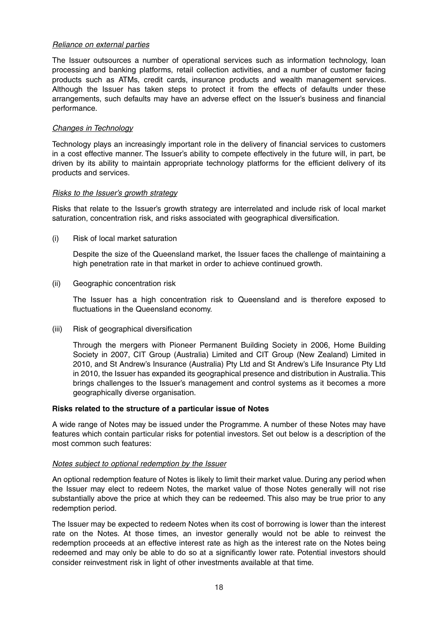#### Reliance on external parties

The Issuer outsources a number of operational services such as information technology, loan processing and banking platforms, retail collection activities, and a number of customer facing products such as ATMs, credit cards, insurance products and wealth management services. Although the Issuer has taken steps to protect it from the effects of defaults under these arrangements, such defaults may have an adverse effect on the Issuer's business and financial performance.

#### Changes in Technology

Technology plays an increasingly important role in the delivery of financial services to customers in a cost effective manner. The Issuer's ability to compete effectively in the future will, in part, be driven by its ability to maintain appropriate technology platforms for the efficient delivery of its products and services.

#### Risks to the Issuer's growth strategy

Risks that relate to the Issuer's growth strategy are interrelated and include risk of local market saturation, concentration risk, and risks associated with geographical diversification.

(i) Risk of local market saturation

Despite the size of the Queensland market, the Issuer faces the challenge of maintaining a high penetration rate in that market in order to achieve continued growth.

(ii) Geographic concentration risk

The Issuer has a high concentration risk to Queensland and is therefore exposed to fluctuations in the Queensland economy.

(iii) Risk of geographical diversification

Through the mergers with Pioneer Permanent Building Society in 2006, Home Building Society in 2007, CIT Group (Australia) Limited and CIT Group (New Zealand) Limited in 2010, and St Andrew's Insurance (Australia) Pty Ltd and St Andrew's Life Insurance Pty Ltd in 2010, the Issuer has expanded its geographical presence and distribution in Australia.This brings challenges to the Issuer's management and control systems as it becomes a more geographically diverse organisation.

#### **Risks related to the structure of a particular issue of Notes**

A wide range of Notes may be issued under the Programme. A number of these Notes may have features which contain particular risks for potential investors. Set out below is a description of the most common such features:

#### Notes subject to optional redemption by the Issuer

An optional redemption feature of Notes is likely to limit their market value. During any period when the Issuer may elect to redeem Notes, the market value of those Notes generally will not rise substantially above the price at which they can be redeemed. This also may be true prior to any redemption period.

The Issuer may be expected to redeem Notes when its cost of borrowing is lower than the interest rate on the Notes. At those times, an investor generally would not be able to reinvest the redemption proceeds at an effective interest rate as high as the interest rate on the Notes being redeemed and may only be able to do so at a significantly lower rate. Potential investors should consider reinvestment risk in light of other investments available at that time.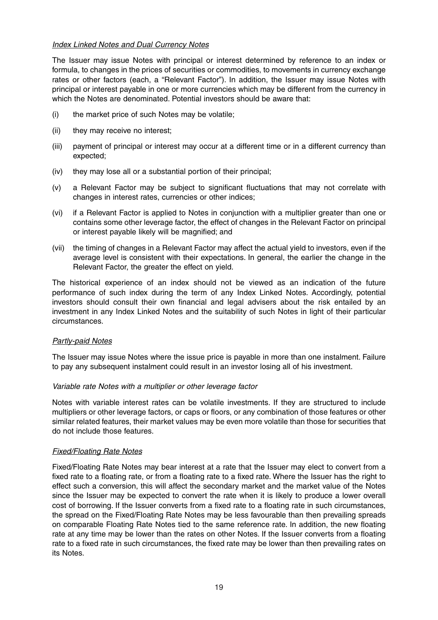#### Index Linked Notes and Dual Currency Notes

The Issuer may issue Notes with principal or interest determined by reference to an index or formula, to changes in the prices of securities or commodities, to movements in currency exchange rates or other factors (each, a "Relevant Factor"). In addition, the Issuer may issue Notes with principal or interest payable in one or more currencies which may be different from the currency in which the Notes are denominated. Potential investors should be aware that:

- (i) the market price of such Notes may be volatile;
- (ii) they may receive no interest;
- (iii) payment of principal or interest may occur at a different time or in a different currency than expected;
- (iv) they may lose all or a substantial portion of their principal;
- (v) a Relevant Factor may be subject to significant fluctuations that may not correlate with changes in interest rates, currencies or other indices;
- (vi) if a Relevant Factor is applied to Notes in conjunction with a multiplier greater than one or contains some other leverage factor, the effect of changes in the Relevant Factor on principal or interest payable likely will be magnified; and
- (vii) the timing of changes in a Relevant Factor may affect the actual yield to investors, even if the average level is consistent with their expectations. In general, the earlier the change in the Relevant Factor, the greater the effect on yield.

The historical experience of an index should not be viewed as an indication of the future performance of such index during the term of any Index Linked Notes. Accordingly, potential investors should consult their own financial and legal advisers about the risk entailed by an investment in any Index Linked Notes and the suitability of such Notes in light of their particular circumstances.

#### Partly-paid Notes

The Issuer may issue Notes where the issue price is payable in more than one instalment. Failure to pay any subsequent instalment could result in an investor losing all of his investment.

#### Variable rate Notes with a multiplier or other leverage factor

Notes with variable interest rates can be volatile investments. If they are structured to include multipliers or other leverage factors, or caps or floors, or any combination of those features or other similar related features, their market values may be even more volatile than those for securities that do not include those features.

#### Fixed/Floating Rate Notes

Fixed/Floating Rate Notes may bear interest at a rate that the Issuer may elect to convert from a fixed rate to a floating rate, or from a floating rate to a fixed rate. Where the Issuer has the right to effect such a conversion, this will affect the secondary market and the market value of the Notes since the Issuer may be expected to convert the rate when it is likely to produce a lower overall cost of borrowing. If the Issuer converts from a fixed rate to a floating rate in such circumstances, the spread on the Fixed/Floating Rate Notes may be less favourable than then prevailing spreads on comparable Floating Rate Notes tied to the same reference rate. In addition, the new floating rate at any time may be lower than the rates on other Notes. If the Issuer converts from a floating rate to a fixed rate in such circumstances, the fixed rate may be lower than then prevailing rates on its Notes.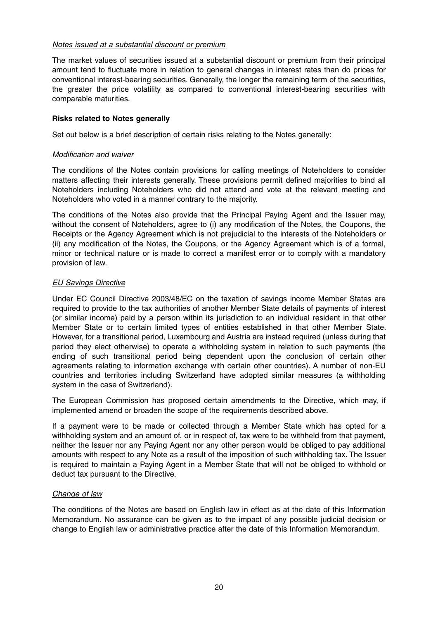#### Notes issued at a substantial discount or premium

The market values of securities issued at a substantial discount or premium from their principal amount tend to fluctuate more in relation to general changes in interest rates than do prices for conventional interest-bearing securities. Generally, the longer the remaining term of the securities, the greater the price volatility as compared to conventional interest-bearing securities with comparable maturities.

#### **Risks related to Notes generally**

Set out below is a brief description of certain risks relating to the Notes generally:

#### Modification and waiver

The conditions of the Notes contain provisions for calling meetings of Noteholders to consider matters affecting their interests generally. These provisions permit defined majorities to bind all Noteholders including Noteholders who did not attend and vote at the relevant meeting and Noteholders who voted in a manner contrary to the majority.

The conditions of the Notes also provide that the Principal Paying Agent and the Issuer may, without the consent of Noteholders, agree to (i) any modification of the Notes, the Coupons, the Receipts or the Agency Agreement which is not prejudicial to the interests of the Noteholders or (ii) any modification of the Notes, the Coupons, or the Agency Agreement which is of a formal, minor or technical nature or is made to correct a manifest error or to comply with a mandatory provision of law.

#### EU Savings Directive

Under EC Council Directive 2003/48/EC on the taxation of savings income Member States are required to provide to the tax authorities of another Member State details of payments of interest (or similar income) paid by a person within its jurisdiction to an individual resident in that other Member State or to certain limited types of entities established in that other Member State. However, for a transitional period, Luxembourg and Austria are instead required (unless during that period they elect otherwise) to operate a withholding system in relation to such payments (the ending of such transitional period being dependent upon the conclusion of certain other agreements relating to information exchange with certain other countries). A number of non-EU countries and territories including Switzerland have adopted similar measures (a withholding system in the case of Switzerland).

The European Commission has proposed certain amendments to the Directive, which may, if implemented amend or broaden the scope of the requirements described above.

If a payment were to be made or collected through a Member State which has opted for a withholding system and an amount of, or in respect of, tax were to be withheld from that payment, neither the Issuer nor any Paying Agent nor any other person would be obliged to pay additional amounts with respect to any Note as a result of the imposition of such withholding tax. The Issuer is required to maintain a Paying Agent in a Member State that will not be obliged to withhold or deduct tax pursuant to the Directive.

#### Change of law

The conditions of the Notes are based on English law in effect as at the date of this Information Memorandum. No assurance can be given as to the impact of any possible judicial decision or change to English law or administrative practice after the date of this Information Memorandum.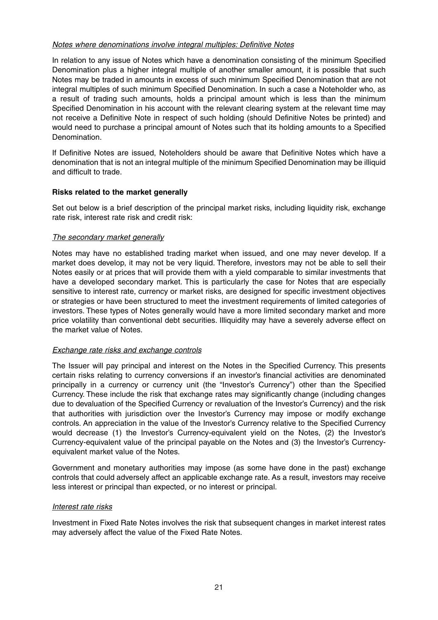#### Notes where denominations involve integral multiples: Definitive Notes

In relation to any issue of Notes which have a denomination consisting of the minimum Specified Denomination plus a higher integral multiple of another smaller amount, it is possible that such Notes may be traded in amounts in excess of such minimum Specified Denomination that are not integral multiples of such minimum Specified Denomination. In such a case a Noteholder who, as a result of trading such amounts, holds a principal amount which is less than the minimum Specified Denomination in his account with the relevant clearing system at the relevant time may not receive a Definitive Note in respect of such holding (should Definitive Notes be printed) and would need to purchase a principal amount of Notes such that its holding amounts to a Specified **Denomination** 

If Definitive Notes are issued, Noteholders should be aware that Definitive Notes which have a denomination that is not an integral multiple of the minimum Specified Denomination may be illiquid and difficult to trade.

#### **Risks related to the market generally**

Set out below is a brief description of the principal market risks, including liquidity risk, exchange rate risk, interest rate risk and credit risk:

#### The secondary market generally

Notes may have no established trading market when issued, and one may never develop. If a market does develop, it may not be very liquid. Therefore, investors may not be able to sell their Notes easily or at prices that will provide them with a yield comparable to similar investments that have a developed secondary market. This is particularly the case for Notes that are especially sensitive to interest rate, currency or market risks, are designed for specific investment objectives or strategies or have been structured to meet the investment requirements of limited categories of investors. These types of Notes generally would have a more limited secondary market and more price volatility than conventional debt securities. Illiquidity may have a severely adverse effect on the market value of Notes.

#### Exchange rate risks and exchange controls

The Issuer will pay principal and interest on the Notes in the Specified Currency. This presents certain risks relating to currency conversions if an investor's financial activities are denominated principally in a currency or currency unit (the "Investor's Currency") other than the Specified Currency. These include the risk that exchange rates may significantly change (including changes due to devaluation of the Specified Currency or revaluation of the Investor's Currency) and the risk that authorities with jurisdiction over the Investor's Currency may impose or modify exchange controls. An appreciation in the value of the Investor's Currency relative to the Specified Currency would decrease (1) the Investor's Currency-equivalent yield on the Notes, (2) the Investor's Currency-equivalent value of the principal payable on the Notes and (3) the Investor's Currencyequivalent market value of the Notes.

Government and monetary authorities may impose (as some have done in the past) exchange controls that could adversely affect an applicable exchange rate. As a result, investors may receive less interest or principal than expected, or no interest or principal.

#### Interest rate risks

Investment in Fixed Rate Notes involves the risk that subsequent changes in market interest rates may adversely affect the value of the Fixed Rate Notes.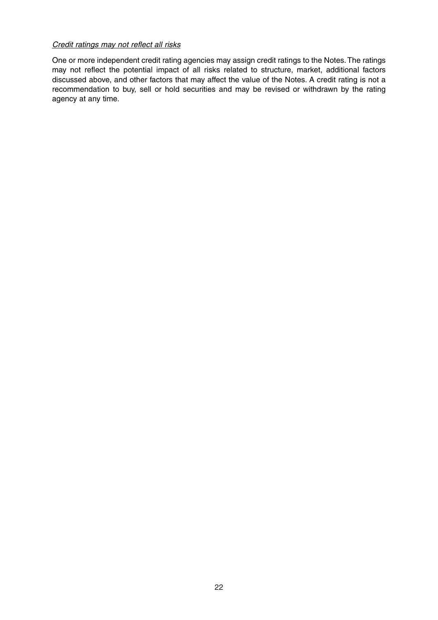#### Credit ratings may not reflect all risks

One or more independent credit rating agencies may assign credit ratings to the Notes.The ratings may not reflect the potential impact of all risks related to structure, market, additional factors discussed above, and other factors that may affect the value of the Notes. A credit rating is not a recommendation to buy, sell or hold securities and may be revised or withdrawn by the rating agency at any time.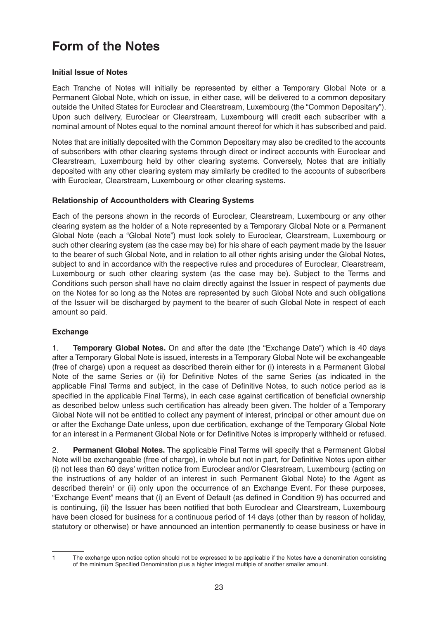## **Form of the Notes**

#### **Initial Issue of Notes**

Each Tranche of Notes will initially be represented by either a Temporary Global Note or a Permanent Global Note, which on issue, in either case, will be delivered to a common depositary outside the United States for Euroclear and Clearstream, Luxembourg (the "Common Depositary"). Upon such delivery, Euroclear or Clearstream, Luxembourg will credit each subscriber with a nominal amount of Notes equal to the nominal amount thereof for which it has subscribed and paid.

Notes that are initially deposited with the Common Depositary may also be credited to the accounts of subscribers with other clearing systems through direct or indirect accounts with Euroclear and Clearstream, Luxembourg held by other clearing systems. Conversely, Notes that are initially deposited with any other clearing system may similarly be credited to the accounts of subscribers with Euroclear, Clearstream, Luxembourg or other clearing systems.

#### **Relationship of Accountholders with Clearing Systems**

Each of the persons shown in the records of Euroclear, Clearstream, Luxembourg or any other clearing system as the holder of a Note represented by a Temporary Global Note or a Permanent Global Note (each a "Global Note") must look solely to Euroclear, Clearstream, Luxembourg or such other clearing system (as the case may be) for his share of each payment made by the Issuer to the bearer of such Global Note, and in relation to all other rights arising under the Global Notes, subject to and in accordance with the respective rules and procedures of Euroclear, Clearstream, Luxembourg or such other clearing system (as the case may be). Subject to the Terms and Conditions such person shall have no claim directly against the Issuer in respect of payments due on the Notes for so long as the Notes are represented by such Global Note and such obligations of the Issuer will be discharged by payment to the bearer of such Global Note in respect of each amount so paid.

#### **Exchange**

1. **Temporary Global Notes.** On and after the date (the "Exchange Date") which is 40 days after a Temporary Global Note is issued, interests in a Temporary Global Note will be exchangeable (free of charge) upon a request as described therein either for (i) interests in a Permanent Global Note of the same Series or (ii) for Definitive Notes of the same Series (as indicated in the applicable Final Terms and subject, in the case of Definitive Notes, to such notice period as is specified in the applicable Final Terms), in each case against certification of beneficial ownership as described below unless such certification has already been given. The holder of a Temporary Global Note will not be entitled to collect any payment of interest, principal or other amount due on or after the Exchange Date unless, upon due certification, exchange of the Temporary Global Note for an interest in a Permanent Global Note or for Definitive Notes is improperly withheld or refused.

2. **Permanent Global Notes.** The applicable Final Terms will specify that a Permanent Global Note will be exchangeable (free of charge), in whole but not in part, for Definitive Notes upon either (i) not less than 60 days' written notice from Euroclear and/or Clearstream, Luxembourg (acting on the instructions of any holder of an interest in such Permanent Global Note) to the Agent as described therein<sup>1</sup> or (ii) only upon the occurrence of an Exchange Event. For these purposes, "Exchange Event" means that (i) an Event of Default (as defined in Condition 9) has occurred and is continuing, (ii) the Issuer has been notified that both Euroclear and Clearstream, Luxembourg have been closed for business for a continuous period of 14 days (other than by reason of holiday, statutory or otherwise) or have announced an intention permanently to cease business or have in

<sup>1</sup> The exchange upon notice option should not be expressed to be applicable if the Notes have a denomination consisting of the minimum Specified Denomination plus a higher integral multiple of another smaller amount.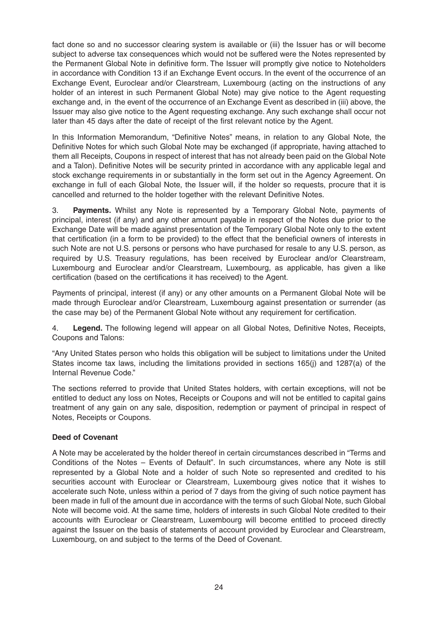fact done so and no successor clearing system is available or (iii) the Issuer has or will become subject to adverse tax consequences which would not be suffered were the Notes represented by the Permanent Global Note in definitive form. The Issuer will promptly give notice to Noteholders in accordance with Condition 13 if an Exchange Event occurs. In the event of the occurrence of an Exchange Event, Euroclear and/or Clearstream, Luxembourg (acting on the instructions of any holder of an interest in such Permanent Global Note) may give notice to the Agent requesting exchange and, in the event of the occurrence of an Exchange Event as described in (iii) above, the Issuer may also give notice to the Agent requesting exchange. Any such exchange shall occur not later than 45 days after the date of receipt of the first relevant notice by the Agent.

In this Information Memorandum, "Definitive Notes" means, in relation to any Global Note, the Definitive Notes for which such Global Note may be exchanged (if appropriate, having attached to them all Receipts, Coupons in respect of interest that has not already been paid on the Global Note and a Talon). Definitive Notes will be security printed in accordance with any applicable legal and stock exchange requirements in or substantially in the form set out in the Agency Agreement. On exchange in full of each Global Note, the Issuer will, if the holder so requests, procure that it is cancelled and returned to the holder together with the relevant Definitive Notes.

3. **Payments.** Whilst any Note is represented by a Temporary Global Note, payments of principal, interest (if any) and any other amount payable in respect of the Notes due prior to the Exchange Date will be made against presentation of the Temporary Global Note only to the extent that certification (in a form to be provided) to the effect that the beneficial owners of interests in such Note are not U.S. persons or persons who have purchased for resale to any U.S. person, as required by U.S. Treasury regulations, has been received by Euroclear and/or Clearstream, Luxembourg and Euroclear and/or Clearstream, Luxembourg, as applicable, has given a like certification (based on the certifications it has received) to the Agent.

Payments of principal, interest (if any) or any other amounts on a Permanent Global Note will be made through Euroclear and/or Clearstream, Luxembourg against presentation or surrender (as the case may be) of the Permanent Global Note without any requirement for certification.

4. **Legend.** The following legend will appear on all Global Notes, Definitive Notes, Receipts, Coupons and Talons:

"Any United States person who holds this obligation will be subject to limitations under the United States income tax laws, including the limitations provided in sections 165(j) and 1287(a) of the Internal Revenue Code."

The sections referred to provide that United States holders, with certain exceptions, will not be entitled to deduct any loss on Notes, Receipts or Coupons and will not be entitled to capital gains treatment of any gain on any sale, disposition, redemption or payment of principal in respect of Notes, Receipts or Coupons.

#### **Deed of Covenant**

A Note may be accelerated by the holder thereof in certain circumstances described in "Terms and Conditions of the Notes – Events of Default". In such circumstances, where any Note is still represented by a Global Note and a holder of such Note so represented and credited to his securities account with Euroclear or Clearstream, Luxembourg gives notice that it wishes to accelerate such Note, unless within a period of 7 days from the giving of such notice payment has been made in full of the amount due in accordance with the terms of such Global Note, such Global Note will become void. At the same time, holders of interests in such Global Note credited to their accounts with Euroclear or Clearstream, Luxembourg will become entitled to proceed directly against the Issuer on the basis of statements of account provided by Euroclear and Clearstream, Luxembourg, on and subject to the terms of the Deed of Covenant.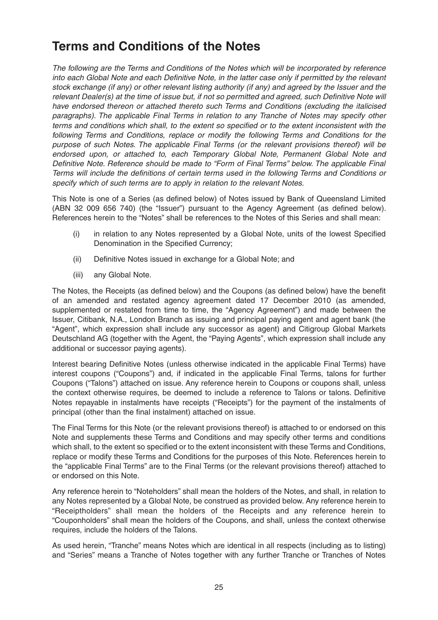### **Terms and Conditions of the Notes**

The following are the Terms and Conditions of the Notes which will be incorporated by reference into each Global Note and each Definitive Note, in the latter case only if permitted by the relevant stock exchange (if any) or other relevant listing authority (if any) and agreed by the Issuer and the relevant Dealer(s) at the time of issue but, if not so permitted and agreed, such Definitive Note will have endorsed thereon or attached thereto such Terms and Conditions (excluding the italicised paragraphs). The applicable Final Terms in relation to any Tranche of Notes may specify other terms and conditions which shall, to the extent so specified or to the extent inconsistent with the following Terms and Conditions, replace or modify the following Terms and Conditions for the purpose of such Notes. The applicable Final Terms (or the relevant provisions thereof) will be endorsed upon, or attached to, each Temporary Global Note, Permanent Global Note and Definitive Note. Reference should be made to "Form of Final Terms" below. The applicable Final Terms will include the definitions of certain terms used in the following Terms and Conditions or specify which of such terms are to apply in relation to the relevant Notes.

This Note is one of a Series (as defined below) of Notes issued by Bank of Queensland Limited (ABN 32 009 656 740) (the "Issuer") pursuant to the Agency Agreement (as defined below). References herein to the "Notes" shall be references to the Notes of this Series and shall mean:

- (i) in relation to any Notes represented by a Global Note, units of the lowest Specified Denomination in the Specified Currency;
- (ii) Definitive Notes issued in exchange for a Global Note; and
- (iii) any Global Note.

The Notes, the Receipts (as defined below) and the Coupons (as defined below) have the benefit of an amended and restated agency agreement dated 17 December 2010 (as amended, supplemented or restated from time to time, the "Agency Agreement") and made between the Issuer, Citibank, N.A., London Branch as issuing and principal paying agent and agent bank (the "Agent", which expression shall include any successor as agent) and Citigroup Global Markets Deutschland AG (together with the Agent, the "Paying Agents", which expression shall include any additional or successor paying agents).

Interest bearing Definitive Notes (unless otherwise indicated in the applicable Final Terms) have interest coupons ("Coupons") and, if indicated in the applicable Final Terms, talons for further Coupons ("Talons") attached on issue. Any reference herein to Coupons or coupons shall, unless the context otherwise requires, be deemed to include a reference to Talons or talons. Definitive Notes repayable in instalments have receipts ("Receipts") for the payment of the instalments of principal (other than the final instalment) attached on issue.

The Final Terms for this Note (or the relevant provisions thereof) is attached to or endorsed on this Note and supplements these Terms and Conditions and may specify other terms and conditions which shall, to the extent so specified or to the extent inconsistent with these Terms and Conditions, replace or modify these Terms and Conditions for the purposes of this Note. References herein to the "applicable Final Terms" are to the Final Terms (or the relevant provisions thereof) attached to or endorsed on this Note.

Any reference herein to "Noteholders" shall mean the holders of the Notes, and shall, in relation to any Notes represented by a Global Note, be construed as provided below. Any reference herein to "Receiptholders" shall mean the holders of the Receipts and any reference herein to "Couponholders" shall mean the holders of the Coupons, and shall, unless the context otherwise requires, include the holders of the Talons.

As used herein, "Tranche" means Notes which are identical in all respects (including as to listing) and "Series" means a Tranche of Notes together with any further Tranche or Tranches of Notes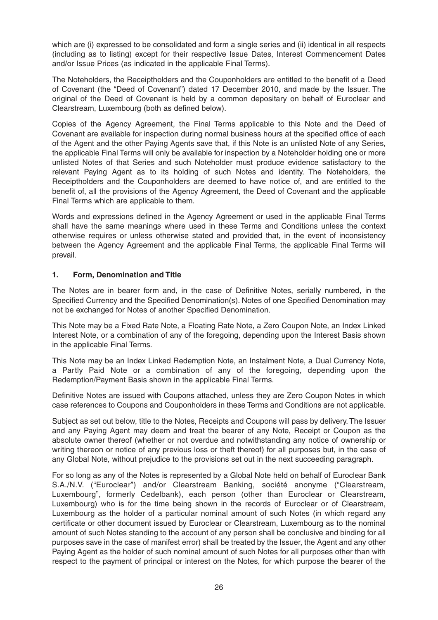which are (i) expressed to be consolidated and form a single series and (ii) identical in all respects (including as to listing) except for their respective Issue Dates, Interest Commencement Dates and/or Issue Prices (as indicated in the applicable Final Terms).

The Noteholders, the Receiptholders and the Couponholders are entitled to the benefit of a Deed of Covenant (the "Deed of Covenant") dated 17 December 2010, and made by the Issuer. The original of the Deed of Covenant is held by a common depositary on behalf of Euroclear and Clearstream, Luxembourg (both as defined below).

Copies of the Agency Agreement, the Final Terms applicable to this Note and the Deed of Covenant are available for inspection during normal business hours at the specified office of each of the Agent and the other Paying Agents save that, if this Note is an unlisted Note of any Series, the applicable Final Terms will only be available for inspection by a Noteholder holding one or more unlisted Notes of that Series and such Noteholder must produce evidence satisfactory to the relevant Paying Agent as to its holding of such Notes and identity. The Noteholders, the Receiptholders and the Couponholders are deemed to have notice of, and are entitled to the benefit of, all the provisions of the Agency Agreement, the Deed of Covenant and the applicable Final Terms which are applicable to them.

Words and expressions defined in the Agency Agreement or used in the applicable Final Terms shall have the same meanings where used in these Terms and Conditions unless the context otherwise requires or unless otherwise stated and provided that, in the event of inconsistency between the Agency Agreement and the applicable Final Terms, the applicable Final Terms will prevail.

#### **1. Form, Denomination and Title**

The Notes are in bearer form and, in the case of Definitive Notes, serially numbered, in the Specified Currency and the Specified Denomination(s). Notes of one Specified Denomination may not be exchanged for Notes of another Specified Denomination.

This Note may be a Fixed Rate Note, a Floating Rate Note, a Zero Coupon Note, an Index Linked Interest Note, or a combination of any of the foregoing, depending upon the Interest Basis shown in the applicable Final Terms.

This Note may be an Index Linked Redemption Note, an Instalment Note, a Dual Currency Note, a Partly Paid Note or a combination of any of the foregoing, depending upon the Redemption/Payment Basis shown in the applicable Final Terms.

Definitive Notes are issued with Coupons attached, unless they are Zero Coupon Notes in which case references to Coupons and Couponholders in these Terms and Conditions are not applicable.

Subject as set out below, title to the Notes, Receipts and Coupons will pass by delivery. The Issuer and any Paying Agent may deem and treat the bearer of any Note, Receipt or Coupon as the absolute owner thereof (whether or not overdue and notwithstanding any notice of ownership or writing thereon or notice of any previous loss or theft thereof) for all purposes but, in the case of any Global Note, without prejudice to the provisions set out in the next succeeding paragraph.

For so long as any of the Notes is represented by a Global Note held on behalf of Euroclear Bank S.A./N.V. ("Euroclear") and/or Clearstream Banking, société anonyme ("Clearstream, Luxembourg", formerly Cedelbank), each person (other than Euroclear or Clearstream, Luxembourg) who is for the time being shown in the records of Euroclear or of Clearstream, Luxembourg as the holder of a particular nominal amount of such Notes (in which regard any certificate or other document issued by Euroclear or Clearstream, Luxembourg as to the nominal amount of such Notes standing to the account of any person shall be conclusive and binding for all purposes save in the case of manifest error) shall be treated by the Issuer, the Agent and any other Paying Agent as the holder of such nominal amount of such Notes for all purposes other than with respect to the payment of principal or interest on the Notes, for which purpose the bearer of the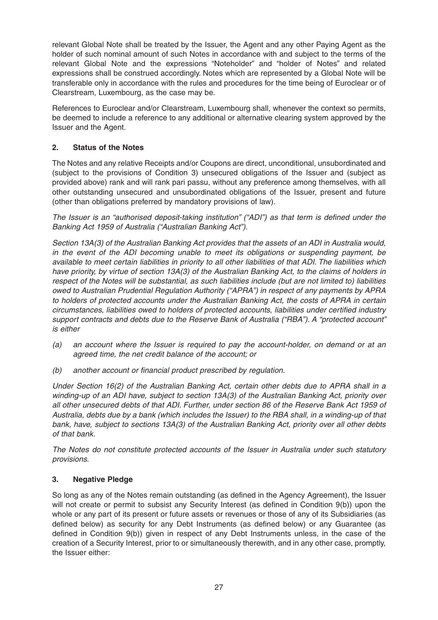relevant Global Note shall be treated by the Issuer, the Agent and any other Paying Agent as the holder of such nominal amount of such Notes in accordance with and subject to the terms of the relevant Global Note and the expressions "Noteholder" and "holder of Notes" and related expressions shall be construed accordingly. Notes which are represented by a Global Note will be transferable only in accordance with the rules and procedures for the time being of Euroclear or of Clearstream, Luxembourg, as the case may be.

References to Euroclear and/or Clearstream, Luxembourg shall, whenever the context so permits, be deemed to include a reference to any additional or alternative clearing system approved by the Issuer and the Agent.

#### **2. Status of the Notes**

The Notes and any relative Receipts and/or Coupons are direct, unconditional, unsubordinated and (subject to the provisions of Condition 3) unsecured obligations of the Issuer and (subject as provided above) rank and will rank pari passu, without any preference among themselves, with all other outstanding unsecured and unsubordinated obligations of the Issuer, present and future (other than obligations preferred by mandatory provisions of law).

The Issuer is an "authorised deposit-taking institution" ("ADI") as that term is defined under the Banking Act 1959 of Australia ("Australian Banking Act").

Section 13A(3) of the Australian Banking Act provides that the assets of an ADI in Australia would, in the event of the ADI becoming unable to meet its obligations or suspending payment, be available to meet certain liabilities in priority to all other liabilities of that ADI. The liabilities which have priority, by virtue of section 13A(3) of the Australian Banking Act, to the claims of holders in respect of the Notes will be substantial, as such liabilities include (but are not limited to) liabilities owed to Australian Prudential Regulation Authority ("APRA") in respect of any payments by APRA to holders of protected accounts under the Australian Banking Act, the costs of APRA in certain circumstances, liabilities owed to holders of protected accounts, liabilities under certified industry support contracts and debts due to the Reserve Bank of Australia ("RBA"). A "protected account" is either

- (a) an account where the Issuer is required to pay the account-holder, on demand or at an agreed time, the net credit balance of the account; or
- (b) another account or financial product prescribed by regulation.

Under Section 16(2) of the Australian Banking Act, certain other debts due to APRA shall in a winding-up of an ADI have, subject to section 13A(3) of the Australian Banking Act, priority over all other unsecured debts of that ADI. Further, under section 86 of the Reserve Bank Act 1959 of Australia, debts due by a bank (which includes the Issuer) to the RBA shall, in a winding-up of that bank, have, subject to sections 13A(3) of the Australian Banking Act, priority over all other debts of that bank.

The Notes do not constitute protected accounts of the Issuer in Australia under such statutory provisions.

#### **3. Negative Pledge**

So long as any of the Notes remain outstanding (as defined in the Agency Agreement), the Issuer will not create or permit to subsist any Security Interest (as defined in Condition 9(b)) upon the whole or any part of its present or future assets or revenues or those of any of its Subsidiaries (as defined below) as security for any Debt Instruments (as defined below) or any Guarantee (as defined in Condition 9(b)) given in respect of any Debt Instruments unless, in the case of the creation of a Security Interest, prior to or simultaneously therewith, and in any other case, promptly, the Issuer either: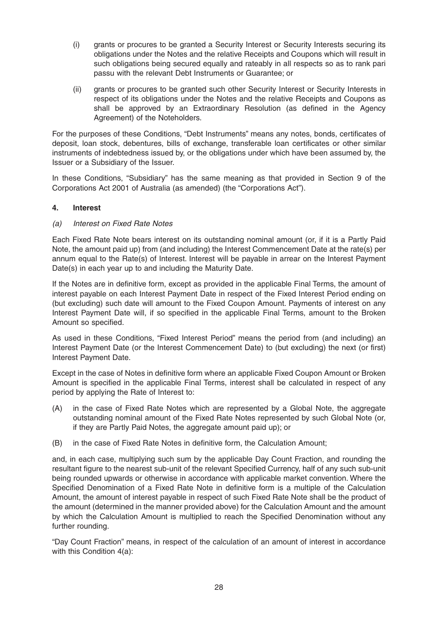- (i) grants or procures to be granted a Security Interest or Security Interests securing its obligations under the Notes and the relative Receipts and Coupons which will result in such obligations being secured equally and rateably in all respects so as to rank pari passu with the relevant Debt Instruments or Guarantee; or
- (ii) grants or procures to be granted such other Security Interest or Security Interests in respect of its obligations under the Notes and the relative Receipts and Coupons as shall be approved by an Extraordinary Resolution (as defined in the Agency Agreement) of the Noteholders.

For the purposes of these Conditions, "Debt Instruments" means any notes, bonds, certificates of deposit, loan stock, debentures, bills of exchange, transferable loan certificates or other similar instruments of indebtedness issued by, or the obligations under which have been assumed by, the Issuer or a Subsidiary of the Issuer.

In these Conditions, "Subsidiary" has the same meaning as that provided in Section 9 of the Corporations Act 2001 of Australia (as amended) (the "Corporations Act").

#### **4. Interest**

#### (a) Interest on Fixed Rate Notes

Each Fixed Rate Note bears interest on its outstanding nominal amount (or, if it is a Partly Paid Note, the amount paid up) from (and including) the Interest Commencement Date at the rate(s) per annum equal to the Rate(s) of Interest. Interest will be payable in arrear on the Interest Payment Date(s) in each year up to and including the Maturity Date.

If the Notes are in definitive form, except as provided in the applicable Final Terms, the amount of interest payable on each Interest Payment Date in respect of the Fixed Interest Period ending on (but excluding) such date will amount to the Fixed Coupon Amount. Payments of interest on any Interest Payment Date will, if so specified in the applicable Final Terms, amount to the Broken Amount so specified.

As used in these Conditions, "Fixed Interest Period" means the period from (and including) an Interest Payment Date (or the Interest Commencement Date) to (but excluding) the next (or first) Interest Payment Date.

Except in the case of Notes in definitive form where an applicable Fixed Coupon Amount or Broken Amount is specified in the applicable Final Terms, interest shall be calculated in respect of any period by applying the Rate of Interest to:

- (A) in the case of Fixed Rate Notes which are represented by a Global Note, the aggregate outstanding nominal amount of the Fixed Rate Notes represented by such Global Note (or, if they are Partly Paid Notes, the aggregate amount paid up); or
- (B) in the case of Fixed Rate Notes in definitive form, the Calculation Amount;

and, in each case, multiplying such sum by the applicable Day Count Fraction, and rounding the resultant figure to the nearest sub-unit of the relevant Specified Currency, half of any such sub-unit being rounded upwards or otherwise in accordance with applicable market convention. Where the Specified Denomination of a Fixed Rate Note in definitive form is a multiple of the Calculation Amount, the amount of interest payable in respect of such Fixed Rate Note shall be the product of the amount (determined in the manner provided above) for the Calculation Amount and the amount by which the Calculation Amount is multiplied to reach the Specified Denomination without any further rounding.

"Day Count Fraction" means, in respect of the calculation of an amount of interest in accordance with this Condition 4(a):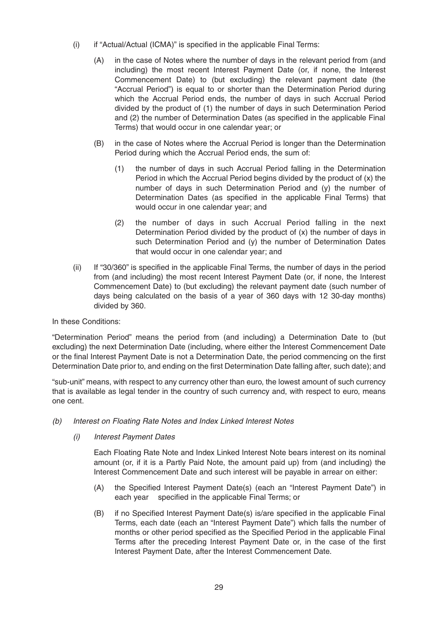- (i) if "Actual/Actual (ICMA)" is specified in the applicable Final Terms:
	- (A) in the case of Notes where the number of days in the relevant period from (and including) the most recent Interest Payment Date (or, if none, the Interest Commencement Date) to (but excluding) the relevant payment date (the "Accrual Period") is equal to or shorter than the Determination Period during which the Accrual Period ends, the number of days in such Accrual Period divided by the product of (1) the number of days in such Determination Period and (2) the number of Determination Dates (as specified in the applicable Final Terms) that would occur in one calendar year; or
	- (B) in the case of Notes where the Accrual Period is longer than the Determination Period during which the Accrual Period ends, the sum of:
		- (1) the number of days in such Accrual Period falling in the Determination Period in which the Accrual Period begins divided by the product of (x) the number of days in such Determination Period and (y) the number of Determination Dates (as specified in the applicable Final Terms) that would occur in one calendar year; and
		- (2) the number of days in such Accrual Period falling in the next Determination Period divided by the product of (x) the number of days in such Determination Period and (y) the number of Determination Dates that would occur in one calendar year; and
- (ii) If "30/360" is specified in the applicable Final Terms, the number of days in the period from (and including) the most recent Interest Payment Date (or, if none, the Interest Commencement Date) to (but excluding) the relevant payment date (such number of days being calculated on the basis of a year of 360 days with 12 30-day months) divided by 360.

In these Conditions:

"Determination Period" means the period from (and including) a Determination Date to (but excluding) the next Determination Date (including, where either the Interest Commencement Date or the final Interest Payment Date is not a Determination Date, the period commencing on the first Determination Date prior to, and ending on the first Determination Date falling after, such date); and

"sub-unit" means, with respect to any currency other than euro, the lowest amount of such currency that is available as legal tender in the country of such currency and, with respect to euro, means one cent.

- (b) Interest on Floating Rate Notes and Index Linked Interest Notes
	- (i) Interest Payment Dates

Each Floating Rate Note and Index Linked Interest Note bears interest on its nominal amount (or, if it is a Partly Paid Note, the amount paid up) from (and including) the Interest Commencement Date and such interest will be payable in arrear on either:

- (A) the Specified Interest Payment Date(s) (each an "Interest Payment Date") in each year specified in the applicable Final Terms; or
- (B) if no Specified Interest Payment Date(s) is/are specified in the applicable Final Terms, each date (each an "Interest Payment Date") which falls the number of months or other period specified as the Specified Period in the applicable Final Terms after the preceding Interest Payment Date or, in the case of the first Interest Payment Date, after the Interest Commencement Date.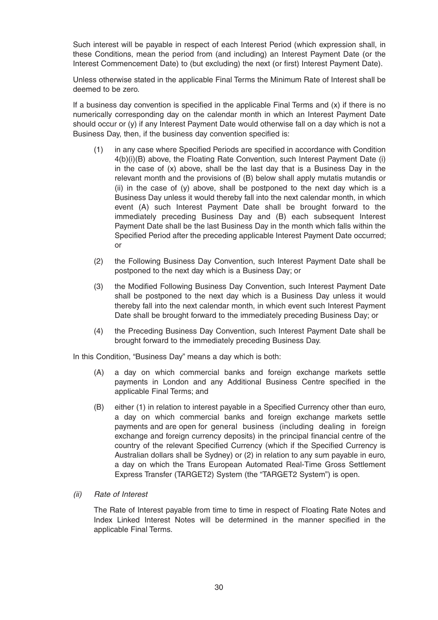Such interest will be payable in respect of each Interest Period (which expression shall, in these Conditions, mean the period from (and including) an Interest Payment Date (or the Interest Commencement Date) to (but excluding) the next (or first) Interest Payment Date).

Unless otherwise stated in the applicable Final Terms the Minimum Rate of Interest shall be deemed to be zero.

If a business day convention is specified in the applicable Final Terms and (x) if there is no numerically corresponding day on the calendar month in which an Interest Payment Date should occur or (y) if any Interest Payment Date would otherwise fall on a day which is not a Business Day, then, if the business day convention specified is:

- (1) in any case where Specified Periods are specified in accordance with Condition 4(b)(i)(B) above, the Floating Rate Convention, such Interest Payment Date (i) in the case of (x) above, shall be the last day that is a Business Day in the relevant month and the provisions of (B) below shall apply mutatis mutandis or (ii) in the case of (y) above, shall be postponed to the next day which is a Business Day unless it would thereby fall into the next calendar month, in which event (A) such Interest Payment Date shall be brought forward to the immediately preceding Business Day and (B) each subsequent Interest Payment Date shall be the last Business Day in the month which falls within the Specified Period after the preceding applicable Interest Payment Date occurred; or
- (2) the Following Business Day Convention, such Interest Payment Date shall be postponed to the next day which is a Business Day; or
- (3) the Modified Following Business Day Convention, such Interest Payment Date shall be postponed to the next day which is a Business Day unless it would thereby fall into the next calendar month, in which event such Interest Payment Date shall be brought forward to the immediately preceding Business Day; or
- (4) the Preceding Business Day Convention, such Interest Payment Date shall be brought forward to the immediately preceding Business Day.

In this Condition, "Business Day" means a day which is both:

- (A) a day on which commercial banks and foreign exchange markets settle payments in London and any Additional Business Centre specified in the applicable Final Terms; and
- (B) either (1) in relation to interest payable in a Specified Currency other than euro, a day on which commercial banks and foreign exchange markets settle payments and are open for general business (including dealing in foreign exchange and foreign currency deposits) in the principal financial centre of the country of the relevant Specified Currency (which if the Specified Currency is Australian dollars shall be Sydney) or (2) in relation to any sum payable in euro, a day on which the Trans European Automated Real-Time Gross Settlement Express Transfer (TARGET2) System (the "TARGET2 System") is open.
- (ii) Rate of Interest

The Rate of Interest payable from time to time in respect of Floating Rate Notes and Index Linked Interest Notes will be determined in the manner specified in the applicable Final Terms.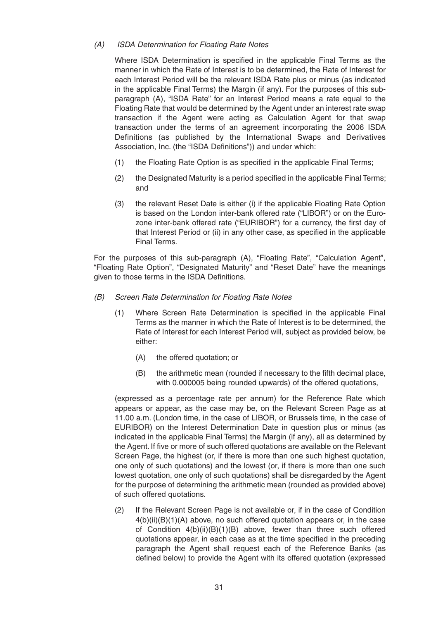#### (A) ISDA Determination for Floating Rate Notes

Where ISDA Determination is specified in the applicable Final Terms as the manner in which the Rate of Interest is to be determined, the Rate of Interest for each Interest Period will be the relevant ISDA Rate plus or minus (as indicated in the applicable Final Terms) the Margin (if any). For the purposes of this subparagraph (A), "ISDA Rate" for an Interest Period means a rate equal to the Floating Rate that would be determined by the Agent under an interest rate swap transaction if the Agent were acting as Calculation Agent for that swap transaction under the terms of an agreement incorporating the 2006 ISDA Definitions (as published by the International Swaps and Derivatives Association, Inc. (the "ISDA Definitions")) and under which:

- (1) the Floating Rate Option is as specified in the applicable Final Terms;
- (2) the Designated Maturity is a period specified in the applicable Final Terms; and
- (3) the relevant Reset Date is either (i) if the applicable Floating Rate Option is based on the London inter-bank offered rate ("LIBOR") or on the Eurozone inter-bank offered rate ("EURIBOR") for a currency, the first day of that Interest Period or (ii) in any other case, as specified in the applicable Final Terms.

For the purposes of this sub-paragraph (A), "Floating Rate", "Calculation Agent", "Floating Rate Option", "Designated Maturity" and "Reset Date" have the meanings given to those terms in the ISDA Definitions.

- (B) Screen Rate Determination for Floating Rate Notes
	- (1) Where Screen Rate Determination is specified in the applicable Final Terms as the manner in which the Rate of Interest is to be determined, the Rate of Interest for each Interest Period will, subject as provided below, be either:
		- (A) the offered quotation; or
		- (B) the arithmetic mean (rounded if necessary to the fifth decimal place, with 0.000005 being rounded upwards) of the offered quotations,

(expressed as a percentage rate per annum) for the Reference Rate which appears or appear, as the case may be, on the Relevant Screen Page as at 11.00 a.m. (London time, in the case of LIBOR, or Brussels time, in the case of EURIBOR) on the Interest Determination Date in question plus or minus (as indicated in the applicable Final Terms) the Margin (if any), all as determined by the Agent. If five or more of such offered quotations are available on the Relevant Screen Page, the highest (or, if there is more than one such highest quotation, one only of such quotations) and the lowest (or, if there is more than one such lowest quotation, one only of such quotations) shall be disregarded by the Agent for the purpose of determining the arithmetic mean (rounded as provided above) of such offered quotations.

(2) If the Relevant Screen Page is not available or, if in the case of Condition  $4(b)(ii)(B)(1)(A)$  above, no such offered quotation appears or, in the case of Condition 4(b)(ii)(B)(1)(B) above, fewer than three such offered quotations appear, in each case as at the time specified in the preceding paragraph the Agent shall request each of the Reference Banks (as defined below) to provide the Agent with its offered quotation (expressed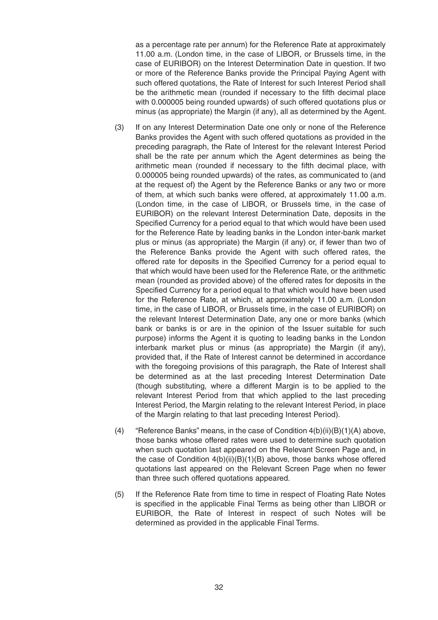as a percentage rate per annum) for the Reference Rate at approximately 11.00 a.m. (London time, in the case of LIBOR, or Brussels time, in the case of EURIBOR) on the Interest Determination Date in question. If two or more of the Reference Banks provide the Principal Paying Agent with such offered quotations, the Rate of Interest for such Interest Period shall be the arithmetic mean (rounded if necessary to the fifth decimal place with 0.000005 being rounded upwards) of such offered quotations plus or minus (as appropriate) the Margin (if any), all as determined by the Agent.

- (3) If on any Interest Determination Date one only or none of the Reference Banks provides the Agent with such offered quotations as provided in the preceding paragraph, the Rate of Interest for the relevant Interest Period shall be the rate per annum which the Agent determines as being the arithmetic mean (rounded if necessary to the fifth decimal place, with 0.000005 being rounded upwards) of the rates, as communicated to (and at the request of) the Agent by the Reference Banks or any two or more of them, at which such banks were offered, at approximately 11.00 a.m. (London time, in the case of LIBOR, or Brussels time, in the case of EURIBOR) on the relevant Interest Determination Date, deposits in the Specified Currency for a period equal to that which would have been used for the Reference Rate by leading banks in the London inter-bank market plus or minus (as appropriate) the Margin (if any) or, if fewer than two of the Reference Banks provide the Agent with such offered rates, the offered rate for deposits in the Specified Currency for a period equal to that which would have been used for the Reference Rate, or the arithmetic mean (rounded as provided above) of the offered rates for deposits in the Specified Currency for a period equal to that which would have been used for the Reference Rate, at which, at approximately 11.00 a.m. (London time, in the case of LIBOR, or Brussels time, in the case of EURIBOR) on the relevant Interest Determination Date, any one or more banks (which bank or banks is or are in the opinion of the Issuer suitable for such purpose) informs the Agent it is quoting to leading banks in the London interbank market plus or minus (as appropriate) the Margin (if any), provided that, if the Rate of Interest cannot be determined in accordance with the foregoing provisions of this paragraph, the Rate of Interest shall be determined as at the last preceding Interest Determination Date (though substituting, where a different Margin is to be applied to the relevant Interest Period from that which applied to the last preceding Interest Period, the Margin relating to the relevant Interest Period, in place of the Margin relating to that last preceding Interest Period).
- (4) "Reference Banks" means, in the case of Condition  $4(b)(ii)(B)(1)(A)$  above, those banks whose offered rates were used to determine such quotation when such quotation last appeared on the Relevant Screen Page and, in the case of Condition 4(b)(ii)(B)(1)(B) above, those banks whose offered quotations last appeared on the Relevant Screen Page when no fewer than three such offered quotations appeared.
- (5) If the Reference Rate from time to time in respect of Floating Rate Notes is specified in the applicable Final Terms as being other than LIBOR or EURIBOR, the Rate of Interest in respect of such Notes will be determined as provided in the applicable Final Terms.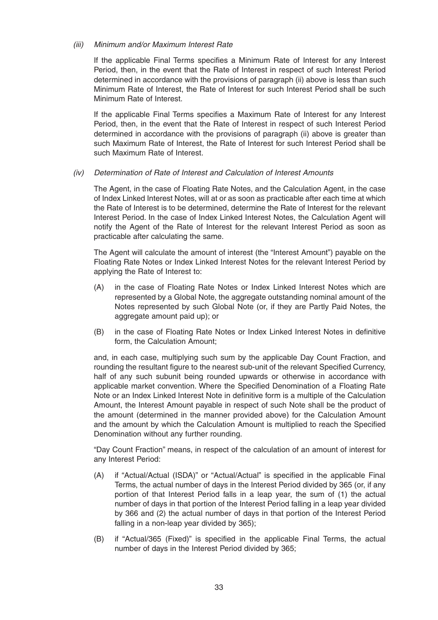#### (iii) Minimum and/or Maximum Interest Rate

If the applicable Final Terms specifies a Minimum Rate of Interest for any Interest Period, then, in the event that the Rate of Interest in respect of such Interest Period determined in accordance with the provisions of paragraph (ii) above is less than such Minimum Rate of Interest, the Rate of Interest for such Interest Period shall be such Minimum Rate of Interest.

If the applicable Final Terms specifies a Maximum Rate of Interest for any Interest Period, then, in the event that the Rate of Interest in respect of such Interest Period determined in accordance with the provisions of paragraph (ii) above is greater than such Maximum Rate of Interest, the Rate of Interest for such Interest Period shall be such Maximum Rate of Interest.

(iv) Determination of Rate of Interest and Calculation of Interest Amounts

The Agent, in the case of Floating Rate Notes, and the Calculation Agent, in the case of Index Linked Interest Notes, will at or as soon as practicable after each time at which the Rate of Interest is to be determined, determine the Rate of Interest for the relevant Interest Period. In the case of Index Linked Interest Notes, the Calculation Agent will notify the Agent of the Rate of Interest for the relevant Interest Period as soon as practicable after calculating the same.

The Agent will calculate the amount of interest (the "Interest Amount") payable on the Floating Rate Notes or Index Linked Interest Notes for the relevant Interest Period by applying the Rate of Interest to:

- (A) in the case of Floating Rate Notes or Index Linked Interest Notes which are represented by a Global Note, the aggregate outstanding nominal amount of the Notes represented by such Global Note (or, if they are Partly Paid Notes, the aggregate amount paid up); or
- (B) in the case of Floating Rate Notes or Index Linked Interest Notes in definitive form, the Calculation Amount;

and, in each case, multiplying such sum by the applicable Day Count Fraction, and rounding the resultant figure to the nearest sub-unit of the relevant Specified Currency, half of any such subunit being rounded upwards or otherwise in accordance with applicable market convention. Where the Specified Denomination of a Floating Rate Note or an Index Linked Interest Note in definitive form is a multiple of the Calculation Amount, the Interest Amount payable in respect of such Note shall be the product of the amount (determined in the manner provided above) for the Calculation Amount and the amount by which the Calculation Amount is multiplied to reach the Specified Denomination without any further rounding.

"Day Count Fraction" means, in respect of the calculation of an amount of interest for any Interest Period:

- (A) if "Actual/Actual (ISDA)" or "Actual/Actual" is specified in the applicable Final Terms, the actual number of days in the Interest Period divided by 365 (or, if any portion of that Interest Period falls in a leap year, the sum of (1) the actual number of days in that portion of the Interest Period falling in a leap year divided by 366 and (2) the actual number of days in that portion of the Interest Period falling in a non-leap year divided by 365);
- (B) if "Actual/365 (Fixed)" is specified in the applicable Final Terms, the actual number of days in the Interest Period divided by 365;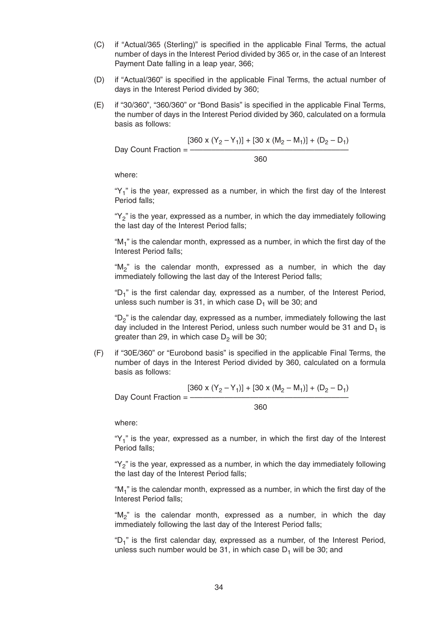- (C) if "Actual/365 (Sterling)" is specified in the applicable Final Terms, the actual number of days in the Interest Period divided by 365 or, in the case of an Interest Payment Date falling in a leap year, 366;
- (D) if "Actual/360" is specified in the applicable Final Terms, the actual number of days in the Interest Period divided by 360;
- (E) if "30/360", "360/360" or "Bond Basis" is specified in the applicable Final Terms, the number of days in the Interest Period divided by 360, calculated on a formula basis as follows:

$$
[360 \times (Y_2 - Y_1)] + [30 \times (M_2 - M_1)] + (D_2 - D_1)
$$
  
Day Count Fraction = \_\_\_\_\_\_\_ 360

where:

" $Y_1$ " is the year, expressed as a number, in which the first day of the Interest Period falls;

"Y<sub>2</sub>" is the year, expressed as a number, in which the day immediately following the last day of the Interest Period falls;

" $M_1$ " is the calendar month, expressed as a number, in which the first day of the Interest Period falls;

"M<sub>2</sub>" is the calendar month, expressed as a number, in which the day immediately following the last day of the Interest Period falls;

" $D_1$ " is the first calendar day, expressed as a number, of the Interest Period, unless such number is 31, in which case  $D_1$  will be 30; and

" $D<sub>2</sub>$ " is the calendar day, expressed as a number, immediately following the last day included in the Interest Period, unless such number would be 31 and  $D_1$  is greater than 29, in which case  $D<sub>2</sub>$  will be 30;

(F) if "30E/360" or "Eurobond basis" is specified in the applicable Final Terms, the number of days in the Interest Period divided by 360, calculated on a formula basis as follows:

$$
[360 \times (Y_2 - Y_1)] + [30 \times (M_2 - M_1)] + (D_2 - D_1)
$$
  
Day Count Fraction = 
$$
\frac{360}{}
$$

where:

" $Y_1$ " is the year, expressed as a number, in which the first day of the Interest Period falls;

" $Y_2$ " is the year, expressed as a number, in which the day immediately following the last day of the Interest Period falls;

"M1" is the calendar month, expressed as a number, in which the first day of the Interest Period falls;

"M<sub>2</sub>" is the calendar month, expressed as a number, in which the day immediately following the last day of the Interest Period falls;

"D<sub>1</sub>" is the first calendar day, expressed as a number, of the Interest Period, unless such number would be 31, in which case  $D_1$  will be 30; and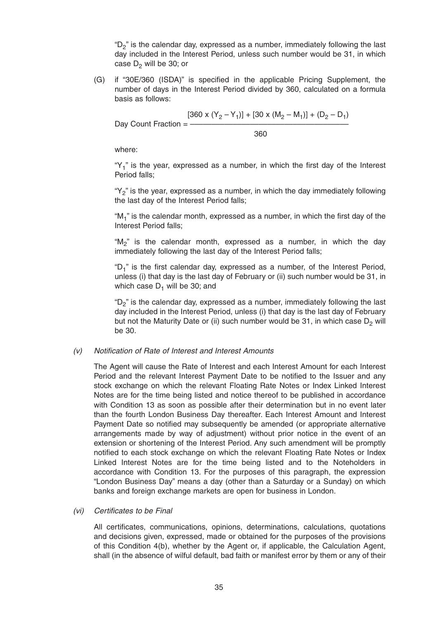" $D_2$ " is the calendar day, expressed as a number, immediately following the last day included in the Interest Period, unless such number would be 31, in which case  $D_2$  will be 30; or

(G) if "30E/360 (ISDA)" is specified in the applicable Pricing Supplement, the number of days in the Interest Period divided by 360, calculated on a formula basis as follows:

$$
[360 \times (Y_2 - Y_1)] + [30 \times (M_2 - M_1)] + (D_2 - D_1)
$$
  
Day Count Fraction = 
$$
\frac{360}{}
$$

where:

" $Y_1$ " is the year, expressed as a number, in which the first day of the Interest Period falls;

"Y<sub>2</sub>" is the year, expressed as a number, in which the day immediately following the last day of the Interest Period falls;

" $M_1$ " is the calendar month, expressed as a number, in which the first day of the Interest Period falls;

"M<sub>2</sub>" is the calendar month, expressed as a number, in which the day immediately following the last day of the Interest Period falls;

" $D_1$ " is the first calendar day, expressed as a number, of the Interest Period, unless (i) that day is the last day of February or (ii) such number would be 31, in which case  $D_1$  will be 30; and

"D<sub>2</sub>" is the calendar day, expressed as a number, immediately following the last day included in the Interest Period, unless (i) that day is the last day of February but not the Maturity Date or (ii) such number would be 31, in which case  $D_2$  will be 30.

#### (v) Notification of Rate of Interest and Interest Amounts

The Agent will cause the Rate of Interest and each Interest Amount for each Interest Period and the relevant Interest Payment Date to be notified to the Issuer and any stock exchange on which the relevant Floating Rate Notes or Index Linked Interest Notes are for the time being listed and notice thereof to be published in accordance with Condition 13 as soon as possible after their determination but in no event later than the fourth London Business Day thereafter. Each Interest Amount and Interest Payment Date so notified may subsequently be amended (or appropriate alternative arrangements made by way of adjustment) without prior notice in the event of an extension or shortening of the Interest Period. Any such amendment will be promptly notified to each stock exchange on which the relevant Floating Rate Notes or Index Linked Interest Notes are for the time being listed and to the Noteholders in accordance with Condition 13. For the purposes of this paragraph, the expression "London Business Day" means a day (other than a Saturday or a Sunday) on which banks and foreign exchange markets are open for business in London.

(vi) Certificates to be Final

All certificates, communications, opinions, determinations, calculations, quotations and decisions given, expressed, made or obtained for the purposes of the provisions of this Condition 4(b), whether by the Agent or, if applicable, the Calculation Agent, shall (in the absence of wilful default, bad faith or manifest error by them or any of their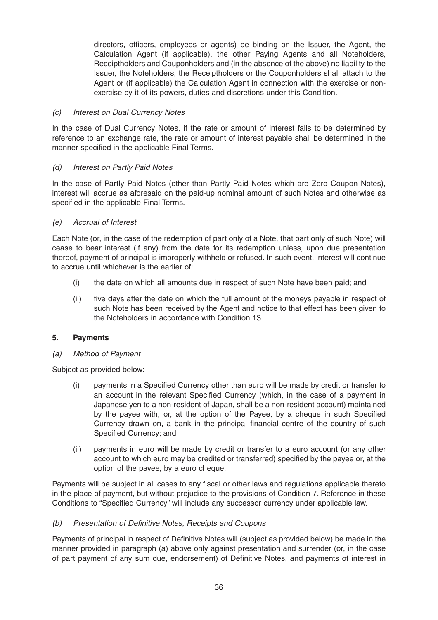directors, officers, employees or agents) be binding on the Issuer, the Agent, the Calculation Agent (if applicable), the other Paying Agents and all Noteholders, Receiptholders and Couponholders and (in the absence of the above) no liability to the Issuer, the Noteholders, the Receiptholders or the Couponholders shall attach to the Agent or (if applicable) the Calculation Agent in connection with the exercise or nonexercise by it of its powers, duties and discretions under this Condition.

#### (c) Interest on Dual Currency Notes

In the case of Dual Currency Notes, if the rate or amount of interest falls to be determined by reference to an exchange rate, the rate or amount of interest payable shall be determined in the manner specified in the applicable Final Terms.

#### (d) Interest on Partly Paid Notes

In the case of Partly Paid Notes (other than Partly Paid Notes which are Zero Coupon Notes), interest will accrue as aforesaid on the paid-up nominal amount of such Notes and otherwise as specified in the applicable Final Terms.

#### (e) Accrual of Interest

Each Note (or, in the case of the redemption of part only of a Note, that part only of such Note) will cease to bear interest (if any) from the date for its redemption unless, upon due presentation thereof, payment of principal is improperly withheld or refused. In such event, interest will continue to accrue until whichever is the earlier of:

- (i) the date on which all amounts due in respect of such Note have been paid; and
- (ii) five days after the date on which the full amount of the moneys payable in respect of such Note has been received by the Agent and notice to that effect has been given to the Noteholders in accordance with Condition 13.

#### **5. Payments**

#### (a) Method of Payment

Subject as provided below:

- (i) payments in a Specified Currency other than euro will be made by credit or transfer to an account in the relevant Specified Currency (which, in the case of a payment in Japanese yen to a non-resident of Japan, shall be a non-resident account) maintained by the payee with, or, at the option of the Payee, by a cheque in such Specified Currency drawn on, a bank in the principal financial centre of the country of such Specified Currency; and
- (ii) payments in euro will be made by credit or transfer to a euro account (or any other account to which euro may be credited or transferred) specified by the payee or, at the option of the payee, by a euro cheque.

Payments will be subject in all cases to any fiscal or other laws and regulations applicable thereto in the place of payment, but without prejudice to the provisions of Condition 7. Reference in these Conditions to "Specified Currency" will include any successor currency under applicable law.

#### (b) Presentation of Definitive Notes, Receipts and Coupons

Payments of principal in respect of Definitive Notes will (subject as provided below) be made in the manner provided in paragraph (a) above only against presentation and surrender (or, in the case of part payment of any sum due, endorsement) of Definitive Notes, and payments of interest in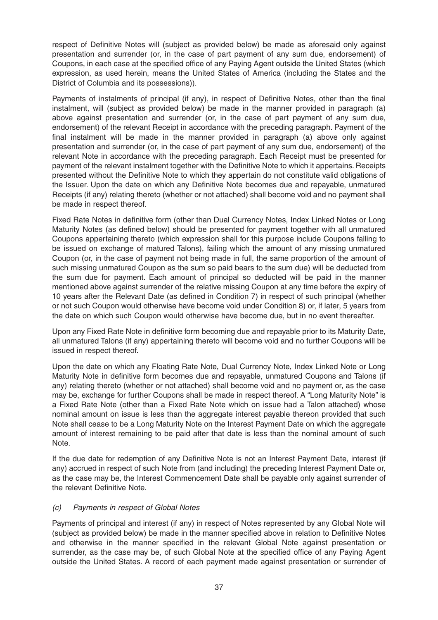respect of Definitive Notes will (subject as provided below) be made as aforesaid only against presentation and surrender (or, in the case of part payment of any sum due, endorsement) of Coupons, in each case at the specified office of any Paying Agent outside the United States (which expression, as used herein, means the United States of America (including the States and the District of Columbia and its possessions)).

Payments of instalments of principal (if any), in respect of Definitive Notes, other than the final instalment, will (subject as provided below) be made in the manner provided in paragraph (a) above against presentation and surrender (or, in the case of part payment of any sum due, endorsement) of the relevant Receipt in accordance with the preceding paragraph. Payment of the final instalment will be made in the manner provided in paragraph (a) above only against presentation and surrender (or, in the case of part payment of any sum due, endorsement) of the relevant Note in accordance with the preceding paragraph. Each Receipt must be presented for payment of the relevant instalment together with the Definitive Note to which it appertains. Receipts presented without the Definitive Note to which they appertain do not constitute valid obligations of the Issuer. Upon the date on which any Definitive Note becomes due and repayable, unmatured Receipts (if any) relating thereto (whether or not attached) shall become void and no payment shall be made in respect thereof.

Fixed Rate Notes in definitive form (other than Dual Currency Notes, Index Linked Notes or Long Maturity Notes (as defined below) should be presented for payment together with all unmatured Coupons appertaining thereto (which expression shall for this purpose include Coupons falling to be issued on exchange of matured Talons), failing which the amount of any missing unmatured Coupon (or, in the case of payment not being made in full, the same proportion of the amount of such missing unmatured Coupon as the sum so paid bears to the sum due) will be deducted from the sum due for payment. Each amount of principal so deducted will be paid in the manner mentioned above against surrender of the relative missing Coupon at any time before the expiry of 10 years after the Relevant Date (as defined in Condition 7) in respect of such principal (whether or not such Coupon would otherwise have become void under Condition 8) or, if later, 5 years from the date on which such Coupon would otherwise have become due, but in no event thereafter.

Upon any Fixed Rate Note in definitive form becoming due and repayable prior to its Maturity Date, all unmatured Talons (if any) appertaining thereto will become void and no further Coupons will be issued in respect thereof.

Upon the date on which any Floating Rate Note, Dual Currency Note, Index Linked Note or Long Maturity Note in definitive form becomes due and repayable, unmatured Coupons and Talons (if any) relating thereto (whether or not attached) shall become void and no payment or, as the case may be, exchange for further Coupons shall be made in respect thereof. A "Long Maturity Note" is a Fixed Rate Note (other than a Fixed Rate Note which on issue had a Talon attached) whose nominal amount on issue is less than the aggregate interest payable thereon provided that such Note shall cease to be a Long Maturity Note on the Interest Payment Date on which the aggregate amount of interest remaining to be paid after that date is less than the nominal amount of such Note.

If the due date for redemption of any Definitive Note is not an Interest Payment Date, interest (if any) accrued in respect of such Note from (and including) the preceding Interest Payment Date or, as the case may be, the Interest Commencement Date shall be payable only against surrender of the relevant Definitive Note.

## (c) Payments in respect of Global Notes

Payments of principal and interest (if any) in respect of Notes represented by any Global Note will (subject as provided below) be made in the manner specified above in relation to Definitive Notes and otherwise in the manner specified in the relevant Global Note against presentation or surrender, as the case may be, of such Global Note at the specified office of any Paying Agent outside the United States. A record of each payment made against presentation or surrender of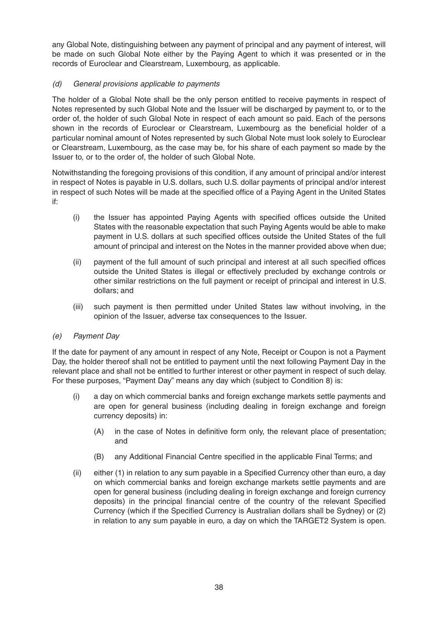any Global Note, distinguishing between any payment of principal and any payment of interest, will be made on such Global Note either by the Paying Agent to which it was presented or in the records of Euroclear and Clearstream, Luxembourg, as applicable.

## (d) General provisions applicable to payments

The holder of a Global Note shall be the only person entitled to receive payments in respect of Notes represented by such Global Note and the Issuer will be discharged by payment to, or to the order of, the holder of such Global Note in respect of each amount so paid. Each of the persons shown in the records of Euroclear or Clearstream, Luxembourg as the beneficial holder of a particular nominal amount of Notes represented by such Global Note must look solely to Euroclear or Clearstream, Luxembourg, as the case may be, for his share of each payment so made by the Issuer to, or to the order of, the holder of such Global Note.

Notwithstanding the foregoing provisions of this condition, if any amount of principal and/or interest in respect of Notes is payable in U.S. dollars, such U.S. dollar payments of principal and/or interest in respect of such Notes will be made at the specified office of a Paying Agent in the United States if:

- (i) the Issuer has appointed Paying Agents with specified offices outside the United States with the reasonable expectation that such Paying Agents would be able to make payment in U.S. dollars at such specified offices outside the United States of the full amount of principal and interest on the Notes in the manner provided above when due;
- (ii) payment of the full amount of such principal and interest at all such specified offices outside the United States is illegal or effectively precluded by exchange controls or other similar restrictions on the full payment or receipt of principal and interest in U.S. dollars; and
- (iii) such payment is then permitted under United States law without involving, in the opinion of the Issuer, adverse tax consequences to the Issuer.

## (e) Payment Day

If the date for payment of any amount in respect of any Note, Receipt or Coupon is not a Payment Day, the holder thereof shall not be entitled to payment until the next following Payment Day in the relevant place and shall not be entitled to further interest or other payment in respect of such delay. For these purposes, "Payment Day" means any day which (subject to Condition 8) is:

- (i) a day on which commercial banks and foreign exchange markets settle payments and are open for general business (including dealing in foreign exchange and foreign currency deposits) in:
	- (A) in the case of Notes in definitive form only, the relevant place of presentation; and
	- (B) any Additional Financial Centre specified in the applicable Final Terms; and
- (ii) either (1) in relation to any sum payable in a Specified Currency other than euro, a day on which commercial banks and foreign exchange markets settle payments and are open for general business (including dealing in foreign exchange and foreign currency deposits) in the principal financial centre of the country of the relevant Specified Currency (which if the Specified Currency is Australian dollars shall be Sydney) or (2) in relation to any sum payable in euro, a day on which the TARGET2 System is open.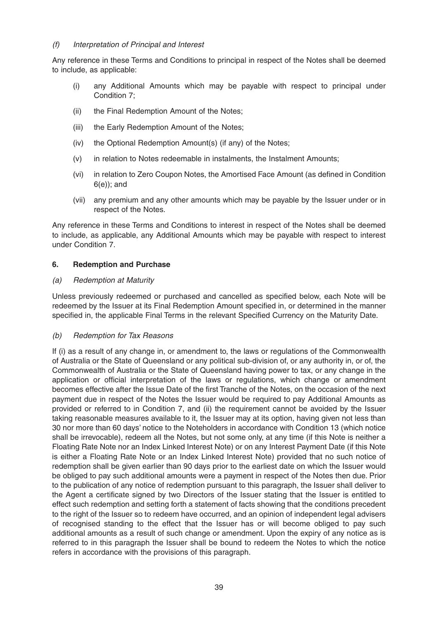## (f) Interpretation of Principal and Interest

Any reference in these Terms and Conditions to principal in respect of the Notes shall be deemed to include, as applicable:

- (i) any Additional Amounts which may be payable with respect to principal under Condition 7;
- (ii) the Final Redemption Amount of the Notes;
- (iii) the Early Redemption Amount of the Notes;
- (iv) the Optional Redemption Amount(s) (if any) of the Notes;
- (v) in relation to Notes redeemable in instalments, the Instalment Amounts;
- (vi) in relation to Zero Coupon Notes, the Amortised Face Amount (as defined in Condition 6(e)); and
- (vii) any premium and any other amounts which may be payable by the Issuer under or in respect of the Notes.

Any reference in these Terms and Conditions to interest in respect of the Notes shall be deemed to include, as applicable, any Additional Amounts which may be payable with respect to interest under Condition 7.

## **6. Redemption and Purchase**

## (a) Redemption at Maturity

Unless previously redeemed or purchased and cancelled as specified below, each Note will be redeemed by the Issuer at its Final Redemption Amount specified in, or determined in the manner specified in, the applicable Final Terms in the relevant Specified Currency on the Maturity Date.

## (b) Redemption for Tax Reasons

If (i) as a result of any change in, or amendment to, the laws or regulations of the Commonwealth of Australia or the State of Queensland or any political sub-division of, or any authority in, or of, the Commonwealth of Australia or the State of Queensland having power to tax, or any change in the application or official interpretation of the laws or regulations, which change or amendment becomes effective after the Issue Date of the first Tranche of the Notes, on the occasion of the next payment due in respect of the Notes the Issuer would be required to pay Additional Amounts as provided or referred to in Condition 7, and (ii) the requirement cannot be avoided by the Issuer taking reasonable measures available to it, the Issuer may at its option, having given not less than 30 nor more than 60 days' notice to the Noteholders in accordance with Condition 13 (which notice shall be irrevocable), redeem all the Notes, but not some only, at any time (if this Note is neither a Floating Rate Note nor an Index Linked Interest Note) or on any Interest Payment Date (if this Note is either a Floating Rate Note or an Index Linked Interest Note) provided that no such notice of redemption shall be given earlier than 90 days prior to the earliest date on which the Issuer would be obliged to pay such additional amounts were a payment in respect of the Notes then due. Prior to the publication of any notice of redemption pursuant to this paragraph, the Issuer shall deliver to the Agent a certificate signed by two Directors of the Issuer stating that the Issuer is entitled to effect such redemption and setting forth a statement of facts showing that the conditions precedent to the right of the Issuer so to redeem have occurred, and an opinion of independent legal advisers of recognised standing to the effect that the Issuer has or will become obliged to pay such additional amounts as a result of such change or amendment. Upon the expiry of any notice as is referred to in this paragraph the Issuer shall be bound to redeem the Notes to which the notice refers in accordance with the provisions of this paragraph.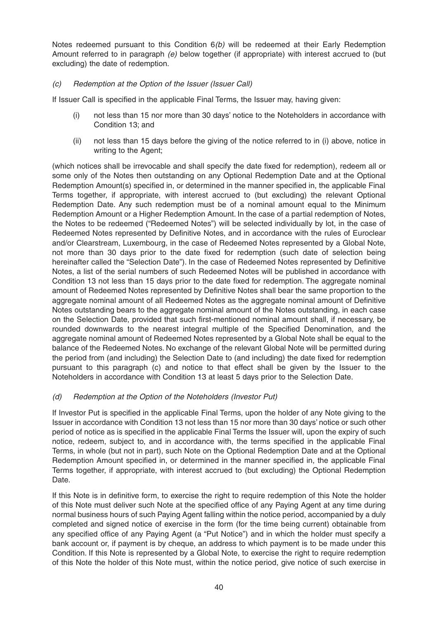Notes redeemed pursuant to this Condition 6(b) will be redeemed at their Early Redemption Amount referred to in paragraph  $(e)$  below together (if appropriate) with interest accrued to (but excluding) the date of redemption.

## (c) Redemption at the Option of the Issuer (Issuer Call)

If Issuer Call is specified in the applicable Final Terms, the Issuer may, having given:

- (i) not less than 15 nor more than 30 days' notice to the Noteholders in accordance with Condition 13; and
- (ii) not less than 15 days before the giving of the notice referred to in (i) above, notice in writing to the Agent;

(which notices shall be irrevocable and shall specify the date fixed for redemption), redeem all or some only of the Notes then outstanding on any Optional Redemption Date and at the Optional Redemption Amount(s) specified in, or determined in the manner specified in, the applicable Final Terms together, if appropriate, with interest accrued to (but excluding) the relevant Optional Redemption Date. Any such redemption must be of a nominal amount equal to the Minimum Redemption Amount or a Higher Redemption Amount. In the case of a partial redemption of Notes, the Notes to be redeemed ("Redeemed Notes") will be selected individually by lot, in the case of Redeemed Notes represented by Definitive Notes, and in accordance with the rules of Euroclear and/or Clearstream, Luxembourg, in the case of Redeemed Notes represented by a Global Note, not more than 30 days prior to the date fixed for redemption (such date of selection being hereinafter called the "Selection Date"). In the case of Redeemed Notes represented by Definitive Notes, a list of the serial numbers of such Redeemed Notes will be published in accordance with Condition 13 not less than 15 days prior to the date fixed for redemption. The aggregate nominal amount of Redeemed Notes represented by Definitive Notes shall bear the same proportion to the aggregate nominal amount of all Redeemed Notes as the aggregate nominal amount of Definitive Notes outstanding bears to the aggregate nominal amount of the Notes outstanding, in each case on the Selection Date, provided that such first-mentioned nominal amount shall, if necessary, be rounded downwards to the nearest integral multiple of the Specified Denomination, and the aggregate nominal amount of Redeemed Notes represented by a Global Note shall be equal to the balance of the Redeemed Notes. No exchange of the relevant Global Note will be permitted during the period from (and including) the Selection Date to (and including) the date fixed for redemption pursuant to this paragraph (c) and notice to that effect shall be given by the Issuer to the Noteholders in accordance with Condition 13 at least 5 days prior to the Selection Date.

## (d) Redemption at the Option of the Noteholders (Investor Put)

If Investor Put is specified in the applicable Final Terms, upon the holder of any Note giving to the Issuer in accordance with Condition 13 not less than 15 nor more than 30 days' notice or such other period of notice as is specified in the applicable Final Terms the Issuer will, upon the expiry of such notice, redeem, subject to, and in accordance with, the terms specified in the applicable Final Terms, in whole (but not in part), such Note on the Optional Redemption Date and at the Optional Redemption Amount specified in, or determined in the manner specified in, the applicable Final Terms together, if appropriate, with interest accrued to (but excluding) the Optional Redemption Date.

If this Note is in definitive form, to exercise the right to require redemption of this Note the holder of this Note must deliver such Note at the specified office of any Paying Agent at any time during normal business hours of such Paying Agent falling within the notice period, accompanied by a duly completed and signed notice of exercise in the form (for the time being current) obtainable from any specified office of any Paying Agent (a "Put Notice") and in which the holder must specify a bank account or, if payment is by cheque, an address to which payment is to be made under this Condition. If this Note is represented by a Global Note, to exercise the right to require redemption of this Note the holder of this Note must, within the notice period, give notice of such exercise in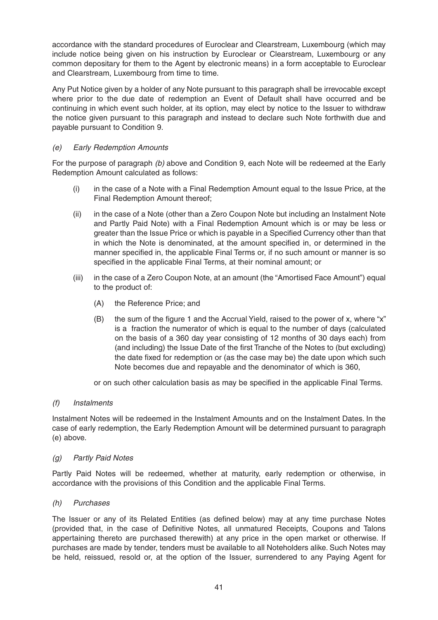accordance with the standard procedures of Euroclear and Clearstream, Luxembourg (which may include notice being given on his instruction by Euroclear or Clearstream, Luxembourg or any common depositary for them to the Agent by electronic means) in a form acceptable to Euroclear and Clearstream, Luxembourg from time to time.

Any Put Notice given by a holder of any Note pursuant to this paragraph shall be irrevocable except where prior to the due date of redemption an Event of Default shall have occurred and be continuing in which event such holder, at its option, may elect by notice to the Issuer to withdraw the notice given pursuant to this paragraph and instead to declare such Note forthwith due and payable pursuant to Condition 9.

## (e) Early Redemption Amounts

For the purpose of paragraph (b) above and Condition 9, each Note will be redeemed at the Early Redemption Amount calculated as follows:

- (i) in the case of a Note with a Final Redemption Amount equal to the Issue Price, at the Final Redemption Amount thereof;
- (ii) in the case of a Note (other than a Zero Coupon Note but including an Instalment Note and Partly Paid Note) with a Final Redemption Amount which is or may be less or greater than the Issue Price or which is payable in a Specified Currency other than that in which the Note is denominated, at the amount specified in, or determined in the manner specified in, the applicable Final Terms or, if no such amount or manner is so specified in the applicable Final Terms, at their nominal amount; or
- (iii) in the case of a Zero Coupon Note, at an amount (the "Amortised Face Amount") equal to the product of:
	- (A) the Reference Price; and
	- (B) the sum of the figure 1 and the Accrual Yield, raised to the power of x, where " $x$ " is a fraction the numerator of which is equal to the number of days (calculated on the basis of a 360 day year consisting of 12 months of 30 days each) from (and including) the Issue Date of the first Tranche of the Notes to (but excluding) the date fixed for redemption or (as the case may be) the date upon which such Note becomes due and repayable and the denominator of which is 360,

or on such other calculation basis as may be specified in the applicable Final Terms.

## (f) Instalments

Instalment Notes will be redeemed in the Instalment Amounts and on the Instalment Dates. In the case of early redemption, the Early Redemption Amount will be determined pursuant to paragraph (e) above.

## (g) Partly Paid Notes

Partly Paid Notes will be redeemed, whether at maturity, early redemption or otherwise, in accordance with the provisions of this Condition and the applicable Final Terms.

#### (h) Purchases

The Issuer or any of its Related Entities (as defined below) may at any time purchase Notes (provided that, in the case of Definitive Notes, all unmatured Receipts, Coupons and Talons appertaining thereto are purchased therewith) at any price in the open market or otherwise. If purchases are made by tender, tenders must be available to all Noteholders alike. Such Notes may be held, reissued, resold or, at the option of the Issuer, surrendered to any Paying Agent for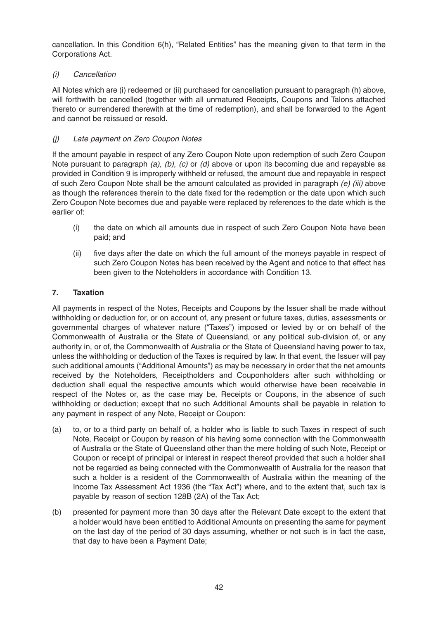cancellation. In this Condition 6(h), "Related Entities" has the meaning given to that term in the Corporations Act.

# (i) Cancellation

All Notes which are (i) redeemed or (ii) purchased for cancellation pursuant to paragraph (h) above, will forthwith be cancelled (together with all unmatured Receipts, Coupons and Talons attached thereto or surrendered therewith at the time of redemption), and shall be forwarded to the Agent and cannot be reissued or resold.

# (j) Late payment on Zero Coupon Notes

If the amount payable in respect of any Zero Coupon Note upon redemption of such Zero Coupon Note pursuant to paragraph (a), (b), (c) or (d) above or upon its becoming due and repayable as provided in Condition 9 is improperly withheld or refused, the amount due and repayable in respect of such Zero Coupon Note shall be the amount calculated as provided in paragraph  $(e)$  (iii) above as though the references therein to the date fixed for the redemption or the date upon which such Zero Coupon Note becomes due and payable were replaced by references to the date which is the earlier of:

- (i) the date on which all amounts due in respect of such Zero Coupon Note have been paid; and
- (ii) five days after the date on which the full amount of the moneys payable in respect of such Zero Coupon Notes has been received by the Agent and notice to that effect has been given to the Noteholders in accordance with Condition 13.

## **7. Taxation**

All payments in respect of the Notes, Receipts and Coupons by the Issuer shall be made without withholding or deduction for, or on account of, any present or future taxes, duties, assessments or governmental charges of whatever nature ("Taxes") imposed or levied by or on behalf of the Commonwealth of Australia or the State of Queensland, or any political sub-division of, or any authority in, or of, the Commonwealth of Australia or the State of Queensland having power to tax, unless the withholding or deduction of the Taxes is required by law. In that event, the Issuer will pay such additional amounts ("Additional Amounts") as may be necessary in order that the net amounts received by the Noteholders, Receiptholders and Couponholders after such withholding or deduction shall equal the respective amounts which would otherwise have been receivable in respect of the Notes or, as the case may be, Receipts or Coupons, in the absence of such withholding or deduction; except that no such Additional Amounts shall be payable in relation to any payment in respect of any Note, Receipt or Coupon:

- (a) to, or to a third party on behalf of, a holder who is liable to such Taxes in respect of such Note, Receipt or Coupon by reason of his having some connection with the Commonwealth of Australia or the State of Queensland other than the mere holding of such Note, Receipt or Coupon or receipt of principal or interest in respect thereof provided that such a holder shall not be regarded as being connected with the Commonwealth of Australia for the reason that such a holder is a resident of the Commonwealth of Australia within the meaning of the Income Tax Assessment Act 1936 (the "Tax Act") where, and to the extent that, such tax is payable by reason of section 128B (2A) of the Tax Act;
- (b) presented for payment more than 30 days after the Relevant Date except to the extent that a holder would have been entitled to Additional Amounts on presenting the same for payment on the last day of the period of 30 days assuming, whether or not such is in fact the case, that day to have been a Payment Date;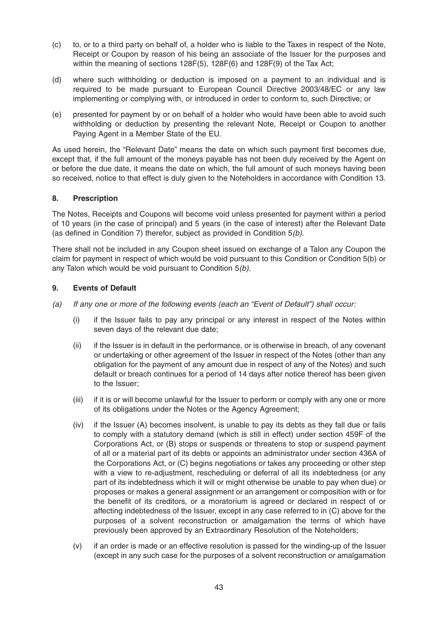- (c) to, or to a third party on behalf of, a holder who is liable to the Taxes in respect of the Note, Receipt or Coupon by reason of his being an associate of the Issuer for the purposes and within the meaning of sections 128F(5), 128F(6) and 128F(9) of the Tax Act;
- (d) where such withholding or deduction is imposed on a payment to an individual and is required to be made pursuant to European Council Directive 2003/48/EC or any law implementing or complying with, or introduced in order to conform to, such Directive; or
- (e) presented for payment by or on behalf of a holder who would have been able to avoid such withholding or deduction by presenting the relevant Note, Receipt or Coupon to another Paying Agent in a Member State of the EU.

As used herein, the "Relevant Date" means the date on which such payment first becomes due, except that, if the full amount of the moneys payable has not been duly received by the Agent on or before the due date, it means the date on which, the full amount of such moneys having been so received, notice to that effect is duly given to the Noteholders in accordance with Condition 13.

## **8. Prescription**

The Notes, Receipts and Coupons will become void unless presented for payment within a period of 10 years (in the case of principal) and 5 years (in the case of interest) after the Relevant Date (as defined in Condition 7) therefor, subject as provided in Condition 5(b).

There shall not be included in any Coupon sheet issued on exchange of a Talon any Coupon the claim for payment in respect of which would be void pursuant to this Condition or Condition 5(b) or any Talon which would be void pursuant to Condition 5(b).

## **9. Events of Default**

- (a) If any one or more of the following events (each an "Event of Default") shall occur:
	- (i) if the Issuer fails to pay any principal or any interest in respect of the Notes within seven days of the relevant due date;
	- (ii) if the Issuer is in default in the performance, or is otherwise in breach, of any covenant or undertaking or other agreement of the Issuer in respect of the Notes (other than any obligation for the payment of any amount due in respect of any of the Notes) and such default or breach continues for a period of 14 days after notice thereof has been given to the Issuer;
	- (iii) if it is or will become unlawful for the Issuer to perform or comply with any one or more of its obligations under the Notes or the Agency Agreement;
	- (iv) if the Issuer (A) becomes insolvent, is unable to pay its debts as they fall due or fails to comply with a statutory demand (which is still in effect) under section 459F of the Corporations Act, or (B) stops or suspends or threatens to stop or suspend payment of all or a material part of its debts or appoints an administrator under section 436A of the Corporations Act, or (C) begins negotiations or takes any proceeding or other step with a view to re-adjustment, rescheduling or deferral of all its indebtedness (or any part of its indebtedness which it will or might otherwise be unable to pay when due) or proposes or makes a general assignment or an arrangement or composition with or for the benefit of its creditors, or a moratorium is agreed or declared in respect of or affecting indebtedness of the Issuer, except in any case referred to in (C) above for the purposes of a solvent reconstruction or amalgamation the terms of which have previously been approved by an Extraordinary Resolution of the Noteholders;
	- (v) if an order is made or an effective resolution is passed for the winding-up of the Issuer (except in any such case for the purposes of a solvent reconstruction or amalgamation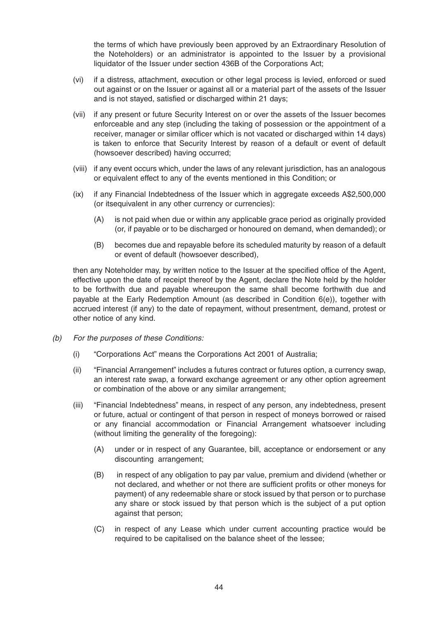the terms of which have previously been approved by an Extraordinary Resolution of the Noteholders) or an administrator is appointed to the Issuer by a provisional liquidator of the Issuer under section 436B of the Corporations Act;

- (vi) if a distress, attachment, execution or other legal process is levied, enforced or sued out against or on the Issuer or against all or a material part of the assets of the Issuer and is not stayed, satisfied or discharged within 21 days;
- (vii) if any present or future Security Interest on or over the assets of the Issuer becomes enforceable and any step (including the taking of possession or the appointment of a receiver, manager or similar officer which is not vacated or discharged within 14 days) is taken to enforce that Security Interest by reason of a default or event of default (howsoever described) having occurred;
- (viii) if any event occurs which, under the laws of any relevant jurisdiction, has an analogous or equivalent effect to any of the events mentioned in this Condition; or
- (ix) if any Financial Indebtedness of the Issuer which in aggregate exceeds A\$2,500,000 (or itsequivalent in any other currency or currencies):
	- (A) is not paid when due or within any applicable grace period as originally provided (or, if payable or to be discharged or honoured on demand, when demanded); or
	- (B) becomes due and repayable before its scheduled maturity by reason of a default or event of default (howsoever described),

then any Noteholder may, by written notice to the Issuer at the specified office of the Agent, effective upon the date of receipt thereof by the Agent, declare the Note held by the holder to be forthwith due and payable whereupon the same shall become forthwith due and payable at the Early Redemption Amount (as described in Condition 6(e)), together with accrued interest (if any) to the date of repayment, without presentment, demand, protest or other notice of any kind.

- (b) For the purposes of these Conditions:
	- (i) "Corporations Act" means the Corporations Act 2001 of Australia;
	- (ii) "Financial Arrangement" includes a futures contract or futures option, a currency swap, an interest rate swap, a forward exchange agreement or any other option agreement or combination of the above or any similar arrangement;
	- (iii) "Financial Indebtedness" means, in respect of any person, any indebtedness, present or future, actual or contingent of that person in respect of moneys borrowed or raised or any financial accommodation or Financial Arrangement whatsoever including (without limiting the generality of the foregoing):
		- (A) under or in respect of any Guarantee, bill, acceptance or endorsement or any discounting arrangement;
		- (B) in respect of any obligation to pay par value, premium and dividend (whether or not declared, and whether or not there are sufficient profits or other moneys for payment) of any redeemable share or stock issued by that person or to purchase any share or stock issued by that person which is the subject of a put option against that person;
		- (C) in respect of any Lease which under current accounting practice would be required to be capitalised on the balance sheet of the lessee;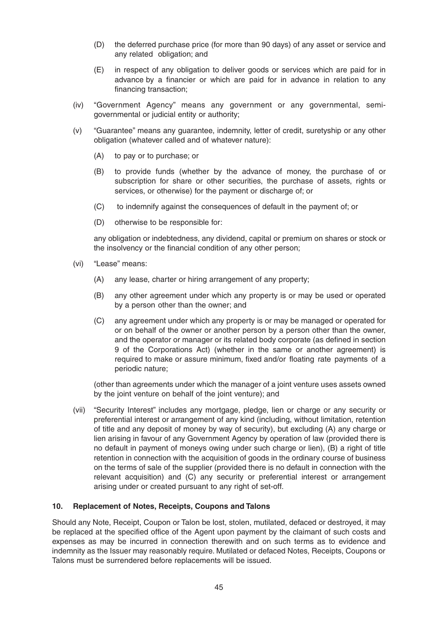- (D) the deferred purchase price (for more than 90 days) of any asset or service and any related obligation; and
- (E) in respect of any obligation to deliver goods or services which are paid for in advance by a financier or which are paid for in advance in relation to any financing transaction;
- (iv) "Government Agency" means any government or any governmental, semigovernmental or judicial entity or authority;
- (v) "Guarantee" means any guarantee, indemnity, letter of credit, suretyship or any other obligation (whatever called and of whatever nature):
	- (A) to pay or to purchase; or
	- (B) to provide funds (whether by the advance of money, the purchase of or subscription for share or other securities, the purchase of assets, rights or services, or otherwise) for the payment or discharge of; or
	- (C) to indemnify against the consequences of default in the payment of; or
	- (D) otherwise to be responsible for:

any obligation or indebtedness, any dividend, capital or premium on shares or stock or the insolvency or the financial condition of any other person;

- (vi) "Lease" means:
	- (A) any lease, charter or hiring arrangement of any property;
	- (B) any other agreement under which any property is or may be used or operated by a person other than the owner; and
	- (C) any agreement under which any property is or may be managed or operated for or on behalf of the owner or another person by a person other than the owner, and the operator or manager or its related body corporate (as defined in section 9 of the Corporations Act) (whether in the same or another agreement) is required to make or assure minimum, fixed and/or floating rate payments of a periodic nature;

(other than agreements under which the manager of a joint venture uses assets owned by the joint venture on behalf of the joint venture); and

(vii) "Security Interest" includes any mortgage, pledge, lien or charge or any security or preferential interest or arrangement of any kind (including, without limitation, retention of title and any deposit of money by way of security), but excluding (A) any charge or lien arising in favour of any Government Agency by operation of law (provided there is no default in payment of moneys owing under such charge or lien), (B) a right of title retention in connection with the acquisition of goods in the ordinary course of business on the terms of sale of the supplier (provided there is no default in connection with the relevant acquisition) and (C) any security or preferential interest or arrangement arising under or created pursuant to any right of set-off.

## **10. Replacement of Notes, Receipts, Coupons and Talons**

Should any Note, Receipt, Coupon or Talon be lost, stolen, mutilated, defaced or destroyed, it may be replaced at the specified office of the Agent upon payment by the claimant of such costs and expenses as may be incurred in connection therewith and on such terms as to evidence and indemnity as the Issuer may reasonably require. Mutilated or defaced Notes, Receipts, Coupons or Talons must be surrendered before replacements will be issued.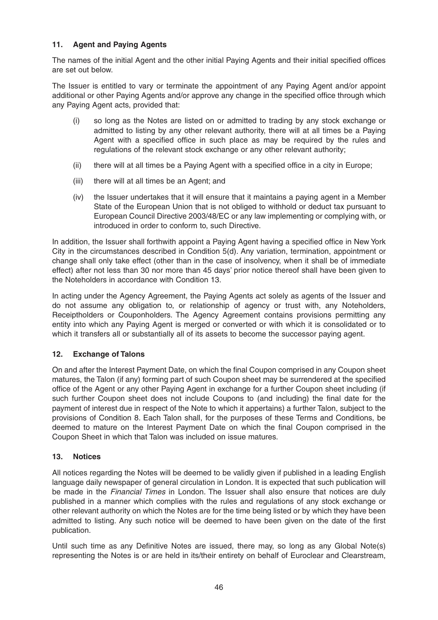## **11. Agent and Paying Agents**

The names of the initial Agent and the other initial Paying Agents and their initial specified offices are set out below.

The Issuer is entitled to vary or terminate the appointment of any Paying Agent and/or appoint additional or other Paying Agents and/or approve any change in the specified office through which any Paying Agent acts, provided that:

- (i) so long as the Notes are listed on or admitted to trading by any stock exchange or admitted to listing by any other relevant authority, there will at all times be a Paying Agent with a specified office in such place as may be required by the rules and regulations of the relevant stock exchange or any other relevant authority;
- (ii) there will at all times be a Paying Agent with a specified office in a city in Europe;
- (iii) there will at all times be an Agent; and
- (iv) the Issuer undertakes that it will ensure that it maintains a paying agent in a Member State of the European Union that is not obliged to withhold or deduct tax pursuant to European Council Directive 2003/48/EC or any law implementing or complying with, or introduced in order to conform to, such Directive.

In addition, the Issuer shall forthwith appoint a Paying Agent having a specified office in New York City in the circumstances described in Condition 5(d). Any variation, termination, appointment or change shall only take effect (other than in the case of insolvency, when it shall be of immediate effect) after not less than 30 nor more than 45 days' prior notice thereof shall have been given to the Noteholders in accordance with Condition 13.

In acting under the Agency Agreement, the Paying Agents act solely as agents of the Issuer and do not assume any obligation to, or relationship of agency or trust with, any Noteholders, Receiptholders or Couponholders. The Agency Agreement contains provisions permitting any entity into which any Paying Agent is merged or converted or with which it is consolidated or to which it transfers all or substantially all of its assets to become the successor paying agent.

## **12. Exchange of Talons**

On and after the Interest Payment Date, on which the final Coupon comprised in any Coupon sheet matures, the Talon (if any) forming part of such Coupon sheet may be surrendered at the specified office of the Agent or any other Paying Agent in exchange for a further Coupon sheet including (if such further Coupon sheet does not include Coupons to (and including) the final date for the payment of interest due in respect of the Note to which it appertains) a further Talon, subject to the provisions of Condition 8. Each Talon shall, for the purposes of these Terms and Conditions, be deemed to mature on the Interest Payment Date on which the final Coupon comprised in the Coupon Sheet in which that Talon was included on issue matures.

## **13. Notices**

All notices regarding the Notes will be deemed to be validly given if published in a leading English language daily newspaper of general circulation in London. It is expected that such publication will be made in the *Financial Times* in London. The Issuer shall also ensure that notices are duly published in a manner which complies with the rules and regulations of any stock exchange or other relevant authority on which the Notes are for the time being listed or by which they have been admitted to listing. Any such notice will be deemed to have been given on the date of the first publication.

Until such time as any Definitive Notes are issued, there may, so long as any Global Note(s) representing the Notes is or are held in its/their entirety on behalf of Euroclear and Clearstream,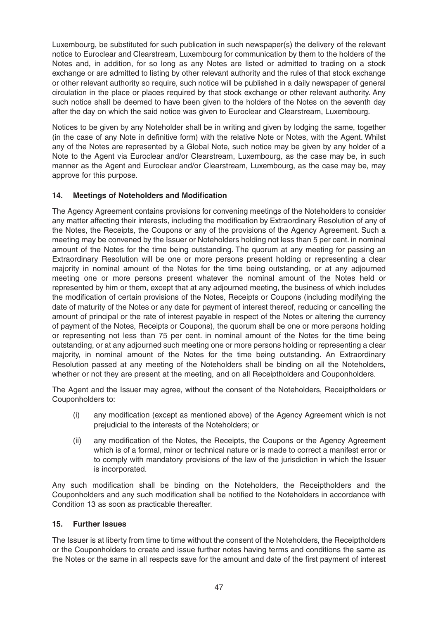Luxembourg, be substituted for such publication in such newspaper(s) the delivery of the relevant notice to Euroclear and Clearstream, Luxembourg for communication by them to the holders of the Notes and, in addition, for so long as any Notes are listed or admitted to trading on a stock exchange or are admitted to listing by other relevant authority and the rules of that stock exchange or other relevant authority so require, such notice will be published in a daily newspaper of general circulation in the place or places required by that stock exchange or other relevant authority. Any such notice shall be deemed to have been given to the holders of the Notes on the seventh day after the day on which the said notice was given to Euroclear and Clearstream, Luxembourg.

Notices to be given by any Noteholder shall be in writing and given by lodging the same, together (in the case of any Note in definitive form) with the relative Note or Notes, with the Agent. Whilst any of the Notes are represented by a Global Note, such notice may be given by any holder of a Note to the Agent via Euroclear and/or Clearstream, Luxembourg, as the case may be, in such manner as the Agent and Euroclear and/or Clearstream, Luxembourg, as the case may be, may approve for this purpose.

## **14. Meetings of Noteholders and Modification**

The Agency Agreement contains provisions for convening meetings of the Noteholders to consider any matter affecting their interests, including the modification by Extraordinary Resolution of any of the Notes, the Receipts, the Coupons or any of the provisions of the Agency Agreement. Such a meeting may be convened by the Issuer or Noteholders holding not less than 5 per cent. in nominal amount of the Notes for the time being outstanding. The quorum at any meeting for passing an Extraordinary Resolution will be one or more persons present holding or representing a clear majority in nominal amount of the Notes for the time being outstanding, or at any adjourned meeting one or more persons present whatever the nominal amount of the Notes held or represented by him or them, except that at any adjourned meeting, the business of which includes the modification of certain provisions of the Notes, Receipts or Coupons (including modifying the date of maturity of the Notes or any date for payment of interest thereof, reducing or cancelling the amount of principal or the rate of interest payable in respect of the Notes or altering the currency of payment of the Notes, Receipts or Coupons), the quorum shall be one or more persons holding or representing not less than 75 per cent. in nominal amount of the Notes for the time being outstanding, or at any adjourned such meeting one or more persons holding or representing a clear majority, in nominal amount of the Notes for the time being outstanding. An Extraordinary Resolution passed at any meeting of the Noteholders shall be binding on all the Noteholders, whether or not they are present at the meeting, and on all Receiptholders and Couponholders.

The Agent and the Issuer may agree, without the consent of the Noteholders, Receiptholders or Couponholders to:

- (i) any modification (except as mentioned above) of the Agency Agreement which is not prejudicial to the interests of the Noteholders; or
- (ii) any modification of the Notes, the Receipts, the Coupons or the Agency Agreement which is of a formal, minor or technical nature or is made to correct a manifest error or to comply with mandatory provisions of the law of the jurisdiction in which the Issuer is incorporated.

Any such modification shall be binding on the Noteholders, the Receiptholders and the Couponholders and any such modification shall be notified to the Noteholders in accordance with Condition 13 as soon as practicable thereafter.

## **15. Further Issues**

The Issuer is at liberty from time to time without the consent of the Noteholders, the Receiptholders or the Couponholders to create and issue further notes having terms and conditions the same as the Notes or the same in all respects save for the amount and date of the first payment of interest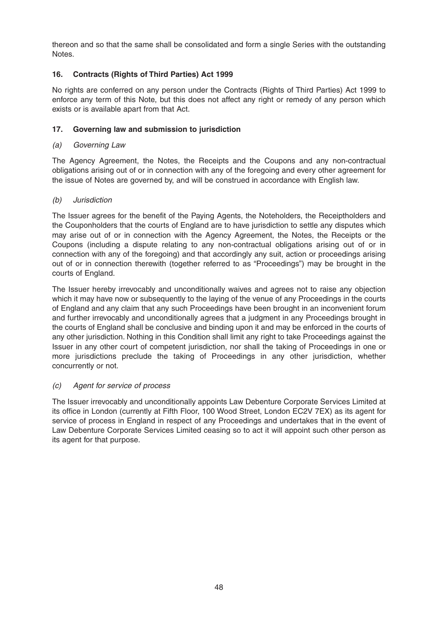thereon and so that the same shall be consolidated and form a single Series with the outstanding **Notes** 

## **16. Contracts (Rights of Third Parties) Act 1999**

No rights are conferred on any person under the Contracts (Rights of Third Parties) Act 1999 to enforce any term of this Note, but this does not affect any right or remedy of any person which exists or is available apart from that Act.

## **17. Governing law and submission to jurisdiction**

## (a) Governing Law

The Agency Agreement, the Notes, the Receipts and the Coupons and any non-contractual obligations arising out of or in connection with any of the foregoing and every other agreement for the issue of Notes are governed by, and will be construed in accordance with English law.

## (b) Jurisdiction

The Issuer agrees for the benefit of the Paying Agents, the Noteholders, the Receiptholders and the Couponholders that the courts of England are to have jurisdiction to settle any disputes which may arise out of or in connection with the Agency Agreement, the Notes, the Receipts or the Coupons (including a dispute relating to any non-contractual obligations arising out of or in connection with any of the foregoing) and that accordingly any suit, action or proceedings arising out of or in connection therewith (together referred to as "Proceedings") may be brought in the courts of England.

The Issuer hereby irrevocably and unconditionally waives and agrees not to raise any objection which it may have now or subsequently to the laying of the venue of any Proceedings in the courts of England and any claim that any such Proceedings have been brought in an inconvenient forum and further irrevocably and unconditionally agrees that a judgment in any Proceedings brought in the courts of England shall be conclusive and binding upon it and may be enforced in the courts of any other jurisdiction. Nothing in this Condition shall limit any right to take Proceedings against the Issuer in any other court of competent jurisdiction, nor shall the taking of Proceedings in one or more jurisdictions preclude the taking of Proceedings in any other jurisdiction, whether concurrently or not.

## (c) Agent for service of process

The Issuer irrevocably and unconditionally appoints Law Debenture Corporate Services Limited at its office in London (currently at Fifth Floor, 100 Wood Street, London EC2V 7EX) as its agent for service of process in England in respect of any Proceedings and undertakes that in the event of Law Debenture Corporate Services Limited ceasing so to act it will appoint such other person as its agent for that purpose.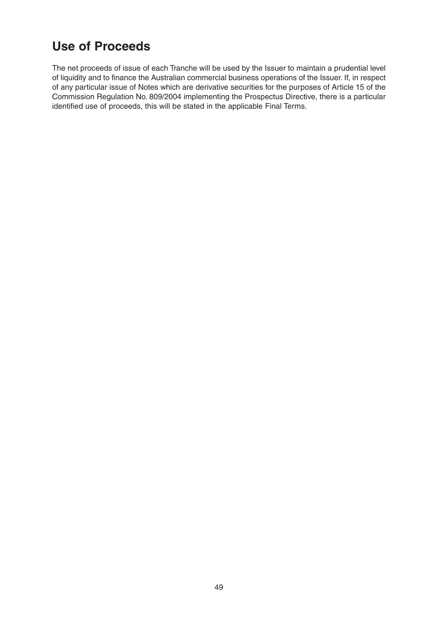# **Use of Proceeds**

The net proceeds of issue of each Tranche will be used by the Issuer to maintain a prudential level of liquidity and to finance the Australian commercial business operations of the Issuer. If, in respect of any particular issue of Notes which are derivative securities for the purposes of Article 15 of the Commission Regulation No. 809/2004 implementing the Prospectus Directive, there is a particular identified use of proceeds, this will be stated in the applicable Final Terms.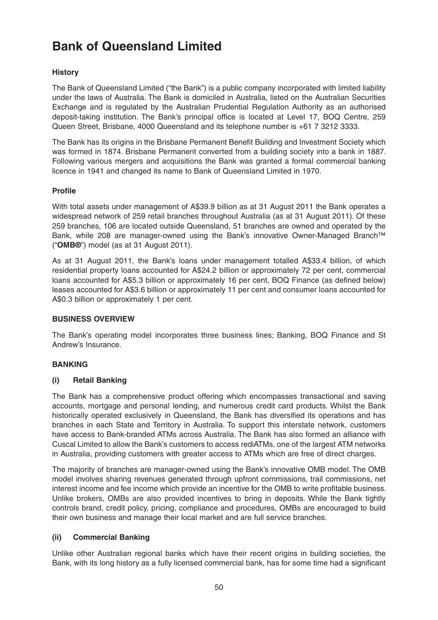# **Bank of Queensland Limited**

# **History**

The Bank of Queensland Limited ("the Bank") is a public company incorporated with limited liability under the laws of Australia. The Bank is domiciled in Australia, listed on the Australian Securities Exchange and is regulated by the Australian Prudential Regulation Authority as an authorised deposit-taking institution. The Bank's principal office is located at Level 17, BOQ Centre, 259 Queen Street, Brisbane, 4000 Queensland and its telephone number is +61 7 3212 3333.

The Bank has its origins in the Brisbane Permanent Benefit Building and Investment Society which was formed in 1874. Brisbane Permanent converted from a building society into a bank in 1887. Following various mergers and acquisitions the Bank was granted a formal commercial banking licence in 1941 and changed its name to Bank of Queensland Limited in 1970.

## **Profile**

With total assets under management of A\$39.9 billion as at 31 August 2011 the Bank operates a widespread network of 259 retail branches throughout Australia (as at 31 August 2011). Of these 259 branches, 106 are located outside Queensland, 51 branches are owned and operated by the Bank, while 208 are manager-owned using the Bank's innovative Owner-Managed Branch™ ("**OMB®**") model (as at 31 August 2011).

As at 31 August 2011, the Bank's loans under management totalled A\$33.4 billion, of which residential property loans accounted for A\$24.2 billion or approximately 72 per cent, commercial loans accounted for A\$5.3 billion or approximately 16 per cent, BOQ Finance (as defined below) leases accounted for A\$3.6 billion or approximately 11 per cent and consumer loans accounted for A\$0.3 billion or approximately 1 per cent.

#### **BUSINESS OVERVIEW**

The Bank's operating model incorporates three business lines; Banking, BOQ Finance and St Andrew's Insurance.

## **BANKING**

## **(i) Retail Banking**

The Bank has a comprehensive product offering which encompasses transactional and saving accounts, mortgage and personal lending, and numerous credit card products. Whilst the Bank historically operated exclusively in Queensland, the Bank has diversified its operations and has branches in each State and Territory in Australia. To support this interstate network, customers have access to Bank-branded ATMs across Australia. The Bank has also formed an alliance with Cuscal Limited to allow the Bank's customers to access rediATMs, one of the largest ATM networks in Australia, providing customers with greater access to ATMs which are free of direct charges.

The majority of branches are manager-owned using the Bank's innovative OMB model. The OMB model involves sharing revenues generated through upfront commissions, trail commissions, net interest income and fee income which provide an incentive for the OMB to write profitable business. Unlike brokers, OMBs are also provided incentives to bring in deposits. While the Bank tightly controls brand, credit policy, pricing, compliance and procedures, OMBs are encouraged to build their own business and manage their local market and are full service branches.

## **(ii) Commercial Banking**

Unlike other Australian regional banks which have their recent origins in building societies, the Bank, with its long history as a fully licensed commercial bank, has for some time had a significant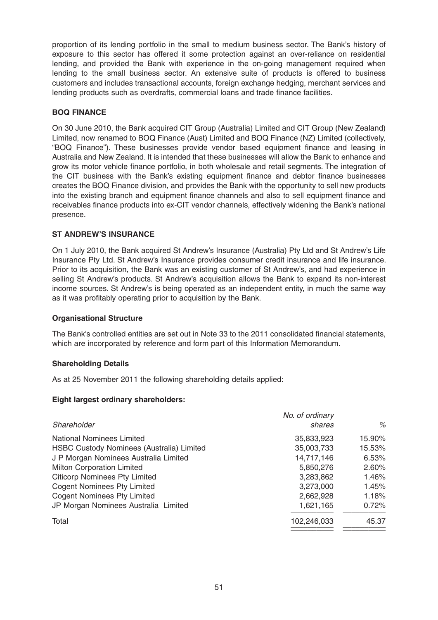proportion of its lending portfolio in the small to medium business sector. The Bank's history of exposure to this sector has offered it some protection against an over-reliance on residential lending, and provided the Bank with experience in the on-going management required when lending to the small business sector. An extensive suite of products is offered to business customers and includes transactional accounts, foreign exchange hedging, merchant services and lending products such as overdrafts, commercial loans and trade finance facilities.

## **BOQ FINANCE**

On 30 June 2010, the Bank acquired CIT Group (Australia) Limited and CIT Group (New Zealand) Limited, now renamed to BOQ Finance (Aust) Limited and BOQ Finance (NZ) Limited (collectively, "BOQ Finance"). These businesses provide vendor based equipment finance and leasing in Australia and New Zealand. It is intended that these businesses will allow the Bank to enhance and grow its motor vehicle finance portfolio, in both wholesale and retail segments. The integration of the CIT business with the Bank's existing equipment finance and debtor finance businesses creates the BOQ Finance division, and provides the Bank with the opportunity to sell new products into the existing branch and equipment finance channels and also to sell equipment finance and receivables finance products into ex-CIT vendor channels, effectively widening the Bank's national presence.

### **ST ANDREW'S INSURANCE**

On 1 July 2010, the Bank acquired St Andrew's Insurance (Australia) Pty Ltd and St Andrew's Life Insurance Pty Ltd. St Andrew's Insurance provides consumer credit insurance and life insurance. Prior to its acquisition, the Bank was an existing customer of St Andrew's, and had experience in selling St Andrew's products. St Andrew's acquisition allows the Bank to expand its non-interest income sources. St Andrew's is being operated as an independent entity, in much the same way as it was profitably operating prior to acquisition by the Bank.

#### **Organisational Structure**

The Bank's controlled entities are set out in Note 33 to the 2011 consolidated financial statements, which are incorporated by reference and form part of this Information Memorandum.

#### **Shareholding Details**

As at 25 November 2011 the following shareholding details applied:

#### **Eight largest ordinary shareholders:**

|                                           | No. of ordinary |        |
|-------------------------------------------|-----------------|--------|
| Shareholder                               | shares          | $\%$   |
| <b>National Nominees Limited</b>          | 35,833,923      | 15.90% |
| HSBC Custody Nominees (Australia) Limited | 35,003,733      | 15.53% |
| J P Morgan Nominees Australia Limited     | 14,717,146      | 6.53%  |
| <b>Milton Corporation Limited</b>         | 5,850,276       | 2.60%  |
| <b>Citicorp Nominees Pty Limited</b>      | 3,283,862       | 1.46%  |
| <b>Cogent Nominees Pty Limited</b>        | 3,273,000       | 1.45%  |
| <b>Cogent Nominees Pty Limited</b>        | 2,662,928       | 1.18%  |
| JP Morgan Nominees Australia Limited      | 1,621,165       | 0.72%  |
| Total                                     | 102,246,033     | 45.37  |
|                                           |                 |        |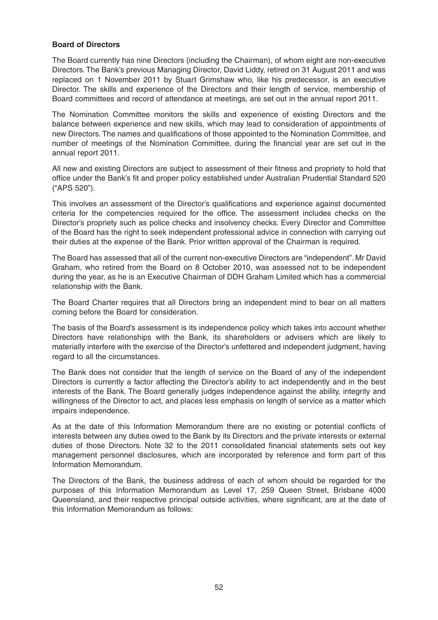#### **Board of Directors**

The Board currently has nine Directors (including the Chairman), of whom eight are non-executive Directors.The Bank's previous Managing Director, David Liddy, retired on 31 August 2011 and was replaced on 1 November 2011 by Stuart Grimshaw who, like his predecessor, is an executive Director. The skills and experience of the Directors and their length of service, membership of Board committees and record of attendance at meetings, are set out in the annual report 2011.

The Nomination Committee monitors the skills and experience of existing Directors and the balance between experience and new skills, which may lead to consideration of appointments of new Directors.The names and qualifications of those appointed to the Nomination Committee, and number of meetings of the Nomination Committee, during the financial year are set out in the annual report 2011.

All new and existing Directors are subject to assessment of their fitness and propriety to hold that office under the Bank's fit and proper policy established under Australian Prudential Standard 520 ("APS 520").

This involves an assessment of the Director's qualifications and experience against documented criteria for the competencies required for the office. The assessment includes checks on the Director's propriety such as police checks and insolvency checks. Every Director and Committee of the Board has the right to seek independent professional advice in connection with carrying out their duties at the expense of the Bank. Prior written approval of the Chairman is required.

The Board has assessed that all of the current non-executive Directors are "independent". Mr David Graham, who retired from the Board on 8 October 2010, was assessed not to be independent during the year, as he is an Executive Chairman of DDH Graham Limited which has a commercial relationship with the Bank.

The Board Charter requires that all Directors bring an independent mind to bear on all matters coming before the Board for consideration.

The basis of the Board's assessment is its independence policy which takes into account whether Directors have relationships with the Bank, its shareholders or advisers which are likely to materially interfere with the exercise of the Director's unfettered and independent judgment, having regard to all the circumstances.

The Bank does not consider that the length of service on the Board of any of the independent Directors is currently a factor affecting the Director's ability to act independently and in the best interests of the Bank. The Board generally judges independence against the ability, integrity and willingness of the Director to act, and places less emphasis on length of service as a matter which impairs independence.

As at the date of this Information Memorandum there are no existing or potential conflicts of interests between any duties owed to the Bank by its Directors and the private interests or external duties of those Directors. Note 32 to the 2011 consolidated financial statements sets out key management personnel disclosures, which are incorporated by reference and form part of this Information Memorandum.

The Directors of the Bank, the business address of each of whom should be regarded for the purposes of this Information Memorandum as Level 17, 259 Queen Street, Brisbane 4000 Queensland, and their respective principal outside activities, where significant, are at the date of this Information Memorandum as follows: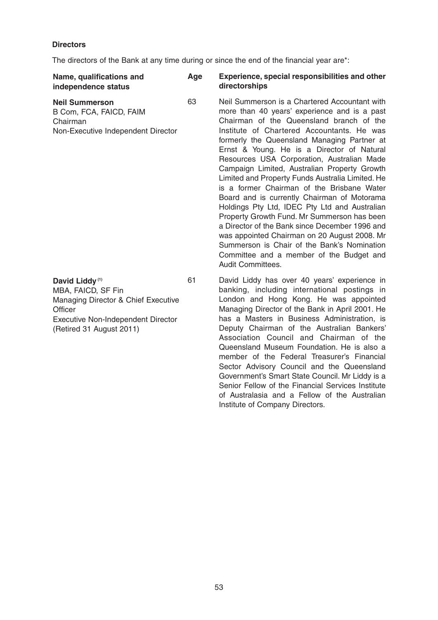# **Directors**

The directors of the Bank at any time during or since the end of the financial year are\*:

| Name, qualifications and<br>independence status                                                                                                                             | Age | Experience, special responsibilities and other<br>directorships                                                                                                                                                                                                                                                                                                                                                                                                                                                                                                                                                                                                                                                                                                                                                                                              |
|-----------------------------------------------------------------------------------------------------------------------------------------------------------------------------|-----|--------------------------------------------------------------------------------------------------------------------------------------------------------------------------------------------------------------------------------------------------------------------------------------------------------------------------------------------------------------------------------------------------------------------------------------------------------------------------------------------------------------------------------------------------------------------------------------------------------------------------------------------------------------------------------------------------------------------------------------------------------------------------------------------------------------------------------------------------------------|
| <b>Neil Summerson</b><br>B Com, FCA, FAICD, FAIM<br>Chairman<br>Non-Executive Independent Director                                                                          | 63  | Neil Summerson is a Chartered Accountant with<br>more than 40 years' experience and is a past<br>Chairman of the Queensland branch of the<br>Institute of Chartered Accountants. He was<br>formerly the Queensland Managing Partner at<br>Ernst & Young. He is a Director of Natural<br>Resources USA Corporation, Australian Made<br>Campaign Limited, Australian Property Growth<br>Limited and Property Funds Australia Limited. He<br>is a former Chairman of the Brisbane Water<br>Board and is currently Chairman of Motorama<br>Holdings Pty Ltd, IDEC Pty Ltd and Australian<br>Property Growth Fund. Mr Summerson has been<br>a Director of the Bank since December 1996 and<br>was appointed Chairman on 20 August 2008. Mr<br>Summerson is Chair of the Bank's Nomination<br>Committee and a member of the Budget and<br><b>Audit Committees.</b> |
| David Liddy <sup>(1)</sup><br>MBA, FAICD, SF Fin<br>Managing Director & Chief Executive<br>Officer<br><b>Executive Non-Independent Director</b><br>(Retired 31 August 2011) | 61  | David Liddy has over 40 years' experience in<br>banking, including international postings in<br>London and Hong Kong. He was appointed<br>Managing Director of the Bank in April 2001. He<br>has a Masters in Business Administration, is<br>Deputy Chairman of the Australian Bankers'<br>Association Council and Chairman of the<br>Queensland Museum Foundation. He is also a<br>member of the Federal Treasurer's Financial<br>Sector Advisory Council and the Queensland<br>Government's Smart State Council. Mr Liddy is a<br>Senior Fellow of the Financial Services Institute<br>of Australasia and a Fellow of the Australian                                                                                                                                                                                                                       |

Institute of Company Directors.

53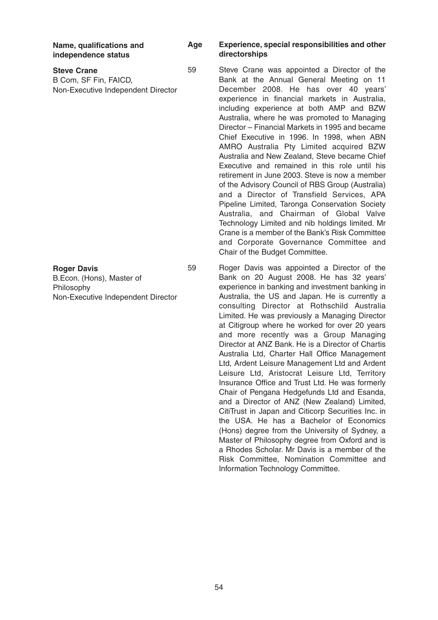**Name, qualifications and independence status**

| <b>Steve Crane</b>                 | 5 |
|------------------------------------|---|
| B Com, SF Fin, FAICD,              |   |
| Non-Executive Independent Director |   |

#### **Roger Davis**

B.Econ. (Hons), Master of Philosophy Non-Executive Independent Director

#### **Age Experience, special responsibilities and other directorships**

59 Steve Crane was appointed a Director of the Bank at the Annual General Meeting on 11 December 2008. He has over 40 years' experience in financial markets in Australia, including experience at both AMP and BZW Australia, where he was promoted to Managing Director – Financial Markets in 1995 and became Chief Executive in 1996. In 1998, when ABN AMRO Australia Pty Limited acquired BZW Australia and New Zealand, Steve became Chief Executive and remained in this role until his retirement in June 2003. Steve is now a member of the Advisory Council of RBS Group (Australia) and a Director of Transfield Services, APA Pipeline Limited, Taronga Conservation Society Australia, and Chairman of Global Valve Technology Limited and nib holdings limited. Mr Crane is a member of the Bank's Risk Committee and Corporate Governance Committee and Chair of the Budget Committee.

59 Roger Davis was appointed a Director of the Bank on 20 August 2008. He has 32 years' experience in banking and investment banking in Australia, the US and Japan. He is currently a consulting Director at Rothschild Australia Limited. He was previously a Managing Director at Citigroup where he worked for over 20 years and more recently was a Group Managing Director at ANZ Bank. He is a Director of Chartis Australia Ltd, Charter Hall Office Management Ltd, Ardent Leisure Management Ltd and Ardent Leisure Ltd, Aristocrat Leisure Ltd, Territory Insurance Office and Trust Ltd. He was formerly Chair of Pengana Hedgefunds Ltd and Esanda, and a Director of ANZ (New Zealand) Limited, CitiTrust in Japan and Citicorp Securities Inc. in the USA. He has a Bachelor of Economics (Hons) degree from the University of Sydney, a Master of Philosophy degree from Oxford and is a Rhodes Scholar. Mr Davis is a member of the Risk Committee, Nomination Committee and Information Technology Committee.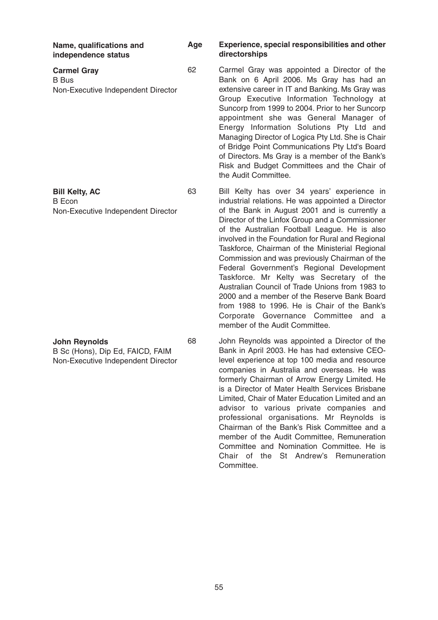| Name, qualifications and<br>independence status                                                | Age | Experience, special responsibilities and other<br>directorships                                                                                                                                                                                                                                                                                                                                                                                                                                                                                                                                                                                                                                                                     |
|------------------------------------------------------------------------------------------------|-----|-------------------------------------------------------------------------------------------------------------------------------------------------------------------------------------------------------------------------------------------------------------------------------------------------------------------------------------------------------------------------------------------------------------------------------------------------------------------------------------------------------------------------------------------------------------------------------------------------------------------------------------------------------------------------------------------------------------------------------------|
| <b>Carmel Gray</b><br><b>B</b> Bus<br>Non-Executive Independent Director                       | 62  | Carmel Gray was appointed a Director of the<br>Bank on 6 April 2006. Ms Gray has had an<br>extensive career in IT and Banking. Ms Gray was<br>Group Executive Information Technology at<br>Suncorp from 1999 to 2004. Prior to her Suncorp<br>appointment she was General Manager of<br>Energy Information Solutions Pty Ltd and<br>Managing Director of Logica Pty Ltd. She is Chair<br>of Bridge Point Communications Pty Ltd's Board<br>of Directors. Ms Gray is a member of the Bank's<br>Risk and Budget Committees and the Chair of<br>the Audit Committee.                                                                                                                                                                   |
| <b>Bill Kelty, AC</b><br><b>B</b> Econ<br>Non-Executive Independent Director                   | 63  | Bill Kelty has over 34 years' experience in<br>industrial relations. He was appointed a Director<br>of the Bank in August 2001 and is currently a<br>Director of the Linfox Group and a Commissioner<br>of the Australian Football League. He is also<br>involved in the Foundation for Rural and Regional<br>Taskforce, Chairman of the Ministerial Regional<br>Commission and was previously Chairman of the<br>Federal Government's Regional Development<br>Taskforce. Mr Kelty was Secretary of the<br>Australian Council of Trade Unions from 1983 to<br>2000 and a member of the Reserve Bank Board<br>from 1988 to 1996. He is Chair of the Bank's<br>Corporate Governance Committee and a<br>member of the Audit Committee. |
| <b>John Reynolds</b><br>B Sc (Hons), Dip Ed, FAICD, FAIM<br>Non-Executive Independent Director | 68  | John Reynolds was appointed a Director of the<br>Bank in April 2003. He has had extensive CEO-<br>level experience at top 100 media and resource<br>companies in Australia and overseas. He was<br>formerly Chairman of Arrow Energy Limited. He<br>is a Director of Mater Health Services Brisbane<br>Limited, Chair of Mater Education Limited and an<br>advisor to various private companies and<br>professional organisations. Mr Reynolds is<br>Chairman of the Bank's Risk Committee and a                                                                                                                                                                                                                                    |

55

Committee.

member of the Audit Committee, Remuneration Committee and Nomination Committee. He is Chair of the St Andrew's Remuneration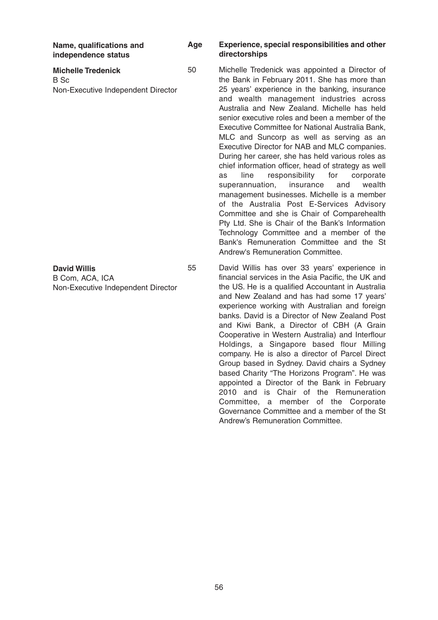**Name, qualifications and independence status**

**Michelle Tredenick** B Sc Non-Executive Independent Director

**David Willis**

B Com, ACA, ICA Non-Executive Independent Director

#### **Age Experience, special responsibilities and other directorships**

50 Michelle Tredenick was appointed a Director of the Bank in February 2011. She has more than 25 years' experience in the banking, insurance and wealth management industries across Australia and New Zealand. Michelle has held senior executive roles and been a member of the Executive Committee for National Australia Bank, MLC and Suncorp as well as serving as an Executive Director for NAB and MLC companies. During her career, she has held various roles as chief information officer, head of strategy as well as line responsibility for corporate superannuation, insurance and wealth management businesses. Michelle is a member of the Australia Post E-Services Advisory Committee and she is Chair of Comparehealth Pty Ltd. She is Chair of the Bank's Information Technology Committee and a member of the Bank's Remuneration Committee and the St Andrew's Remuneration Committee.

55 David Willis has over 33 years' experience in financial services in the Asia Pacific, the UK and the US. He is a qualified Accountant in Australia and New Zealand and has had some 17 years' experience working with Australian and foreign banks. David is a Director of New Zealand Post and Kiwi Bank, a Director of CBH (A Grain Cooperative in Western Australia) and Interflour Holdings, a Singapore based flour Milling company. He is also a director of Parcel Direct Group based in Sydney. David chairs a Sydney based Charity "The Horizons Program". He was appointed a Director of the Bank in February 2010 and is Chair of the Remuneration Committee, a member of the Corporate Governance Committee and a member of the St Andrew's Remuneration Committee.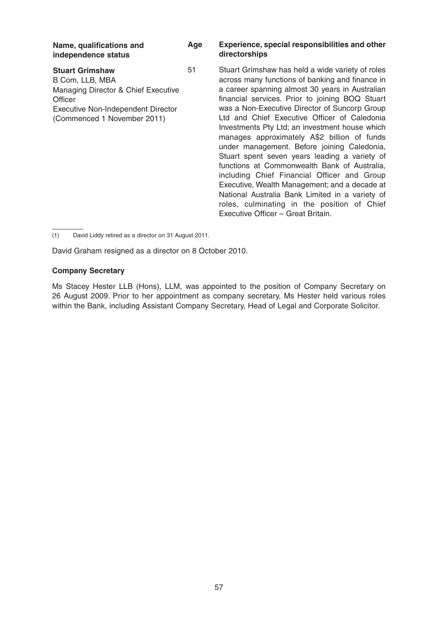| Name, qualifications and<br>independence status                                                                                                                  | Age | <b>Experience, special responsibilities and other</b><br>directorships                                                                                                                                                                                                                                                                                                                                                                                                                                                                                     |
|------------------------------------------------------------------------------------------------------------------------------------------------------------------|-----|------------------------------------------------------------------------------------------------------------------------------------------------------------------------------------------------------------------------------------------------------------------------------------------------------------------------------------------------------------------------------------------------------------------------------------------------------------------------------------------------------------------------------------------------------------|
| <b>Stuart Grimshaw</b><br>B Com, LLB, MBA<br>Managing Director & Chief Executive<br>Officer<br>Executive Non-Independent Director<br>(Commenced 1 November 2011) | 51  | Stuart Grimshaw has held a wide variety of roles<br>across many functions of banking and finance in<br>a career spanning almost 30 years in Australian<br>financial services. Prior to joining BOQ Stuart<br>was a Non-Executive Director of Suncorp Group<br>Ltd and Chief Executive Officer of Caledonia<br>Investments Pty Ltd; an investment house which<br>manages approximately A\$2 billion of funds<br>under management. Before joining Caledonia,<br>Stuart spent seven years leading a variety of<br>functions at Commonwealth Bank of Australia |

a wide variety of roles banking and finance in 30 years in Australian to joining BOQ Stuart ctor of Suncorp Group Officer of Caledonia **Vestment house which** A\$2 billion of funds ore joining Caledonia, s leading a variety of functions at Commonwealth Bank of Australia, including Chief Financial Officer and Group Executive, Wealth Management; and a decade at National Australia Bank Limited in a variety of roles, culminating in the position of Chief Executive Officer – Great Britain.

(1) David Liddy retired as a director on 31 August 2011.

David Graham resigned as a director on 8 October 2010.

#### **Company Secretary**

Ms Stacey Hester LLB (Hons), LLM, was appointed to the position of Company Secretary on 26 August 2009. Prior to her appointment as company secretary, Ms Hester held various roles within the Bank, including Assistant Company Secretary, Head of Legal and Corporate Solicitor.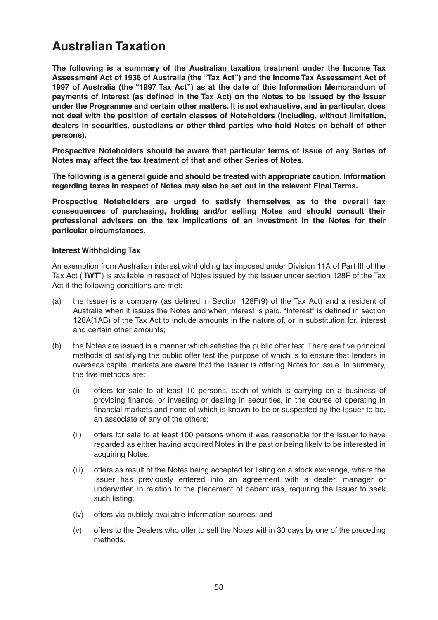# **Australian Taxation**

**The following is a summary of the Australian taxation treatment under the Income Tax Assessment Act of 1936 of Australia (the "Tax Act") and the Income Tax Assessment Act of 1997 of Australia (the "1997 Tax Act") as at the date of this Information Memorandum of payments of interest (as defined in the Tax Act) on the Notes to be issued by the Issuer under the Programme and certain other matters. It is not exhaustive, and in particular, does not deal with the position of certain classes of Noteholders (including, without limitation, dealers in securities, custodians or other third parties who hold Notes on behalf of other persons).**

**Prospective Noteholders should be aware that particular terms of issue of any Series of Notes may affect the tax treatment of that and other Series of Notes.**

**The following is a general guide and should be treated with appropriate caution. Information regarding taxes in respect of Notes may also be set out in the relevant Final Terms.**

**Prospective Noteholders are urged to satisfy themselves as to the overall tax consequences of purchasing, holding and/or selling Notes and should consult their professional advisers on the tax implications of an investment in the Notes for their particular circumstances.**

### **Interest Withholding Tax**

An exemption from Australian interest withholding tax imposed under Division 11A of Part III of the Tax Act ("**IWT**") is available in respect of Notes issued by the Issuer under section 128F of the Tax Act if the following conditions are met:

- (a) the Issuer is a company (as defined in Section 128F(9) of the Tax Act) and a resident of Australia when it issues the Notes and when interest is paid. "Interest" is defined in section 128A(1AB) of the Tax Act to include amounts in the nature of, or in substitution for, interest and certain other amounts;
- (b) the Notes are issued in a manner which satisfies the public offer test. There are five principal methods of satisfying the public offer test the purpose of which is to ensure that lenders in overseas capital markets are aware that the Issuer is offering Notes for issue. In summary, the five methods are:
	- (i) offers for sale to at least 10 persons, each of which is carrying on a business of providing finance, or investing or dealing in securities, in the course of operating in financial markets and none of which is known to be or suspected by the Issuer to be, an associate of any of the others;
	- (ii) offers for sale to at least 100 persons whom it was reasonable for the Issuer to have regarded as either having acquired Notes in the past or being likely to be interested in acquiring Notes;
	- (iii) offers as result of the Notes being accepted for listing on a stock exchange, where the Issuer has previously entered into an agreement with a dealer, manager or underwriter, in relation to the placement of debentures, requiring the Issuer to seek such listing;
	- (iv) offers via publicly available information sources; and
	- (v) offers to the Dealers who offer to sell the Notes within 30 days by one of the preceding methods.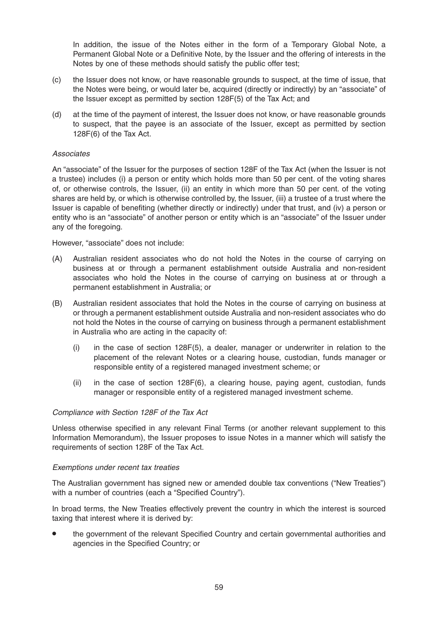In addition, the issue of the Notes either in the form of a Temporary Global Note, a Permanent Global Note or a Definitive Note, by the Issuer and the offering of interests in the Notes by one of these methods should satisfy the public offer test;

- (c) the Issuer does not know, or have reasonable grounds to suspect, at the time of issue, that the Notes were being, or would later be, acquired (directly or indirectly) by an "associate" of the Issuer except as permitted by section 128F(5) of the Tax Act; and
- (d) at the time of the payment of interest, the Issuer does not know, or have reasonable grounds to suspect, that the payee is an associate of the Issuer, except as permitted by section 128F(6) of the Tax Act.

#### Associates

An "associate" of the Issuer for the purposes of section 128F of the Tax Act (when the Issuer is not a trustee) includes (i) a person or entity which holds more than 50 per cent. of the voting shares of, or otherwise controls, the Issuer, (ii) an entity in which more than 50 per cent. of the voting shares are held by, or which is otherwise controlled by, the Issuer, (iii) a trustee of a trust where the Issuer is capable of benefiting (whether directly or indirectly) under that trust, and (iv) a person or entity who is an "associate" of another person or entity which is an "associate" of the Issuer under any of the foregoing.

However, "associate" does not include:

- (A) Australian resident associates who do not hold the Notes in the course of carrying on business at or through a permanent establishment outside Australia and non-resident associates who hold the Notes in the course of carrying on business at or through a permanent establishment in Australia; or
- (B) Australian resident associates that hold the Notes in the course of carrying on business at or through a permanent establishment outside Australia and non-resident associates who do not hold the Notes in the course of carrying on business through a permanent establishment in Australia who are acting in the capacity of:
	- (i) in the case of section 128F(5), a dealer, manager or underwriter in relation to the placement of the relevant Notes or a clearing house, custodian, funds manager or responsible entity of a registered managed investment scheme; or
	- (ii) in the case of section 128F(6), a clearing house, paying agent, custodian, funds manager or responsible entity of a registered managed investment scheme.

#### Compliance with Section 128F of the Tax Act

Unless otherwise specified in any relevant Final Terms (or another relevant supplement to this Information Memorandum), the Issuer proposes to issue Notes in a manner which will satisfy the requirements of section 128F of the Tax Act.

#### Exemptions under recent tax treaties

The Australian government has signed new or amended double tax conventions ("New Treaties") with a number of countries (each a "Specified Country").

In broad terms, the New Treaties effectively prevent the country in which the interest is sourced taxing that interest where it is derived by:

• the government of the relevant Specified Country and certain governmental authorities and agencies in the Specified Country; or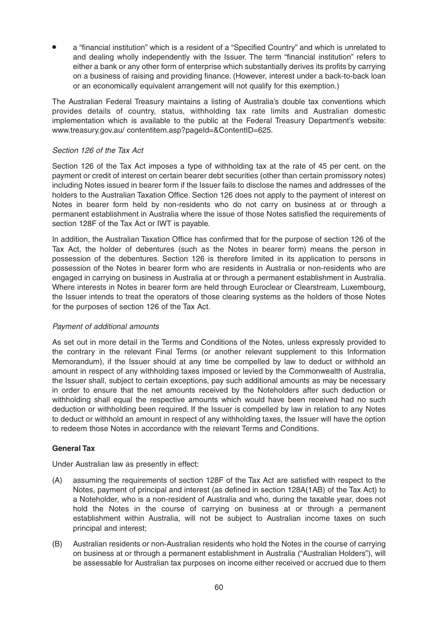• <sup>a</sup> "financial institution" which is <sup>a</sup> resident of <sup>a</sup> "Specified Country" and which is unrelated to and dealing wholly independently with the Issuer. The term "financial institution" refers to either a bank or any other form of enterprise which substantially derives its profits by carrying on a business of raising and providing finance. (However, interest under a back-to-back loan or an economically equivalent arrangement will not qualify for this exemption.)

The Australian Federal Treasury maintains a listing of Australia's double tax conventions which provides details of country, status, withholding tax rate limits and Australian domestic implementation which is available to the public at the Federal Treasury Department's website: www.treasury.gov.au/ contentitem.asp?pageId=&ContentID=625.

## Section 126 of the Tax Act

Section 126 of the Tax Act imposes a type of withholding tax at the rate of 45 per cent. on the payment or credit of interest on certain bearer debt securities (other than certain promissory notes) including Notes issued in bearer form if the Issuer fails to disclose the names and addresses of the holders to the Australian Taxation Office. Section 126 does not apply to the payment of interest on Notes in bearer form held by non-residents who do not carry on business at or through a permanent establishment in Australia where the issue of those Notes satisfied the requirements of section 128F of the Tax Act or IWT is payable.

In addition, the Australian Taxation Office has confirmed that for the purpose of section 126 of the Tax Act, the holder of debentures (such as the Notes in bearer form) means the person in possession of the debentures. Section 126 is therefore limited in its application to persons in possession of the Notes in bearer form who are residents in Australia or non-residents who are engaged in carrying on business in Australia at or through a permanent establishment in Australia. Where interests in Notes in bearer form are held through Euroclear or Clearstream, Luxembourg, the Issuer intends to treat the operators of those clearing systems as the holders of those Notes for the purposes of section 126 of the Tax Act.

## Payment of additional amounts

As set out in more detail in the Terms and Conditions of the Notes, unless expressly provided to the contrary in the relevant Final Terms (or another relevant supplement to this Information Memorandum), if the Issuer should at any time be compelled by law to deduct or withhold an amount in respect of any withholding taxes imposed or levied by the Commonwealth of Australia, the Issuer shall, subject to certain exceptions, pay such additional amounts as may be necessary in order to ensure that the net amounts received by the Noteholders after such deduction or withholding shall equal the respective amounts which would have been received had no such deduction or withholding been required. If the Issuer is compelled by law in relation to any Notes to deduct or withhold an amount in respect of any withholding taxes, the Issuer will have the option to redeem those Notes in accordance with the relevant Terms and Conditions.

## **General Tax**

Under Australian law as presently in effect:

- (A) assuming the requirements of section 128F of the Tax Act are satisfied with respect to the Notes, payment of principal and interest (as defined in section 128A(1AB) of the Tax Act) to a Noteholder, who is a non-resident of Australia and who, during the taxable year, does not hold the Notes in the course of carrying on business at or through a permanent establishment within Australia, will not be subject to Australian income taxes on such principal and interest;
- (B) Australian residents or non-Australian residents who hold the Notes in the course of carrying on business at or through a permanent establishment in Australia ("Australian Holders"), will be assessable for Australian tax purposes on income either received or accrued due to them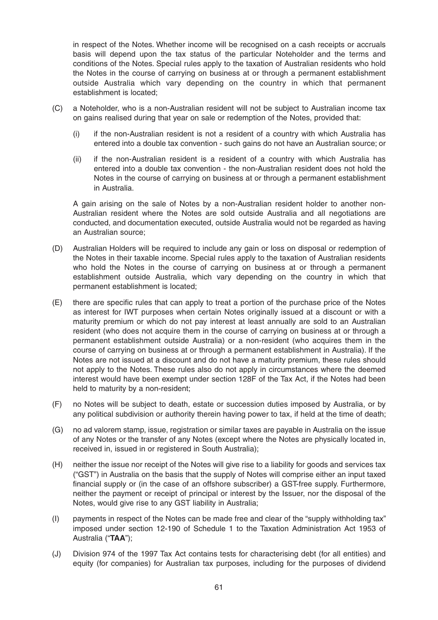in respect of the Notes. Whether income will be recognised on a cash receipts or accruals basis will depend upon the tax status of the particular Noteholder and the terms and conditions of the Notes. Special rules apply to the taxation of Australian residents who hold the Notes in the course of carrying on business at or through a permanent establishment outside Australia which vary depending on the country in which that permanent establishment is located;

- (C) a Noteholder, who is a non-Australian resident will not be subject to Australian income tax on gains realised during that year on sale or redemption of the Notes, provided that:
	- (i) if the non-Australian resident is not a resident of a country with which Australia has entered into a double tax convention - such gains do not have an Australian source; or
	- (ii) if the non-Australian resident is a resident of a country with which Australia has entered into a double tax convention - the non-Australian resident does not hold the Notes in the course of carrying on business at or through a permanent establishment in Australia.

A gain arising on the sale of Notes by a non-Australian resident holder to another non-Australian resident where the Notes are sold outside Australia and all negotiations are conducted, and documentation executed, outside Australia would not be regarded as having an Australian source;

- (D) Australian Holders will be required to include any gain or loss on disposal or redemption of the Notes in their taxable income. Special rules apply to the taxation of Australian residents who hold the Notes in the course of carrying on business at or through a permanent establishment outside Australia, which vary depending on the country in which that permanent establishment is located;
- (E) there are specific rules that can apply to treat a portion of the purchase price of the Notes as interest for IWT purposes when certain Notes originally issued at a discount or with a maturity premium or which do not pay interest at least annually are sold to an Australian resident (who does not acquire them in the course of carrying on business at or through a permanent establishment outside Australia) or a non-resident (who acquires them in the course of carrying on business at or through a permanent establishment in Australia). If the Notes are not issued at a discount and do not have a maturity premium, these rules should not apply to the Notes. These rules also do not apply in circumstances where the deemed interest would have been exempt under section 128F of the Tax Act, if the Notes had been held to maturity by a non-resident;
- (F) no Notes will be subject to death, estate or succession duties imposed by Australia, or by any political subdivision or authority therein having power to tax, if held at the time of death;
- (G) no ad valorem stamp, issue, registration or similar taxes are payable in Australia on the issue of any Notes or the transfer of any Notes (except where the Notes are physically located in, received in, issued in or registered in South Australia);
- (H) neither the issue nor receipt of the Notes will give rise to a liability for goods and services tax ("GST") in Australia on the basis that the supply of Notes will comprise either an input taxed financial supply or (in the case of an offshore subscriber) a GST-free supply. Furthermore, neither the payment or receipt of principal or interest by the Issuer, nor the disposal of the Notes, would give rise to any GST liability in Australia;
- (I) payments in respect of the Notes can be made free and clear of the "supply withholding tax" imposed under section 12-190 of Schedule 1 to the Taxation Administration Act 1953 of Australia ("**TAA**");
- (J) Division 974 of the 1997 Tax Act contains tests for characterising debt (for all entities) and equity (for companies) for Australian tax purposes, including for the purposes of dividend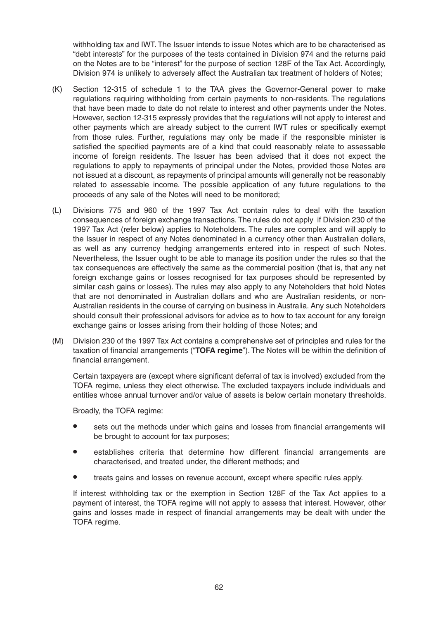withholding tax and IWT. The Issuer intends to issue Notes which are to be characterised as "debt interests" for the purposes of the tests contained in Division 974 and the returns paid on the Notes are to be "interest" for the purpose of section 128F of the Tax Act. Accordingly, Division 974 is unlikely to adversely affect the Australian tax treatment of holders of Notes;

- (K) Section 12-315 of schedule 1 to the TAA gives the Governor-General power to make regulations requiring withholding from certain payments to non-residents. The regulations that have been made to date do not relate to interest and other payments under the Notes. However, section 12-315 expressly provides that the regulations will not apply to interest and other payments which are already subject to the current IWT rules or specifically exempt from those rules. Further, regulations may only be made if the responsible minister is satisfied the specified payments are of a kind that could reasonably relate to assessable income of foreign residents. The Issuer has been advised that it does not expect the regulations to apply to repayments of principal under the Notes, provided those Notes are not issued at a discount, as repayments of principal amounts will generally not be reasonably related to assessable income. The possible application of any future regulations to the proceeds of any sale of the Notes will need to be monitored;
- (L) Divisions 775 and 960 of the 1997 Tax Act contain rules to deal with the taxation consequences of foreign exchange transactions.The rules do not apply if Division 230 of the 1997 Tax Act (refer below) applies to Noteholders. The rules are complex and will apply to the Issuer in respect of any Notes denominated in a currency other than Australian dollars, as well as any currency hedging arrangements entered into in respect of such Notes. Nevertheless, the Issuer ought to be able to manage its position under the rules so that the tax consequences are effectively the same as the commercial position (that is, that any net foreign exchange gains or losses recognised for tax purposes should be represented by similar cash gains or losses). The rules may also apply to any Noteholders that hold Notes that are not denominated in Australian dollars and who are Australian residents, or non-Australian residents in the course of carrying on business in Australia. Any such Noteholders should consult their professional advisors for advice as to how to tax account for any foreign exchange gains or losses arising from their holding of those Notes; and
- (M) Division 230 of the 1997 Tax Act contains a comprehensive set of principles and rules for the taxation of financial arrangements ("**TOFA regime**").The Notes will be within the definition of financial arrangement.

Certain taxpayers are (except where significant deferral of tax is involved) excluded from the TOFA regime, unless they elect otherwise. The excluded taxpayers include individuals and entities whose annual turnover and/or value of assets is below certain monetary thresholds.

Broadly, the TOFA regime:

- sets out the methods under which gains and losses from financial arrangements will be brought to account for tax purposes;
- establishes criteria that determine how different financial arrangements are characterised, and treated under, the different methods; and
- treats gains and losses on revenue account, except where specific rules apply.

If interest withholding tax or the exemption in Section 128F of the Tax Act applies to a payment of interest, the TOFA regime will not apply to assess that interest. However, other gains and losses made in respect of financial arrangements may be dealt with under the TOFA regime.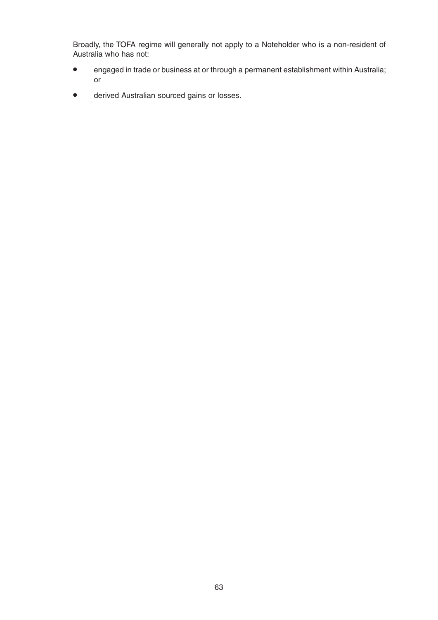Broadly, the TOFA regime will generally not apply to a Noteholder who is a non-resident of Australia who has not:

- engaged in trade or business at or through <sup>a</sup> permanent establishment within Australia; or
- derived Australian sourced gains or losses.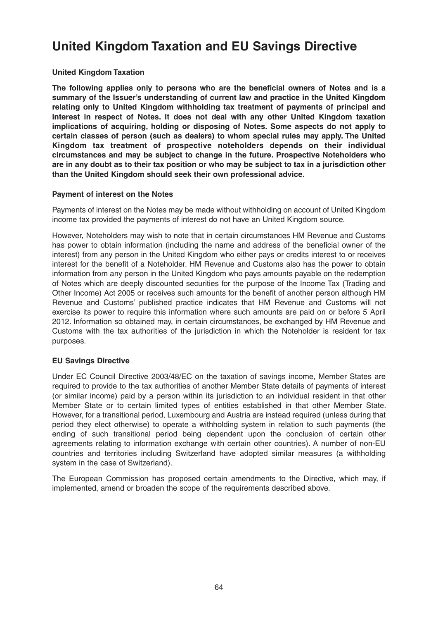# **United Kingdom Taxation and EU Savings Directive**

## **United Kingdom Taxation**

**The following applies only to persons who are the beneficial owners of Notes and is a summary of the Issuer's understanding of current law and practice in the United Kingdom relating only to United Kingdom withholding tax treatment of payments of principal and interest in respect of Notes. It does not deal with any other United Kingdom taxation implications of acquiring, holding or disposing of Notes. Some aspects do not apply to certain classes of person (such as dealers) to whom special rules may apply. The United Kingdom tax treatment of prospective noteholders depends on their individual circumstances and may be subject to change in the future. Prospective Noteholders who** are in any doubt as to their tax position or who may be subject to tax in a jurisdiction other **than the United Kingdom should seek their own professional advice.**

### **Payment of interest on the Notes**

Payments of interest on the Notes may be made without withholding on account of United Kingdom income tax provided the payments of interest do not have an United Kingdom source.

However, Noteholders may wish to note that in certain circumstances HM Revenue and Customs has power to obtain information (including the name and address of the beneficial owner of the interest) from any person in the United Kingdom who either pays or credits interest to or receives interest for the benefit of a Noteholder. HM Revenue and Customs also has the power to obtain information from any person in the United Kingdom who pays amounts payable on the redemption of Notes which are deeply discounted securities for the purpose of the Income Tax (Trading and Other Income) Act 2005 or receives such amounts for the benefit of another person although HM Revenue and Customs' published practice indicates that HM Revenue and Customs will not exercise its power to require this information where such amounts are paid on or before 5 April 2012. Information so obtained may, in certain circumstances, be exchanged by HM Revenue and Customs with the tax authorities of the jurisdiction in which the Noteholder is resident for tax purposes.

## **EU Savings Directive**

Under EC Council Directive 2003/48/EC on the taxation of savings income, Member States are required to provide to the tax authorities of another Member State details of payments of interest (or similar income) paid by a person within its jurisdiction to an individual resident in that other Member State or to certain limited types of entities established in that other Member State. However, for a transitional period, Luxembourg and Austria are instead required (unless during that period they elect otherwise) to operate a withholding system in relation to such payments (the ending of such transitional period being dependent upon the conclusion of certain other agreements relating to information exchange with certain other countries). A number of non-EU countries and territories including Switzerland have adopted similar measures (a withholding system in the case of Switzerland).

The European Commission has proposed certain amendments to the Directive, which may, if implemented, amend or broaden the scope of the requirements described above.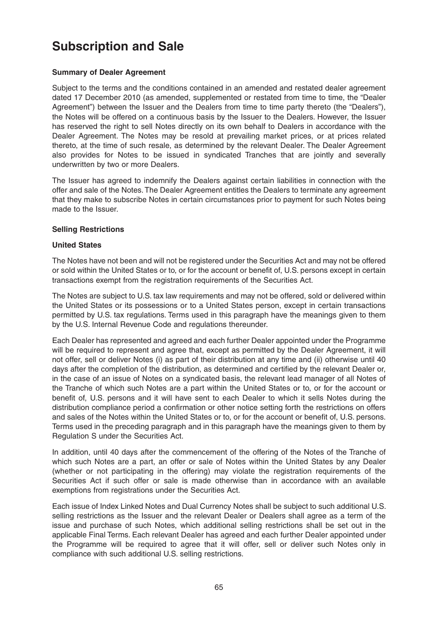# **Subscription and Sale**

## **Summary of Dealer Agreement**

Subject to the terms and the conditions contained in an amended and restated dealer agreement dated 17 December 2010 (as amended, supplemented or restated from time to time, the "Dealer Agreement") between the Issuer and the Dealers from time to time party thereto (the "Dealers"), the Notes will be offered on a continuous basis by the Issuer to the Dealers. However, the Issuer has reserved the right to sell Notes directly on its own behalf to Dealers in accordance with the Dealer Agreement. The Notes may be resold at prevailing market prices, or at prices related thereto, at the time of such resale, as determined by the relevant Dealer. The Dealer Agreement also provides for Notes to be issued in syndicated Tranches that are jointly and severally underwritten by two or more Dealers.

The Issuer has agreed to indemnify the Dealers against certain liabilities in connection with the offer and sale of the Notes.The Dealer Agreement entitles the Dealers to terminate any agreement that they make to subscribe Notes in certain circumstances prior to payment for such Notes being made to the Issuer.

### **Selling Restrictions**

### **United States**

The Notes have not been and will not be registered under the Securities Act and may not be offered or sold within the United States or to, or for the account or benefit of, U.S. persons except in certain transactions exempt from the registration requirements of the Securities Act.

The Notes are subject to U.S. tax law requirements and may not be offered, sold or delivered within the United States or its possessions or to a United States person, except in certain transactions permitted by U.S. tax regulations. Terms used in this paragraph have the meanings given to them by the U.S. Internal Revenue Code and regulations thereunder.

Each Dealer has represented and agreed and each further Dealer appointed under the Programme will be required to represent and agree that, except as permitted by the Dealer Agreement, it will not offer, sell or deliver Notes (i) as part of their distribution at any time and (ii) otherwise until 40 days after the completion of the distribution, as determined and certified by the relevant Dealer or, in the case of an issue of Notes on a syndicated basis, the relevant lead manager of all Notes of the Tranche of which such Notes are a part within the United States or to, or for the account or benefit of, U.S. persons and it will have sent to each Dealer to which it sells Notes during the distribution compliance period a confirmation or other notice setting forth the restrictions on offers and sales of the Notes within the United States or to, or for the account or benefit of, U.S. persons. Terms used in the preceding paragraph and in this paragraph have the meanings given to them by Regulation S under the Securities Act.

In addition, until 40 days after the commencement of the offering of the Notes of the Tranche of which such Notes are a part, an offer or sale of Notes within the United States by any Dealer (whether or not participating in the offering) may violate the registration requirements of the Securities Act if such offer or sale is made otherwise than in accordance with an available exemptions from registrations under the Securities Act.

Each issue of Index Linked Notes and Dual Currency Notes shall be subject to such additional U.S. selling restrictions as the Issuer and the relevant Dealer or Dealers shall agree as a term of the issue and purchase of such Notes, which additional selling restrictions shall be set out in the applicable Final Terms. Each relevant Dealer has agreed and each further Dealer appointed under the Programme will be required to agree that it will offer, sell or deliver such Notes only in compliance with such additional U.S. selling restrictions.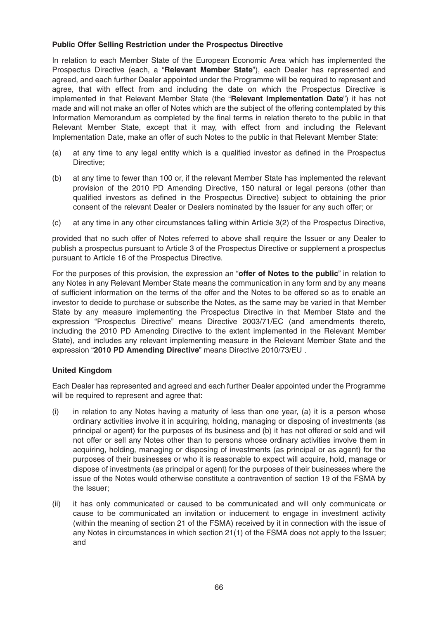## **Public Offer Selling Restriction under the Prospectus Directive**

In relation to each Member State of the European Economic Area which has implemented the Prospectus Directive (each, a "**Relevant Member State**"), each Dealer has represented and agreed, and each further Dealer appointed under the Programme will be required to represent and agree, that with effect from and including the date on which the Prospectus Directive is implemented in that Relevant Member State (the "**Relevant Implementation Date**") it has not made and will not make an offer of Notes which are the subject of the offering contemplated by this Information Memorandum as completed by the final terms in relation thereto to the public in that Relevant Member State, except that it may, with effect from and including the Relevant Implementation Date, make an offer of such Notes to the public in that Relevant Member State:

- (a) at any time to any legal entity which is a qualified investor as defined in the Prospectus Directive;
- (b) at any time to fewer than 100 or, if the relevant Member State has implemented the relevant provision of the 2010 PD Amending Directive, 150 natural or legal persons (other than qualified investors as defined in the Prospectus Directive) subject to obtaining the prior consent of the relevant Dealer or Dealers nominated by the Issuer for any such offer; or
- (c) at any time in any other circumstances falling within Article 3(2) of the Prospectus Directive,

provided that no such offer of Notes referred to above shall require the Issuer or any Dealer to publish a prospectus pursuant to Article 3 of the Prospectus Directive or supplement a prospectus pursuant to Article 16 of the Prospectus Directive.

For the purposes of this provision, the expression an "**offer of Notes to the public**" in relation to any Notes in any Relevant Member State means the communication in any form and by any means of sufficient information on the terms of the offer and the Notes to be offered so as to enable an investor to decide to purchase or subscribe the Notes, as the same may be varied in that Member State by any measure implementing the Prospectus Directive in that Member State and the expression "Prospectus Directive" means Directive 2003/71/EC (and amendments thereto, including the 2010 PD Amending Directive to the extent implemented in the Relevant Member State), and includes any relevant implementing measure in the Relevant Member State and the expression "**2010 PD Amending Directive**" means Directive 2010/73/EU .

## **United Kingdom**

Each Dealer has represented and agreed and each further Dealer appointed under the Programme will be required to represent and agree that:

- (i) in relation to any Notes having a maturity of less than one year, (a) it is a person whose ordinary activities involve it in acquiring, holding, managing or disposing of investments (as principal or agent) for the purposes of its business and (b) it has not offered or sold and will not offer or sell any Notes other than to persons whose ordinary activities involve them in acquiring, holding, managing or disposing of investments (as principal or as agent) for the purposes of their businesses or who it is reasonable to expect will acquire, hold, manage or dispose of investments (as principal or agent) for the purposes of their businesses where the issue of the Notes would otherwise constitute a contravention of section 19 of the FSMA by the Issuer;
- (ii) it has only communicated or caused to be communicated and will only communicate or cause to be communicated an invitation or inducement to engage in investment activity (within the meaning of section 21 of the FSMA) received by it in connection with the issue of any Notes in circumstances in which section 21(1) of the FSMA does not apply to the Issuer; and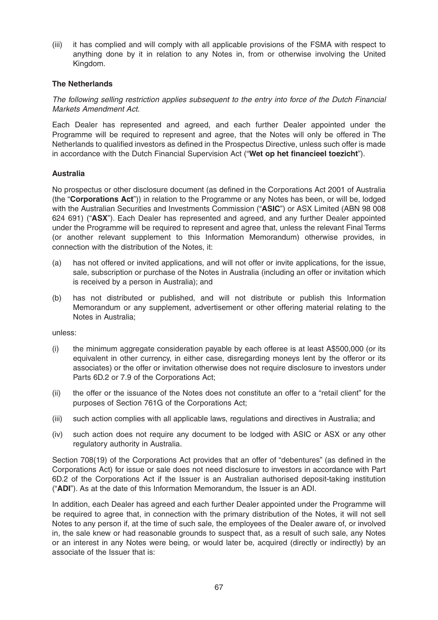(iii) it has complied and will comply with all applicable provisions of the FSMA with respect to anything done by it in relation to any Notes in, from or otherwise involving the United Kingdom.

## **The Netherlands**

The following selling restriction applies subsequent to the entry into force of the Dutch Financial Markets Amendment Act.

Each Dealer has represented and agreed, and each further Dealer appointed under the Programme will be required to represent and agree, that the Notes will only be offered in The Netherlands to qualified investors as defined in the Prospectus Directive, unless such offer is made in accordance with the Dutch Financial Supervision Act ("**Wet op het financieel toezicht**").

### **Australia**

No prospectus or other disclosure document (as defined in the Corporations Act 2001 of Australia (the "**Corporations Act**")) in relation to the Programme or any Notes has been, or will be, lodged with the Australian Securities and Investments Commission ("**ASIC**") or ASX Limited (ABN 98 008 624 691) ("**ASX**"). Each Dealer has represented and agreed, and any further Dealer appointed under the Programme will be required to represent and agree that, unless the relevant Final Terms (or another relevant supplement to this Information Memorandum) otherwise provides, in connection with the distribution of the Notes, it:

- (a) has not offered or invited applications, and will not offer or invite applications, for the issue, sale, subscription or purchase of the Notes in Australia (including an offer or invitation which is received by a person in Australia); and
- (b) has not distributed or published, and will not distribute or publish this Information Memorandum or any supplement, advertisement or other offering material relating to the Notes in Australia;

unless:

- (i) the minimum aggregate consideration payable by each offeree is at least A\$500,000 (or its equivalent in other currency, in either case, disregarding moneys lent by the offeror or its associates) or the offer or invitation otherwise does not require disclosure to investors under Parts 6D.2 or 7.9 of the Corporations Act;
- (ii) the offer or the issuance of the Notes does not constitute an offer to a "retail client" for the purposes of Section 761G of the Corporations Act;
- (iii) such action complies with all applicable laws, regulations and directives in Australia; and
- (iv) such action does not require any document to be lodged with ASIC or ASX or any other regulatory authority in Australia.

Section 708(19) of the Corporations Act provides that an offer of "debentures" (as defined in the Corporations Act) for issue or sale does not need disclosure to investors in accordance with Part 6D.2 of the Corporations Act if the Issuer is an Australian authorised deposit-taking institution ("**ADI**"). As at the date of this Information Memorandum, the Issuer is an ADI.

In addition, each Dealer has agreed and each further Dealer appointed under the Programme will be required to agree that, in connection with the primary distribution of the Notes, it will not sell Notes to any person if, at the time of such sale, the employees of the Dealer aware of, or involved in, the sale knew or had reasonable grounds to suspect that, as a result of such sale, any Notes or an interest in any Notes were being, or would later be, acquired (directly or indirectly) by an associate of the Issuer that is: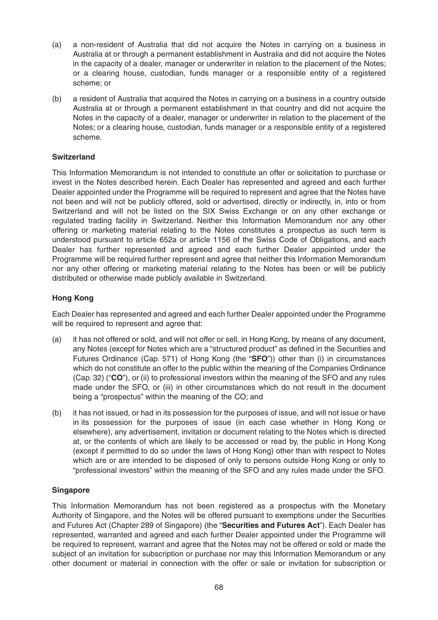- (a) a non-resident of Australia that did not acquire the Notes in carrying on a business in Australia at or through a permanent establishment in Australia and did not acquire the Notes in the capacity of a dealer, manager or underwriter in relation to the placement of the Notes; or a clearing house, custodian, funds manager or a responsible entity of a registered scheme; or
- (b) a resident of Australia that acquired the Notes in carrying on a business in a country outside Australia at or through a permanent establishment in that country and did not acquire the Notes in the capacity of a dealer, manager or underwriter in relation to the placement of the Notes; or a clearing house, custodian, funds manager or a responsible entity of a registered scheme.

## **Switzerland**

This Information Memorandum is not intended to constitute an offer or solicitation to purchase or invest in the Notes described herein. Each Dealer has represented and agreed and each further Dealer appointed under the Programme will be required to represent and agree that the Notes have not been and will not be publicly offered, sold or advertised, directly or indirectly, in, into or from Switzerland and will not be listed on the SIX Swiss Exchange or on any other exchange or regulated trading facility in Switzerland. Neither this Information Memorandum nor any other offering or marketing material relating to the Notes constitutes a prospectus as such term is understood pursuant to article 652a or article 1156 of the Swiss Code of Obligations, and each Dealer has further represented and agreed and each further Dealer appointed under the Programme will be required further represent and agree that neither this Information Memorandum nor any other offering or marketing material relating to the Notes has been or will be publicly distributed or otherwise made publicly available in Switzerland.

## **Hong Kong**

Each Dealer has represented and agreed and each further Dealer appointed under the Programme will be required to represent and agree that:

- (a) it has not offered or sold, and will not offer or sell, in Hong Kong, by means of any document, any Notes (except for Notes which are a "structured product" as defined in the Securities and Futures Ordinance (Cap. 571) of Hong Kong (the "**SFO**")) other than (i) in circumstances which do not constitute an offer to the public within the meaning of the Companies Ordinance (Cap. 32) ("**CO**"), or (ii) to professional investors within the meaning of the SFO and any rules made under the SFO, or (iii) in other circumstances which do not result in the document being a "prospectus" within the meaning of the CO; and
- (b) it has not issued, or had in its possession for the purposes of issue, and will not issue or have in its possession for the purposes of issue (in each case whether in Hong Kong or elsewhere), any advertisement, invitation or document relating to the Notes which is directed at, or the contents of which are likely to be accessed or read by, the public in Hong Kong (except if permitted to do so under the laws of Hong Kong) other than with respect to Notes which are or are intended to be disposed of only to persons outside Hong Kong or only to "professional investors" within the meaning of the SFO and any rules made under the SFO.

## **Singapore**

This Information Memorandum has not been registered as a prospectus with the Monetary Authority of Singapore, and the Notes will be offered pursuant to exemptions under the Securities and Futures Act (Chapter 289 of Singapore) (the "**Securities and Futures Act**"). Each Dealer has represented, warranted and agreed and each further Dealer appointed under the Programme will be required to represent, warrant and agree that the Notes may not be offered or sold or made the subject of an invitation for subscription or purchase nor may this Information Memorandum or any other document or material in connection with the offer or sale or invitation for subscription or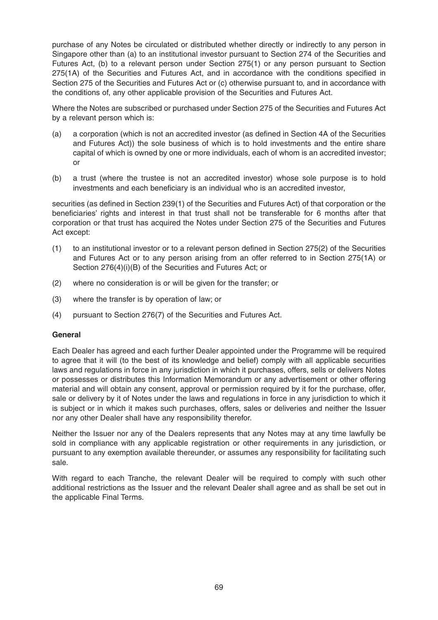purchase of any Notes be circulated or distributed whether directly or indirectly to any person in Singapore other than (a) to an institutional investor pursuant to Section 274 of the Securities and Futures Act, (b) to a relevant person under Section 275(1) or any person pursuant to Section 275(1A) of the Securities and Futures Act, and in accordance with the conditions specified in Section 275 of the Securities and Futures Act or (c) otherwise pursuant to, and in accordance with the conditions of, any other applicable provision of the Securities and Futures Act.

Where the Notes are subscribed or purchased under Section 275 of the Securities and Futures Act by a relevant person which is:

- (a) a corporation (which is not an accredited investor (as defined in Section 4A of the Securities and Futures Act)) the sole business of which is to hold investments and the entire share capital of which is owned by one or more individuals, each of whom is an accredited investor; or
- (b) a trust (where the trustee is not an accredited investor) whose sole purpose is to hold investments and each beneficiary is an individual who is an accredited investor,

securities (as defined in Section 239(1) of the Securities and Futures Act) of that corporation or the beneficiaries' rights and interest in that trust shall not be transferable for 6 months after that corporation or that trust has acquired the Notes under Section 275 of the Securities and Futures Act except:

- (1) to an institutional investor or to a relevant person defined in Section 275(2) of the Securities and Futures Act or to any person arising from an offer referred to in Section 275(1A) or Section 276(4)(i)(B) of the Securities and Futures Act; or
- (2) where no consideration is or will be given for the transfer; or
- (3) where the transfer is by operation of law; or
- (4) pursuant to Section 276(7) of the Securities and Futures Act.

#### **General**

Each Dealer has agreed and each further Dealer appointed under the Programme will be required to agree that it will (to the best of its knowledge and belief) comply with all applicable securities laws and regulations in force in any jurisdiction in which it purchases, offers, sells or delivers Notes or possesses or distributes this Information Memorandum or any advertisement or other offering material and will obtain any consent, approval or permission required by it for the purchase, offer, sale or delivery by it of Notes under the laws and regulations in force in any jurisdiction to which it is subject or in which it makes such purchases, offers, sales or deliveries and neither the Issuer nor any other Dealer shall have any responsibility therefor.

Neither the Issuer nor any of the Dealers represents that any Notes may at any time lawfully be sold in compliance with any applicable registration or other requirements in any jurisdiction, or pursuant to any exemption available thereunder, or assumes any responsibility for facilitating such sale.

With regard to each Tranche, the relevant Dealer will be required to comply with such other additional restrictions as the Issuer and the relevant Dealer shall agree and as shall be set out in the applicable Final Terms.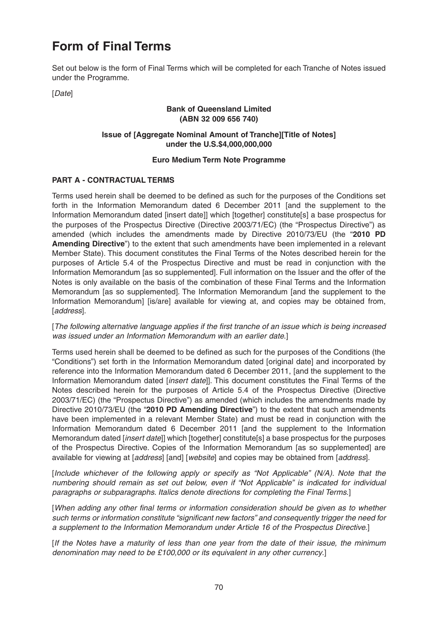# **Form of Final Terms**

Set out below is the form of Final Terms which will be completed for each Tranche of Notes issued under the Programme.

[Date]

### **Bank of Queensland Limited (ABN 32 009 656 740)**

## **Issue of [Aggregate Nominal Amount of Tranche][Title of Notes] under the U.S.\$4,000,000,000**

## **Euro Medium Term Note Programme**

## **PART A - CONTRACTUAL TERMS**

Terms used herein shall be deemed to be defined as such for the purposes of the Conditions set forth in the Information Memorandum dated 6 December 2011 [and the supplement to the Information Memorandum dated [insert date]] which [together] constitute[s] a base prospectus for the purposes of the Prospectus Directive (Directive 2003/71/EC) (the "Prospectus Directive") as amended (which includes the amendments made by Directive 2010/73/EU (the "**2010 PD Amending Directive**") to the extent that such amendments have been implemented in a relevant Member State). This document constitutes the Final Terms of the Notes described herein for the purposes of Article 5.4 of the Prospectus Directive and must be read in conjunction with the Information Memorandum [as so supplemented]. Full information on the Issuer and the offer of the Notes is only available on the basis of the combination of these Final Terms and the Information Memorandum [as so supplemented]. The Information Memorandum [and the supplement to the Information Memorandum] [is/are] available for viewing at, and copies may be obtained from, [address].

[The following alternative language applies if the first tranche of an issue which is being increased was issued under an Information Memorandum with an earlier date.]

Terms used herein shall be deemed to be defined as such for the purposes of the Conditions (the "Conditions") set forth in the Information Memorandum dated [original date] and incorporated by reference into the Information Memorandum dated 6 December 2011, [and the supplement to the Information Memorandum dated [insert date]]. This document constitutes the Final Terms of the Notes described herein for the purposes of Article 5.4 of the Prospectus Directive (Directive 2003/71/EC) (the "Prospectus Directive") as amended (which includes the amendments made by Directive 2010/73/EU (the "**2010 PD Amending Directive**") to the extent that such amendments have been implemented in a relevant Member State) and must be read in conjunction with the Information Memorandum dated 6 December 2011 [and the supplement to the Information Memorandum dated [*insert date*]] which [together] constitute[s] a base prospectus for the purposes of the Prospectus Directive. Copies of the Information Memorandum [as so supplemented] are available for viewing at [address] [and] [website] and copies may be obtained from [address].

[Include whichever of the following apply or specify as "Not Applicable" (N/A). Note that the numbering should remain as set out below, even if "Not Applicable" is indicated for individual paragraphs or subparagraphs. Italics denote directions for completing the Final Terms.]

[When adding any other final terms or information consideration should be given as to whether such terms or information constitute "significant new factors" and consequently trigger the need for a supplement to the Information Memorandum under Article 16 of the Prospectus Directive.]

[If the Notes have a maturity of less than one year from the date of their issue, the minimum denomination may need to be £100,000 or its equivalent in any other currency.]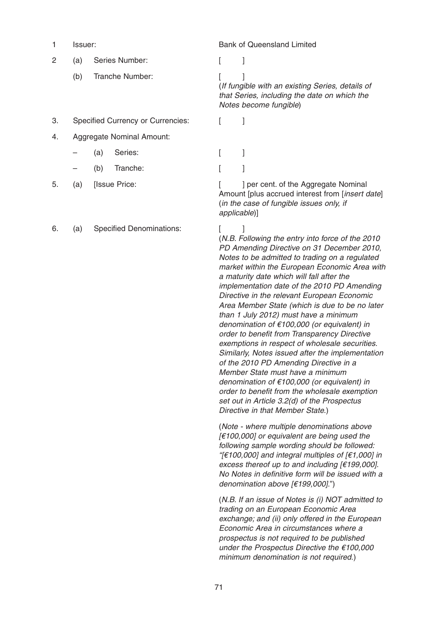1 Issuer: Bank of Queensland Limited

|  | (a) Series Number: |  |
|--|--------------------|--|
|--|--------------------|--|

- (b) Tranche Number: [ ]
- 3. Specified Currency or Currencies: [ ]
- 4. Aggregate Nominal Amount:
	- (a) Series: [ ]
	- (b) Tranche: [ ]
- 
- 6. (a) Specified Denominations: [ ]

(If fungible with an existing Series, details of that Series, including the date on which the Notes become fungible)

5. (a) [Issue Price: [ ] per cent. of the Aggregate Nominal Amount [plus accrued interest from [*insert date*] (in the case of fungible issues only, if applicable)]

> (N.B. Following the entry into force of the 2010 PD Amending Directive on 31 December 2010, Notes to be admitted to trading on a regulated market within the European Economic Area with a maturity date which will fall after the implementation date of the 2010 PD Amending Directive in the relevant European Economic Area Member State (which is due to be no later than 1 July 2012) must have a minimum denomination of €100,000 (or equivalent) in order to benefit from Transparency Directive exemptions in respect of wholesale securities. Similarly, Notes issued after the implementation of the 2010 PD Amending Directive in a Member State must have a minimum denomination of €100,000 (or equivalent) in order to benefit from the wholesale exemption set out in Article 3.2(d) of the Prospectus Directive in that Member State.)

(Note - where multiple denominations above  $[€100,000]$  or equivalent are being used the following sample wording should be followed: "[ $\in$ 100,000] and integral multiples of [ $\in$ 1,000] in excess thereof up to and including [€199,000]. No Notes in definitive form will be issued with a denomination above [€199,000].")

(N.B. If an issue of Notes is (i) NOT admitted to trading on an European Economic Area exchange; and (ii) only offered in the European Economic Area in circumstances where a prospectus is not required to be published under the Prospectus Directive the €100,000 minimum denomination is not required.)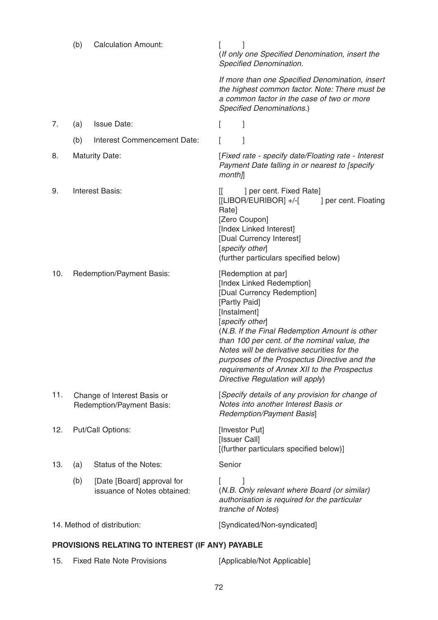|                                                  | (b)               | <b>Calculation Amount:</b>                                | (If only one Specified Denomination, insert the<br>Specified Denomination.                                                                                                                                                                                                                                                                                                                                            |  |
|--------------------------------------------------|-------------------|-----------------------------------------------------------|-----------------------------------------------------------------------------------------------------------------------------------------------------------------------------------------------------------------------------------------------------------------------------------------------------------------------------------------------------------------------------------------------------------------------|--|
|                                                  |                   |                                                           | If more than one Specified Denomination, insert<br>the highest common factor. Note: There must be<br>a common factor in the case of two or more<br>Specified Denominations.)                                                                                                                                                                                                                                          |  |
| 7.                                               | (a)               | <b>Issue Date:</b>                                        | 1                                                                                                                                                                                                                                                                                                                                                                                                                     |  |
|                                                  | (b)               | Interest Commencement Date:                               |                                                                                                                                                                                                                                                                                                                                                                                                                       |  |
| 8.                                               |                   | <b>Maturity Date:</b>                                     | [Fixed rate - specify date/Floating rate - Interest<br>Payment Date falling in or nearest to [specify<br>$month$ ]                                                                                                                                                                                                                                                                                                    |  |
| 9.                                               |                   | <b>Interest Basis:</b>                                    | $\mathbb{I}$<br>] per cent. Fixed Rate]<br>$[[LIBOR/EURIBOR]$ +/- $[$<br>] per cent. Floating<br>Rate]<br>[Zero Coupon]<br>[Index Linked Interest]<br>[Dual Currency Interest]<br>[specify other]<br>(further particulars specified below)                                                                                                                                                                            |  |
| 10.                                              |                   | Redemption/Payment Basis:                                 | [Redemption at par]<br>[Index Linked Redemption]<br>[Dual Currency Redemption]<br>[Partly Paid]<br>[Instalment]<br>[specify other]<br>(N.B. If the Final Redemption Amount is other<br>than 100 per cent. of the nominal value, the<br>Notes will be derivative securities for the<br>purposes of the Prospectus Directive and the<br>requirements of Annex XII to the Prospectus<br>Directive Regulation will apply) |  |
| 11.                                              |                   | Change of Interest Basis or<br>Redemption/Payment Basis:  | [Specify details of any provision for change of<br>Notes into another Interest Basis or<br>Redemption/Payment Basis]                                                                                                                                                                                                                                                                                                  |  |
| 12.                                              | Put/Call Options: |                                                           | [Investor Put]<br>[Issuer Call]<br>[(further particulars specified below)]                                                                                                                                                                                                                                                                                                                                            |  |
| 13.                                              | (a)               | Status of the Notes:                                      | Senior                                                                                                                                                                                                                                                                                                                                                                                                                |  |
|                                                  | (b)               | [Date [Board] approval for<br>issuance of Notes obtained: | (N.B. Only relevant where Board (or similar)<br>authorisation is required for the particular<br>tranche of Notes)                                                                                                                                                                                                                                                                                                     |  |
|                                                  |                   | 14. Method of distribution:                               | [Syndicated/Non-syndicated]                                                                                                                                                                                                                                                                                                                                                                                           |  |
| PROVISIONS RELATING TO INTEREST (IF ANY) PAYABLE |                   |                                                           |                                                                                                                                                                                                                                                                                                                                                                                                                       |  |

15. Fixed Rate Note Provisions [Applicable/Not Applicable]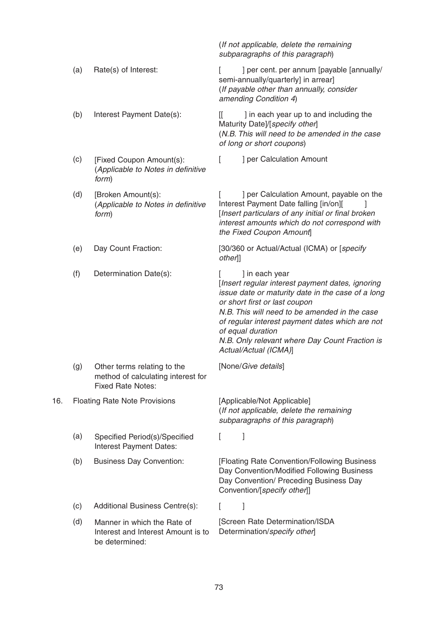|     | (b) | Interest Payment Date(s):                                                                     | ] in each year up to and including the<br>ſſ<br>Maturity Date]/[specify other]<br>(N.B. This will need to be amended in the case<br>of long or short coupons)                                                                                                                                                                                                |
|-----|-----|-----------------------------------------------------------------------------------------------|--------------------------------------------------------------------------------------------------------------------------------------------------------------------------------------------------------------------------------------------------------------------------------------------------------------------------------------------------------------|
|     | (c) | [Fixed Coupon Amount(s):<br>(Applicable to Notes in definitive<br>form)                       | ] per Calculation Amount<br>$\mathsf{L}$                                                                                                                                                                                                                                                                                                                     |
|     | (d) | [Broken Amount(s):<br>(Applicable to Notes in definitive<br>form)                             | ] per Calculation Amount, payable on the<br>Interest Payment Date falling [in/on][<br>[Insert particulars of any initial or final broken<br>interest amounts which do not correspond with<br>the Fixed Coupon Amount]                                                                                                                                        |
|     | (e) | Day Count Fraction:                                                                           | [30/360 or Actual/Actual (ICMA) or [specify<br>other]]                                                                                                                                                                                                                                                                                                       |
|     | (f) | Determination Date(s):                                                                        | ] in each year<br>[Insert regular interest payment dates, ignoring<br>issue date or maturity date in the case of a long<br>or short first or last coupon<br>N.B. This will need to be amended in the case<br>of regular interest payment dates which are not<br>of equal duration<br>N.B. Only relevant where Day Count Fraction is<br>Actual/Actual (ICMA)] |
|     | (g) | Other terms relating to the<br>method of calculating interest for<br><b>Fixed Rate Notes:</b> | [None/Give details]                                                                                                                                                                                                                                                                                                                                          |
| 16. |     | <b>Floating Rate Note Provisions</b>                                                          | [Applicable/Not Applicable]<br>(If not applicable, delete the remaining<br>subparagraphs of this paragraph)                                                                                                                                                                                                                                                  |
|     | (a) | Specified Period(s)/Specified<br>Interest Payment Dates:                                      | $\begin{bmatrix} 1 & 1 \end{bmatrix}$                                                                                                                                                                                                                                                                                                                        |
|     | (b) | <b>Business Day Convention:</b>                                                               | [Floating Rate Convention/Following Business<br>Day Convention/Modified Following Business<br>Day Convention/ Preceding Business Day<br>Convention/[specify other]]                                                                                                                                                                                          |
|     | (c) | Additional Business Centre(s):                                                                | I<br>L                                                                                                                                                                                                                                                                                                                                                       |
|     | (d) | Manner in which the Rate of<br>Interest and Interest Amount is to<br>be determined:           | [Screen Rate Determination/ISDA<br>Determination/specify other]                                                                                                                                                                                                                                                                                              |
|     |     |                                                                                               | 73                                                                                                                                                                                                                                                                                                                                                           |

(If not applicable, delete the remaining subparagraphs of this paragraph)

(If payable other than annually, consider

semi-annually/quarterly] in arrear]

amending Condition 4)

(a) Rate(s) of Interest:  $[$  ] per cent. per annum [payable [annually/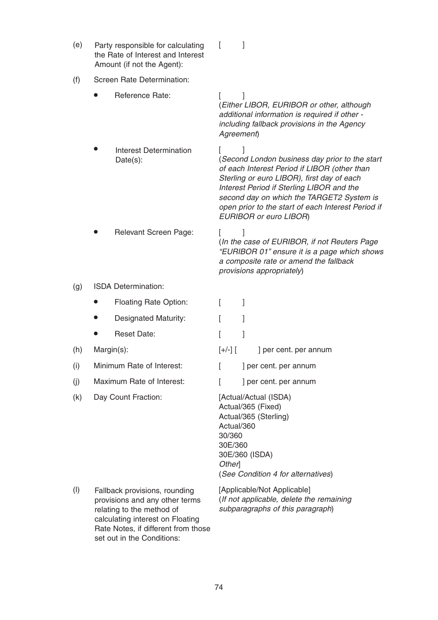| (e) | Party responsible for calculating<br>the Rate of Interest and Interest<br>Amount (if not the Agent):                             | L<br>1                                                                                                                                                                                                                                                                                                                 |  |  |
|-----|----------------------------------------------------------------------------------------------------------------------------------|------------------------------------------------------------------------------------------------------------------------------------------------------------------------------------------------------------------------------------------------------------------------------------------------------------------------|--|--|
| (f) | Screen Rate Determination:                                                                                                       |                                                                                                                                                                                                                                                                                                                        |  |  |
|     | Reference Rate:                                                                                                                  | L<br>(Either LIBOR, EURIBOR or other, although<br>additional information is required if other -<br>including fallback provisions in the Agency<br>Agreement)                                                                                                                                                           |  |  |
|     | Interest Determination<br>Date(s):                                                                                               | (Second London business day prior to the start<br>of each Interest Period if LIBOR (other than<br>Sterling or euro LIBOR), first day of each<br>Interest Period if Sterling LIBOR and the<br>second day on which the TARGET2 System is<br>open prior to the start of each Interest Period if<br>EURIBOR or euro LIBOR) |  |  |
|     | Relevant Screen Page:                                                                                                            | L<br>(In the case of EURIBOR, if not Reuters Page<br>"EURIBOR 01" ensure it is a page which shows<br>a composite rate or amend the fallback<br>provisions appropriately)                                                                                                                                               |  |  |
| (g) | ISDA Determination:                                                                                                              |                                                                                                                                                                                                                                                                                                                        |  |  |
|     | Floating Rate Option:                                                                                                            | 1<br>L                                                                                                                                                                                                                                                                                                                 |  |  |
|     | Designated Maturity:                                                                                                             | 1                                                                                                                                                                                                                                                                                                                      |  |  |
|     | <b>Reset Date:</b>                                                                                                               | 1<br>L                                                                                                                                                                                                                                                                                                                 |  |  |
| (h) | Margin(s):                                                                                                                       | $[+/$ - $]$ $[$<br>] per cent. per annum                                                                                                                                                                                                                                                                               |  |  |
| (i) | Minimum Rate of Interest:                                                                                                        | ] per cent. per annum<br>L                                                                                                                                                                                                                                                                                             |  |  |
| (j) | Maximum Rate of Interest:                                                                                                        | ] per cent. per annum                                                                                                                                                                                                                                                                                                  |  |  |
| (k) | Day Count Fraction:                                                                                                              | [Actual/Actual (ISDA)<br>Actual/365 (Fixed)<br>Actual/365 (Sterling)<br>Actual/360<br>30/360<br>30E/360<br>30E/360 (ISDA)<br>Other<br>(See Condition 4 for alternatives)                                                                                                                                               |  |  |
| (1) | Fallback provisions, rounding<br>provisions and any other terms<br>relating to the method of<br>calculating interest on Floating | [Applicable/Not Applicable]<br>(If not applicable, delete the remaining<br>subparagraphs of this paragraph)                                                                                                                                                                                                            |  |  |

Rate Notes, if different from those

set out in the Conditions: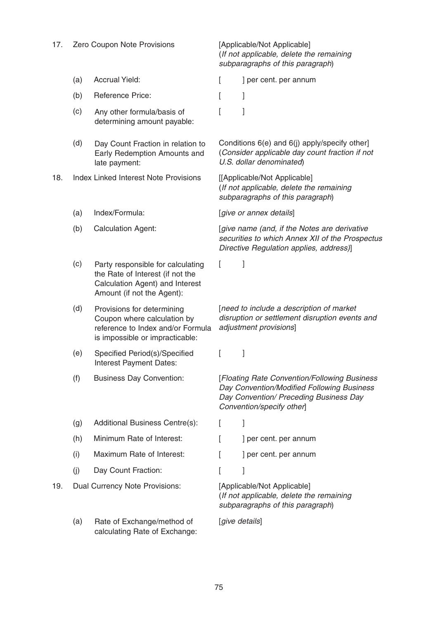| 17. | Zero Coupon Note Provisions    |                                                                                                                                        | [Applicable/Not Applicable]<br>(If not applicable, delete the remaining<br>subparagraphs of this paragraph) |                                                                                                                                                                   |  |
|-----|--------------------------------|----------------------------------------------------------------------------------------------------------------------------------------|-------------------------------------------------------------------------------------------------------------|-------------------------------------------------------------------------------------------------------------------------------------------------------------------|--|
|     | (a)                            | <b>Accrual Yield:</b>                                                                                                                  | L                                                                                                           | ] per cent. per annum                                                                                                                                             |  |
|     | (b)                            | Reference Price:                                                                                                                       | L                                                                                                           | l                                                                                                                                                                 |  |
|     | (c)                            | Any other formula/basis of<br>determining amount payable:                                                                              |                                                                                                             | 1                                                                                                                                                                 |  |
|     | (d)                            | Day Count Fraction in relation to<br>Early Redemption Amounts and<br>late payment:                                                     |                                                                                                             | Conditions 6(e) and 6(j) apply/specify other]<br>(Consider applicable day count fraction if not<br>U.S. dollar denominated)                                       |  |
| 18. |                                | <b>Index Linked Interest Note Provisions</b>                                                                                           |                                                                                                             | [[Applicable/Not Applicable]<br>(If not applicable, delete the remaining<br>subparagraphs of this paragraph)                                                      |  |
|     | (a)                            | Index/Formula:                                                                                                                         |                                                                                                             | [give or annex details]                                                                                                                                           |  |
|     | (b)                            | <b>Calculation Agent:</b>                                                                                                              |                                                                                                             | [give name (and, if the Notes are derivative<br>securities to which Annex XII of the Prospectus<br>Directive Regulation applies, address)]                        |  |
|     | (c)                            | Party responsible for calculating<br>the Rate of Interest (if not the<br>Calculation Agent) and Interest<br>Amount (if not the Agent): | L                                                                                                           | 1                                                                                                                                                                 |  |
|     | (d)                            | Provisions for determining<br>Coupon where calculation by<br>reference to Index and/or Formula<br>is impossible or impracticable:      |                                                                                                             | [need to include a description of market<br>disruption or settlement disruption events and<br>adjustment provisions]                                              |  |
|     | (e)                            | Specified Period(s)/Specified<br>Interest Payment Dates:                                                                               |                                                                                                             |                                                                                                                                                                   |  |
|     | (f)                            | <b>Business Day Convention:</b>                                                                                                        |                                                                                                             | [Floating Rate Convention/Following Business<br>Day Convention/Modified Following Business<br>Day Convention/ Preceding Business Day<br>Convention/specify other] |  |
|     | (g)                            | Additional Business Centre(s):                                                                                                         | L                                                                                                           | 1                                                                                                                                                                 |  |
|     | (h)                            | Minimum Rate of Interest:                                                                                                              |                                                                                                             | ] per cent. per annum                                                                                                                                             |  |
|     | (i)                            | Maximum Rate of Interest:                                                                                                              |                                                                                                             | ] per cent. per annum                                                                                                                                             |  |
|     | (i)                            | Day Count Fraction:                                                                                                                    |                                                                                                             |                                                                                                                                                                   |  |
| 19. | Dual Currency Note Provisions: |                                                                                                                                        | [Applicable/Not Applicable]<br>(If not applicable, delete the remaining<br>subparagraphs of this paragraph) |                                                                                                                                                                   |  |
| (a) |                                | Rate of Exchange/method of<br>calculating Rate of Exchange:                                                                            |                                                                                                             | [give details]                                                                                                                                                    |  |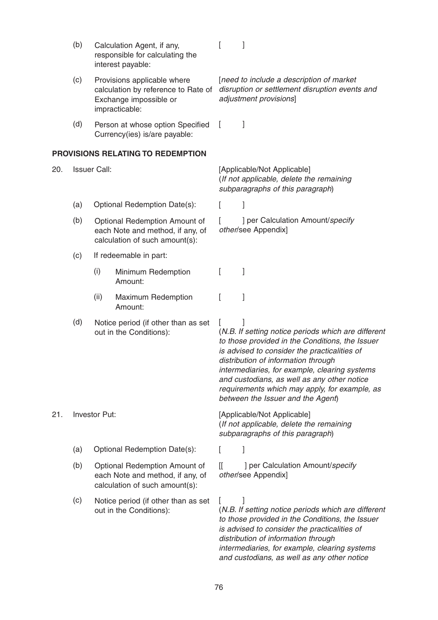|     | (b)                 |                        | Calculation Agent, if any,<br>responsible for calculating the<br>interest payable:                             |              |                                                                                                                                                                                                                                                                                                                                                                                     |  |  |
|-----|---------------------|------------------------|----------------------------------------------------------------------------------------------------------------|--------------|-------------------------------------------------------------------------------------------------------------------------------------------------------------------------------------------------------------------------------------------------------------------------------------------------------------------------------------------------------------------------------------|--|--|
|     | (c)                 |                        | Provisions applicable where<br>calculation by reference to Rate of<br>Exchange impossible or<br>impracticable: |              | [need to include a description of market<br>disruption or settlement disruption events and<br>adjustment provisions]                                                                                                                                                                                                                                                                |  |  |
|     | (d)                 |                        | Person at whose option Specified<br>Currency(ies) is/are payable:                                              | $\mathbf{L}$ | 1                                                                                                                                                                                                                                                                                                                                                                                   |  |  |
|     |                     |                        | PROVISIONS RELATING TO REDEMPTION                                                                              |              |                                                                                                                                                                                                                                                                                                                                                                                     |  |  |
| 20. | <b>Issuer Call:</b> |                        |                                                                                                                |              | [Applicable/Not Applicable]<br>(If not applicable, delete the remaining<br>subparagraphs of this paragraph)                                                                                                                                                                                                                                                                         |  |  |
|     | (a)                 |                        | Optional Redemption Date(s):                                                                                   | L            | 1                                                                                                                                                                                                                                                                                                                                                                                   |  |  |
|     | (b)                 |                        | Optional Redemption Amount of<br>each Note and method, if any, of<br>calculation of such amount(s):            |              | ] per Calculation Amount/specify<br>other/see Appendix]                                                                                                                                                                                                                                                                                                                             |  |  |
|     | (c)                 | If redeemable in part: |                                                                                                                |              |                                                                                                                                                                                                                                                                                                                                                                                     |  |  |
|     |                     | (i)                    | Minimum Redemption<br>Amount:                                                                                  | L            | 1                                                                                                                                                                                                                                                                                                                                                                                   |  |  |
|     |                     | (ii)                   | Maximum Redemption<br>Amount:                                                                                  | L            | 1                                                                                                                                                                                                                                                                                                                                                                                   |  |  |
|     | (d)                 |                        | Notice period (if other than as set<br>out in the Conditions):                                                 | $\mathbf{L}$ | (N.B. If setting notice periods which are different<br>to those provided in the Conditions, the Issuer<br>is advised to consider the practicalities of<br>distribution of information through<br>intermediaries, for example, clearing systems<br>and custodians, as well as any other notice<br>requirements which may apply, for example, as<br>between the Issuer and the Agent) |  |  |
| 21. | Investor Put:       |                        |                                                                                                                |              | [Applicable/Not Applicable]<br>(If not applicable, delete the remaining<br>subparagraphs of this paragraph)                                                                                                                                                                                                                                                                         |  |  |
|     | (a)                 |                        | Optional Redemption Date(s):                                                                                   |              | ]                                                                                                                                                                                                                                                                                                                                                                                   |  |  |
|     | (b)                 |                        | Optional Redemption Amount of<br>each Note and method, if any, of<br>calculation of such amount(s):            | IL           | ] per Calculation Amount/specify<br>other/see Appendix]                                                                                                                                                                                                                                                                                                                             |  |  |
|     | (c)                 |                        | Notice period (if other than as set<br>out in the Conditions):                                                 | L            | (N.B. If setting notice periods which are different<br>to those provided in the Conditions, the Issuer<br>is advised to consider the practicalities of<br>distribution of information through<br>intermediaries, for example, clearing systems                                                                                                                                      |  |  |

# 76

and custodians, as well as any other notice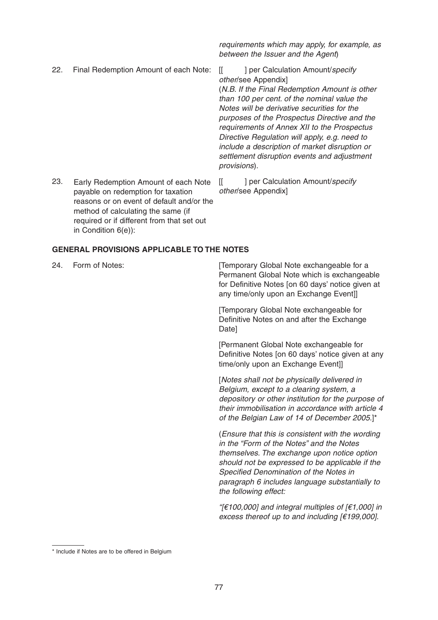22. Final Redemption Amount of each Note: [[ ] per Calculation Amount/specify

payable on redemption for taxation

method of calculating the same (if required or if different from that set out requirements which may apply, for example, as between the Issuer and the Agent)

other/see Appendix] (N.B. If the Final Redemption Amount is other than 100 per cent. of the nominal value the Notes will be derivative securities for the purposes of the Prospectus Directive and the

requirements of Annex XII to the Prospectus Directive Regulation will apply, e.g. need to include a description of market disruption or settlement disruption events and adjustment provisions).

23. Early Redemption Amount of each Note [[ ] per Calculation Amount/specify other/see Appendix] reasons or on event of default and/or the

# **GENERAL PROVISIONS APPLICABLE TO THE NOTES**

in Condition 6(e)):

24. Form of Notes: **Example 24.** [Temporary Global Note exchangeable for a Permanent Global Note which is exchangeable for Definitive Notes [on 60 days' notice given at any time/only upon an Exchange Event]]

> [Temporary Global Note exchangeable for Definitive Notes on and after the Exchange Date]

[Permanent Global Note exchangeable for Definitive Notes [on 60 days' notice given at any time/only upon an Exchange Event]]

[Notes shall not be physically delivered in Belgium, except to a clearing system, a depository or other institution for the purpose of their immobilisation in accordance with article 4 of the Belgian Law of 14 of December 2005.]\*

(Ensure that this is consistent with the wording in the "Form of the Notes" and the Notes themselves. The exchange upon notice option should not be expressed to be applicable if the Specified Denomination of the Notes in paragraph 6 includes language substantially to the following effect:

"[€100,000] and integral multiples of  $[€1,000]$  in excess thereof up to and including [€199,000].

<sup>\*</sup> Include if Notes are to be offered in Belgium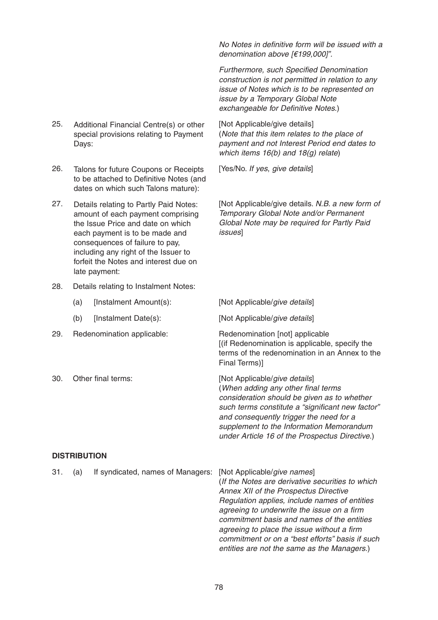- 25. Additional Financial Centre(s) or other [Not Applicable/give details] special provisions relating to Payment Days:
- 26. Talons for future Coupons or Receipts [Yes/No. If yes, give details] to be attached to Definitive Notes (and dates on which such Talons mature):
- Details relating to Partly Paid Notes: amount of each payment comprising the Issue Price and date on which each payment is to be made and consequences of failure to pay, including any right of the Issuer to forfeit the Notes and interest due on late payment:
- 28. Details relating to Instalment Notes:
	- (a) [Instalment Amount(s): [Not Applicable/give details]
	-
- 29. Redenomination applicable: Redenomination [not] applicable
- 

No Notes in definitive form will be issued with a denomination above [€199,000]".

Furthermore, such Specified Denomination construction is not permitted in relation to any issue of Notes which is to be represented on issue by a Temporary Global Note exchangeable for Definitive Notes.)

(Note that this item relates to the place of payment and not Interest Period end dates to which items 16(b) and 18(g) relate)

27. Details relating to Partly Paid Notes: [Not Applicable/give details. N.B. a new form of Temporary Global Note and/or Permanent Global Note may be required for Partly Paid issues]

(b) [Instalment Date(s): [Not Applicable/give details]

[(if Redenomination is applicable, specify the terms of the redenomination in an Annex to the Final Terms)]

30. Other final terms: [Not Applicable/give details] (When adding any other final terms consideration should be given as to whether such terms constitute a "significant new factor" and consequently trigger the need for a supplement to the Information Memorandum under Article 16 of the Prospectus Directive.)

## **DISTRIBUTION**

| 31. | (a) | If syndicated, names of Managers: [Not Applicable/give names] |                                                  |
|-----|-----|---------------------------------------------------------------|--------------------------------------------------|
|     |     |                                                               | (If the Notes are derivative securities to which |
|     |     |                                                               | Annex XII of the Prospectus Directive            |
|     |     |                                                               | Regulation applies, include names of entities    |
|     |     |                                                               | agreeing to underwrite the issue on a firm       |
|     |     |                                                               | commitment basis and names of the entities       |
|     |     |                                                               | agreeing to place the issue without a firm       |
|     |     |                                                               | commitment or on a "best efforts" basis if such  |
|     |     |                                                               | entities are not the same as the Managers.)      |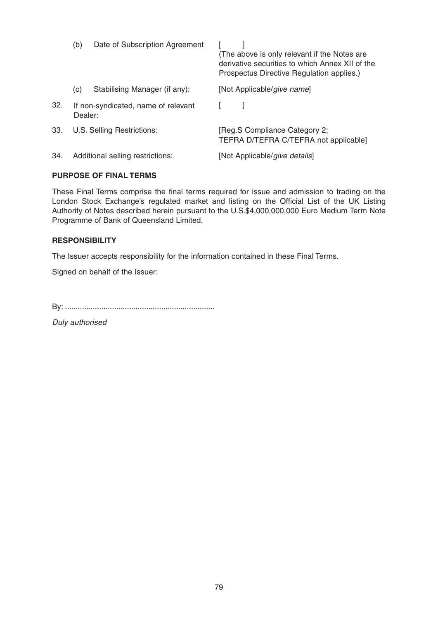|     | (b)<br>Date of Subscription Agreement          |                               | (The above is only relevant if the Notes are<br>derivative securities to which Annex XII of the<br>Prospectus Directive Regulation applies.) |  |  |
|-----|------------------------------------------------|-------------------------------|----------------------------------------------------------------------------------------------------------------------------------------------|--|--|
|     | (c)                                            | Stabilising Manager (if any): | [Not Applicable/give name]                                                                                                                   |  |  |
| 32. | If non-syndicated, name of relevant<br>Dealer: |                               |                                                                                                                                              |  |  |
| 33. | U.S. Selling Restrictions:                     |                               | [Reg.S Compliance Category 2;<br>TEFRA D/TEFRA C/TEFRA not applicable]                                                                       |  |  |
| 34. | Additional selling restrictions:               |                               | [Not Applicable/give details]                                                                                                                |  |  |
|     |                                                |                               |                                                                                                                                              |  |  |

# **PURPOSE OF FINAL TERMS**

These Final Terms comprise the final terms required for issue and admission to trading on the London Stock Exchange's regulated market and listing on the Official List of the UK Listing Authority of Notes described herein pursuant to the U.S.\$4,000,000,000 Euro Medium Term Note Programme of Bank of Queensland Limited.

# **RESPONSIBILITY**

The Issuer accepts responsibility for the information contained in these Final Terms.

Signed on behalf of the Issuer:

By: ......................................................................

Duly authorised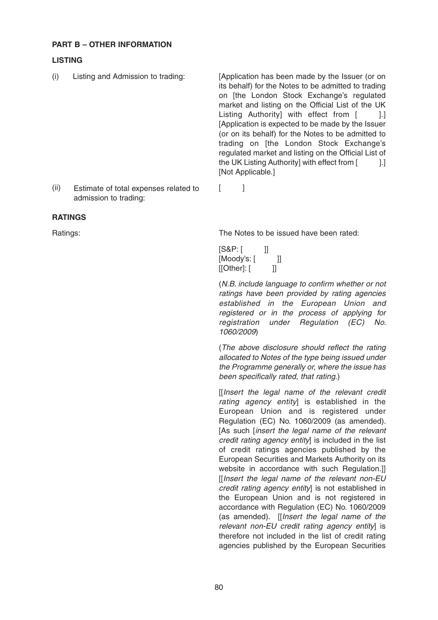# **PART B – OTHER INFORMATION**

admission to trading:

# **LISTING**

- (i) Listing and Admission to trading: [Application has been made by the Issuer (or on its behalf) for the Notes to be admitted to trading on [the London Stock Exchange's regulated market and listing on the Official List of the UK Listing Authority] with effect from [ ].] [Application is expected to be made by the Issuer (or on its behalf) for the Notes to be admitted to trading on [the London Stock Exchange's regulated market and listing on the Official List of the UK Listing Authority] with effect from [1.] [Not Applicable.] (ii) Estimate of total expenses related to [ ]
- **RATINGS**

Ratings: The Notes to be issued have been rated:

[S&P: [ ]] [Moody's: [ ]]  $[[Other]: [$   $]$ 

(N.B. include language to confirm whether or not ratings have been provided by rating agencies established in the European Union and registered or in the process of applying for registration under Regulation (EC) No. 1060/2009)

(The above disclosure should reflect the rating allocated to Notes of the type being issued under the Programme generally or, where the issue has been specifically rated, that rating.)

[[Insert the legal name of the relevant credit rating agency entity] is established in the European Union and is registered under Regulation (EC) No. 1060/2009 (as amended). [As such *[insert the legal name of the relevant* credit rating agency entity is included in the list of credit ratings agencies published by the European Securities and Markets Authority on its website in accordance with such Regulation.]] [[Insert the legal name of the relevant non-EU credit rating agency entityl is not established in the European Union and is not registered in accordance with Regulation (EC) No. 1060/2009 (as amended). [[Insert the legal name of the relevant non-EU credit rating agency entity] is therefore not included in the list of credit rating agencies published by the European Securities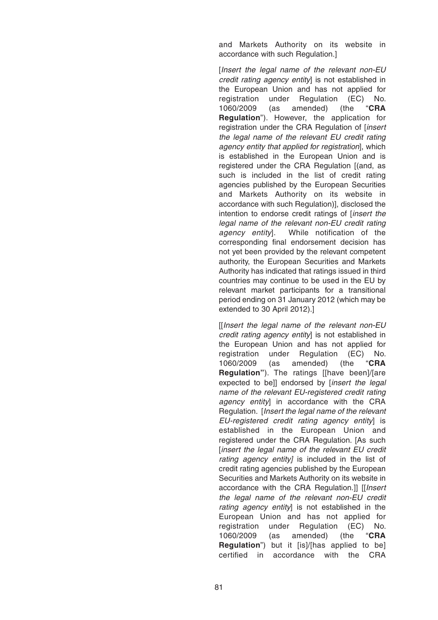and Markets Authority on its website in accordance with such Regulation.]

[Insert the legal name of the relevant non-EU credit rating agency entityl is not established in the European Union and has not applied for registration under Regulation (EC) No. 1060/2009 (as amended) (the "**CRA Regulation**"). However, the application for registration under the CRA Regulation of [insert the legal name of the relevant EU credit rating agency entity that applied for registration], which is established in the European Union and is registered under the CRA Regulation [(and, as such is included in the list of credit rating agencies published by the European Securities and Markets Authority on its website in accordance with such Regulation)], disclosed the intention to endorse credit ratings of [insert the legal name of the relevant non-EU credit rating agency entity]. While notification of the corresponding final endorsement decision has not yet been provided by the relevant competent authority, the European Securities and Markets Authority has indicated that ratings issued in third countries may continue to be used in the EU by relevant market participants for a transitional period ending on 31 January 2012 (which may be extended to 30 April 2012).]

[[Insert the legal name of the relevant non-EU credit rating agency entityl is not established in the European Union and has not applied for registration under Regulation (EC) No. 1060/2009 (as amended) (the "**CRA Regulation"**). The ratings [[have been]/[are expected to be]] endorsed by [insert the legal name of the relevant EU-registered credit rating agency entity] in accordance with the CRA Regulation. [Insert the legal name of the relevant EU-registered credit rating agency entity] is established in the European Union and registered under the CRA Regulation. [As such [insert the legal name of the relevant EU credit rating agency entity] is included in the list of credit rating agencies published by the European Securities and Markets Authority on its website in accordance with the CRA Regulation.]] [[Insert the legal name of the relevant non-EU credit rating agency entity] is not established in the European Union and has not applied for registration under Regulation (EC) No. 1060/2009 (as amended) (the "**CRA Regulation**") but it [is]/[has applied to be] certified in accordance with the CRA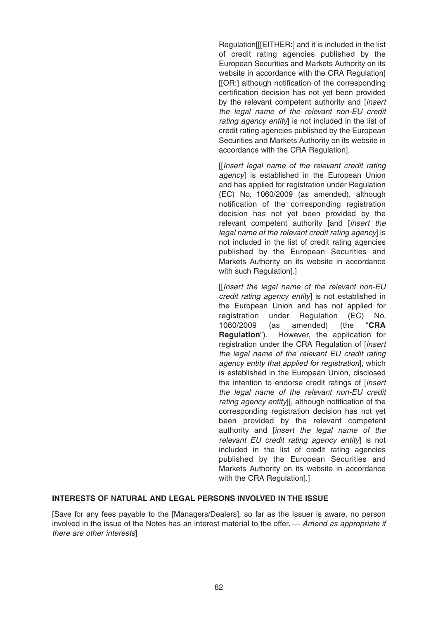Regulation[[[EITHER:] and it is included in the list of credit rating agencies published by the European Securities and Markets Authority on its website in accordance with the CRA Regulation] [[OR:] although notification of the corresponding certification decision has not yet been provided by the relevant competent authority and [insert the legal name of the relevant non-EU credit rating agency entity] is not included in the list of credit rating agencies published by the European Securities and Markets Authority on its website in accordance with the CRA Regulation].

[[Insert legal name of the relevant credit rating agencyl is established in the European Union and has applied for registration under Regulation (EC) No. 1060/2009 (as amended), although notification of the corresponding registration decision has not yet been provided by the relevant competent authority [and [insert the legal name of the relevant credit rating agencyl is not included in the list of credit rating agencies published by the European Securities and Markets Authority on its website in accordance with such Regulation].]

[[Insert the legal name of the relevant non-EU credit rating agency entity] is not established in the European Union and has not applied for registration under Regulation (EC) No. 1060/2009 (as amended) (the "**CRA Regulation**"). However, the application for registration under the CRA Regulation of [insert the legal name of the relevant EU credit rating agency entity that applied for registration], which is established in the European Union, disclosed the intention to endorse credit ratings of [insert] the legal name of the relevant non-EU credit rating agency entity][, although notification of the corresponding registration decision has not yet been provided by the relevant competent authority and [insert the legal name of the relevant EU credit rating agency entityl is not included in the list of credit rating agencies published by the European Securities and Markets Authority on its website in accordance with the CRA Regulation].]

### **INTERESTS OF NATURAL AND LEGAL PERSONS INVOLVED IN THE ISSUE**

[Save for any fees payable to the [Managers/Dealers], so far as the Issuer is aware, no person involved in the issue of the Notes has an interest material to the offer. — Amend as appropriate if there are other interests]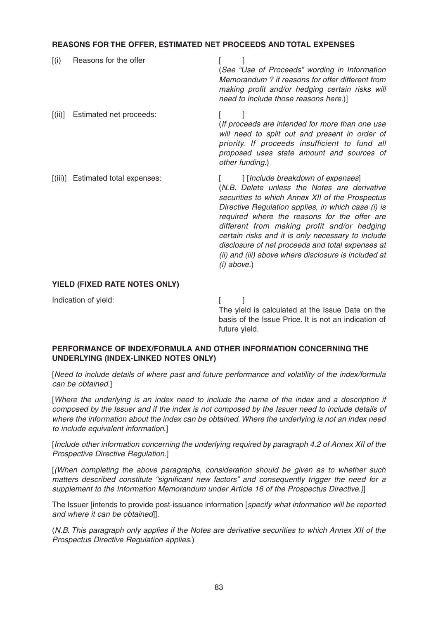# **REASONS FOR THE OFFER, ESTIMATED NET PROCEEDS AND TOTAL EXPENSES**

| (i)     | Reasons for the offer     | (See "Use of Proceeds" wording in Information<br>Memorandum ? if reasons for offer different from<br>making profit and/or hedging certain risks will<br>need to include those reasons here.)]                                                                                                                                                                                                                                                                             |
|---------|---------------------------|---------------------------------------------------------------------------------------------------------------------------------------------------------------------------------------------------------------------------------------------------------------------------------------------------------------------------------------------------------------------------------------------------------------------------------------------------------------------------|
| [(ii)]  | Estimated net proceeds:   | (If proceeds are intended for more than one use<br>will need to split out and present in order of<br>priority. If proceeds insufficient to fund all<br>proposed uses state amount and sources of<br>other funding.)                                                                                                                                                                                                                                                       |
| [(iii)] | Estimated total expenses: | [Include breakdown of expenses]<br>(N.B. Delete unless the Notes are derivative<br>securities to which Annex XII of the Prospectus<br>Directive Regulation applies, in which case (i) is<br>required where the reasons for the offer are<br>different from making profit and/or hedging<br>certain risks and it is only necessary to include<br>disclosure of net proceeds and total expenses at<br>(ii) and (iii) above where disclosure is included at<br>$(i)$ above.) |

### **YIELD (FIXED RATE NOTES ONLY)**

Indication of yield: [ ]

The yield is calculated at the Issue Date on the basis of the Issue Price. It is not an indication of future yield.

# **PERFORMANCE OF INDEX/FORMULA AND OTHER INFORMATION CONCERNING THE UNDERLYING (INDEX-LINKED NOTES ONLY)**

[Need to include details of where past and future performance and volatility of the index/formula can be obtained.]

[Where the underlying is an index need to include the name of the index and a description if composed by the Issuer and if the index is not composed by the Issuer need to include details of where the information about the index can be obtained. Where the underlying is not an index need to include equivalent information.]

[Include other information concerning the underlying required by paragraph 4.2 of Annex XII of the Prospective Directive Regulation.]

[(When completing the above paragraphs, consideration should be given as to whether such matters described constitute "significant new factors" and consequently trigger the need for a supplement to the Information Memorandum under Article 16 of the Prospectus Directive.)]

The Issuer [intends to provide post-issuance information [specify what information will be reported and where it can be obtained]].

(N.B. This paragraph only applies if the Notes are derivative securities to which Annex XII of the Prospectus Directive Regulation applies.)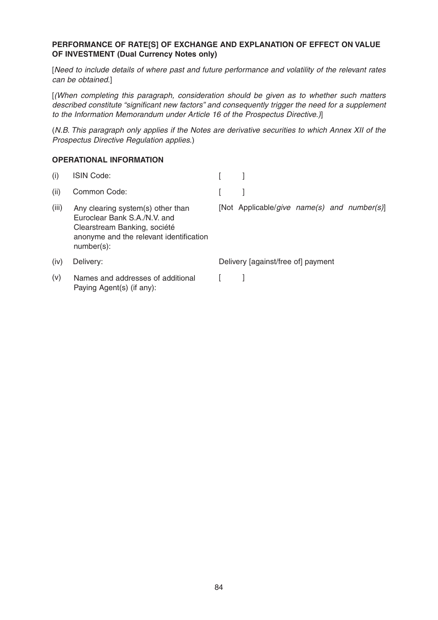### **PERFORMANCE OF RATE[S] OF EXCHANGE AND EXPLANATION OF EFFECT ON VALUE OF INVESTMENT (Dual Currency Notes only)**

[Need to include details of where past and future performance and volatility of the relevant rates can be obtained.]

[(When completing this paragraph, consideration should be given as to whether such matters described constitute "significant new factors" and consequently trigger the need for a supplement to the Information Memorandum under Article 16 of the Prospectus Directive.)]

(N.B. This paragraph only applies if the Notes are derivative securities to which Annex XII of the Prospectus Directive Regulation applies.)

### **OPERATIONAL INFORMATION**

| (i)   | <b>ISIN Code:</b>                                                                                                                                             |                                             |
|-------|---------------------------------------------------------------------------------------------------------------------------------------------------------------|---------------------------------------------|
| (ii)  | Common Code:                                                                                                                                                  |                                             |
| (iii) | Any clearing system(s) other than<br>Euroclear Bank S.A./N.V. and<br>Clearstream Banking, société<br>anonyme and the relevant identification<br>$number(s)$ : | [Not Applicable/give name(s) and number(s)] |
| (iv)  | Delivery:                                                                                                                                                     | Delivery [against/free of] payment          |
| (v)   | Names and addresses of additional<br>Paying Agent(s) (if any):                                                                                                |                                             |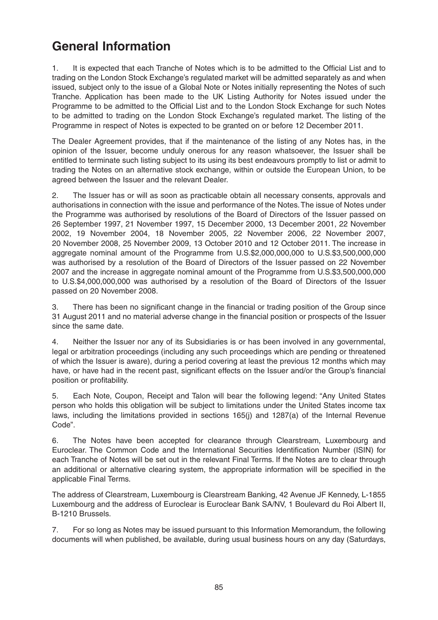# **General Information**

1. It is expected that each Tranche of Notes which is to be admitted to the Official List and to trading on the London Stock Exchange's regulated market will be admitted separately as and when issued, subject only to the issue of a Global Note or Notes initially representing the Notes of such Tranche. Application has been made to the UK Listing Authority for Notes issued under the Programme to be admitted to the Official List and to the London Stock Exchange for such Notes to be admitted to trading on the London Stock Exchange's regulated market. The listing of the Programme in respect of Notes is expected to be granted on or before 12 December 2011.

The Dealer Agreement provides, that if the maintenance of the listing of any Notes has, in the opinion of the Issuer, become unduly onerous for any reason whatsoever, the Issuer shall be entitled to terminate such listing subject to its using its best endeavours promptly to list or admit to trading the Notes on an alternative stock exchange, within or outside the European Union, to be agreed between the Issuer and the relevant Dealer.

2. The Issuer has or will as soon as practicable obtain all necessary consents, approvals and authorisations in connection with the issue and performance of the Notes. The issue of Notes under the Programme was authorised by resolutions of the Board of Directors of the Issuer passed on 26 September 1997, 21 November 1997, 15 December 2000, 13 December 2001, 22 November 2002, 19 November 2004, 18 November 2005, 22 November 2006, 22 November 2007, 20 November 2008, 25 November 2009, 13 October 2010 and 12 October 2011. The increase in aggregate nominal amount of the Programme from U.S.\$2,000,000,000 to U.S.\$3,500,000,000 was authorised by a resolution of the Board of Directors of the Issuer passed on 22 November 2007 and the increase in aggregate nominal amount of the Programme from U.S.\$3,500,000,000 to U.S.\$4,000,000,000 was authorised by a resolution of the Board of Directors of the Issuer passed on 20 November 2008.

3. There has been no significant change in the financial or trading position of the Group since 31 August 2011 and no material adverse change in the financial position or prospects of the Issuer since the same date.

4. Neither the Issuer nor any of its Subsidiaries is or has been involved in any governmental, legal or arbitration proceedings (including any such proceedings which are pending or threatened of which the Issuer is aware), during a period covering at least the previous 12 months which may have, or have had in the recent past, significant effects on the Issuer and/or the Group's financial position or profitability.

5. Each Note, Coupon, Receipt and Talon will bear the following legend: "Any United States person who holds this obligation will be subject to limitations under the United States income tax laws, including the limitations provided in sections 165(j) and 1287(a) of the Internal Revenue Code".

6. The Notes have been accepted for clearance through Clearstream, Luxembourg and Euroclear. The Common Code and the International Securities Identification Number (ISIN) for each Tranche of Notes will be set out in the relevant Final Terms. If the Notes are to clear through an additional or alternative clearing system, the appropriate information will be specified in the applicable Final Terms.

The address of Clearstream, Luxembourg is Clearstream Banking, 42 Avenue JF Kennedy, L-1855 Luxembourg and the address of Euroclear is Euroclear Bank SA/NV, 1 Boulevard du Roi Albert II, B-1210 Brussels.

7. For so long as Notes may be issued pursuant to this Information Memorandum, the following documents will when published, be available, during usual business hours on any day (Saturdays,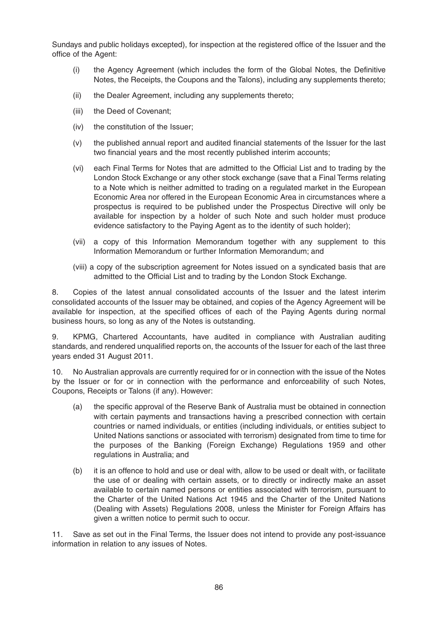Sundays and public holidays excepted), for inspection at the registered office of the Issuer and the office of the Agent:

- (i) the Agency Agreement (which includes the form of the Global Notes, the Definitive Notes, the Receipts, the Coupons and the Talons), including any supplements thereto;
- (ii) the Dealer Agreement, including any supplements thereto;
- (iii) the Deed of Covenant;
- (iv) the constitution of the Issuer;
- (v) the published annual report and audited financial statements of the Issuer for the last two financial years and the most recently published interim accounts;
- (vi) each Final Terms for Notes that are admitted to the Official List and to trading by the London Stock Exchange or any other stock exchange (save that a Final Terms relating to a Note which is neither admitted to trading on a regulated market in the European Economic Area nor offered in the European Economic Area in circumstances where a prospectus is required to be published under the Prospectus Directive will only be available for inspection by a holder of such Note and such holder must produce evidence satisfactory to the Paying Agent as to the identity of such holder);
- (vii) a copy of this Information Memorandum together with any supplement to this Information Memorandum or further Information Memorandum; and
- (viii) a copy of the subscription agreement for Notes issued on a syndicated basis that are admitted to the Official List and to trading by the London Stock Exchange.

8. Copies of the latest annual consolidated accounts of the Issuer and the latest interim consolidated accounts of the Issuer may be obtained, and copies of the Agency Agreement will be available for inspection, at the specified offices of each of the Paying Agents during normal business hours, so long as any of the Notes is outstanding.

9. KPMG, Chartered Accountants, have audited in compliance with Australian auditing standards, and rendered unqualified reports on, the accounts of the Issuer for each of the last three years ended 31 August 2011.

10. No Australian approvals are currently required for or in connection with the issue of the Notes by the Issuer or for or in connection with the performance and enforceability of such Notes, Coupons, Receipts or Talons (if any). However:

- (a) the specific approval of the Reserve Bank of Australia must be obtained in connection with certain payments and transactions having a prescribed connection with certain countries or named individuals, or entities (including individuals, or entities subject to United Nations sanctions or associated with terrorism) designated from time to time for the purposes of the Banking (Foreign Exchange) Regulations 1959 and other regulations in Australia; and
- (b) it is an offence to hold and use or deal with, allow to be used or dealt with, or facilitate the use of or dealing with certain assets, or to directly or indirectly make an asset available to certain named persons or entities associated with terrorism, pursuant to the Charter of the United Nations Act 1945 and the Charter of the United Nations (Dealing with Assets) Regulations 2008, unless the Minister for Foreign Affairs has given a written notice to permit such to occur.

11. Save as set out in the Final Terms, the Issuer does not intend to provide any post-issuance information in relation to any issues of Notes.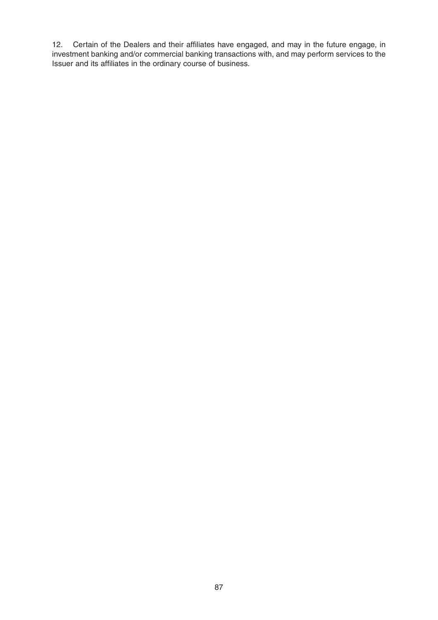12. Certain of the Dealers and their affiliates have engaged, and may in the future engage, in investment banking and/or commercial banking transactions with, and may perform services to the Issuer and its affiliates in the ordinary course of business.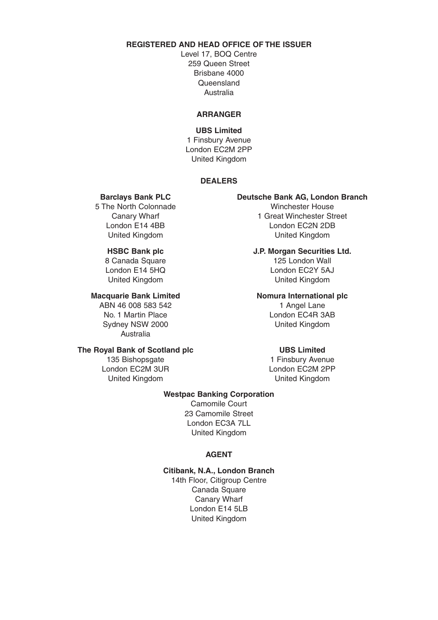# **REGISTERED AND HEAD OFFICE OF THE ISSUER**

Level 17, BOQ Centre 259 Queen Street Brisbane 4000 Queensland Australia

### **ARRANGER**

# **UBS Limited** 1 Finsbury Avenue London EC2M 2PP United Kingdom

### **DEALERS**

5 The North Colonnade

United Kingdom United Kingdom

Sydney NSW 2000 United Kingdom Australia

### **The Royal Bank of Scotland plc UBS Limited**

London EC2M 3UR United Kingdom United Kingdom

# **Barclays Bank PLC Deutsche Bank AG, London Branch**

Canary Wharf **1 Great Winchester Street** London E14 4BB London EC2N 2DB United Kingdom United Kingdom

**HSBC Bank plc J.P. Morgan Securities Ltd.** 8 Canada Square 125 London Wall London E14 5HQ London EC2Y 5AJ

### **Macquarie Bank Limited Nomura International plc**

ABN 46 008 583 542 1 Angel Lane No. 1 Martin Place London EC4R 3AB

135 Bishopsgate<br>
1 Finsbury Avenue<br>
1 Finsbury Avenue<br>
1 London EC2M 2PP

### **Westpac Banking Corporation**

Camomile Court 23 Camomile Street London EC3A 7LL United Kingdom

### **AGENT**

### **Citibank, N.A., London Branch**

14th Floor, Citigroup Centre Canada Square Canary Wharf London E14 5LB United Kingdom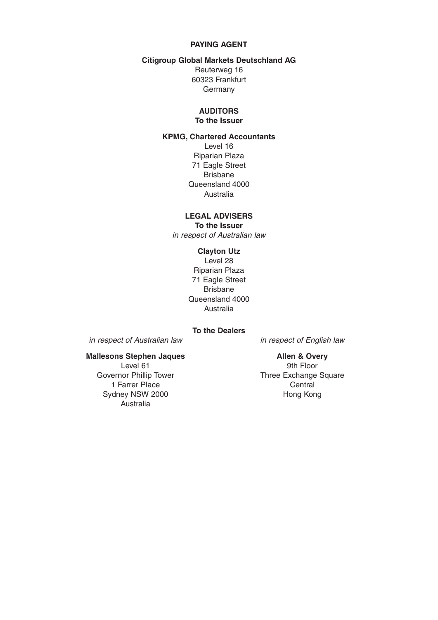# **PAYING AGENT**

### **Citigroup Global Markets Deutschland AG**

Reuterweg 16 60323 Frankfurt Germany

# **AUDITORS**

**To the Issuer**

# **KPMG, Chartered Accountants**

Level 16 Riparian Plaza 71 Eagle Street Brisbane Queensland 4000 Australia

# **LEGAL ADVISERS**

**To the Issuer** in respect of Australian law

### **Clayton Utz**

Level 28 Riparian Plaza 71 Eagle Street Brisbane Queensland 4000 Australia

**To the Dealers**

in respect of Australian law in respect of English law

### **Mallesons Stephen Jaques Allen & Overy**

Level 61 9th Floor<br>Governor Phillip Tower 19th Three Exchange 1 Farrer Place Central<br>
1 Central
Central
Central
Central
Central
Central
Central
Central
Central
Central
Central
Central
Central
Central
Central
Central
Central
Central
Central
Central
Central
Central
Central
Central
Cent Sydney NSW 2000 Australia

Three Exchange Square